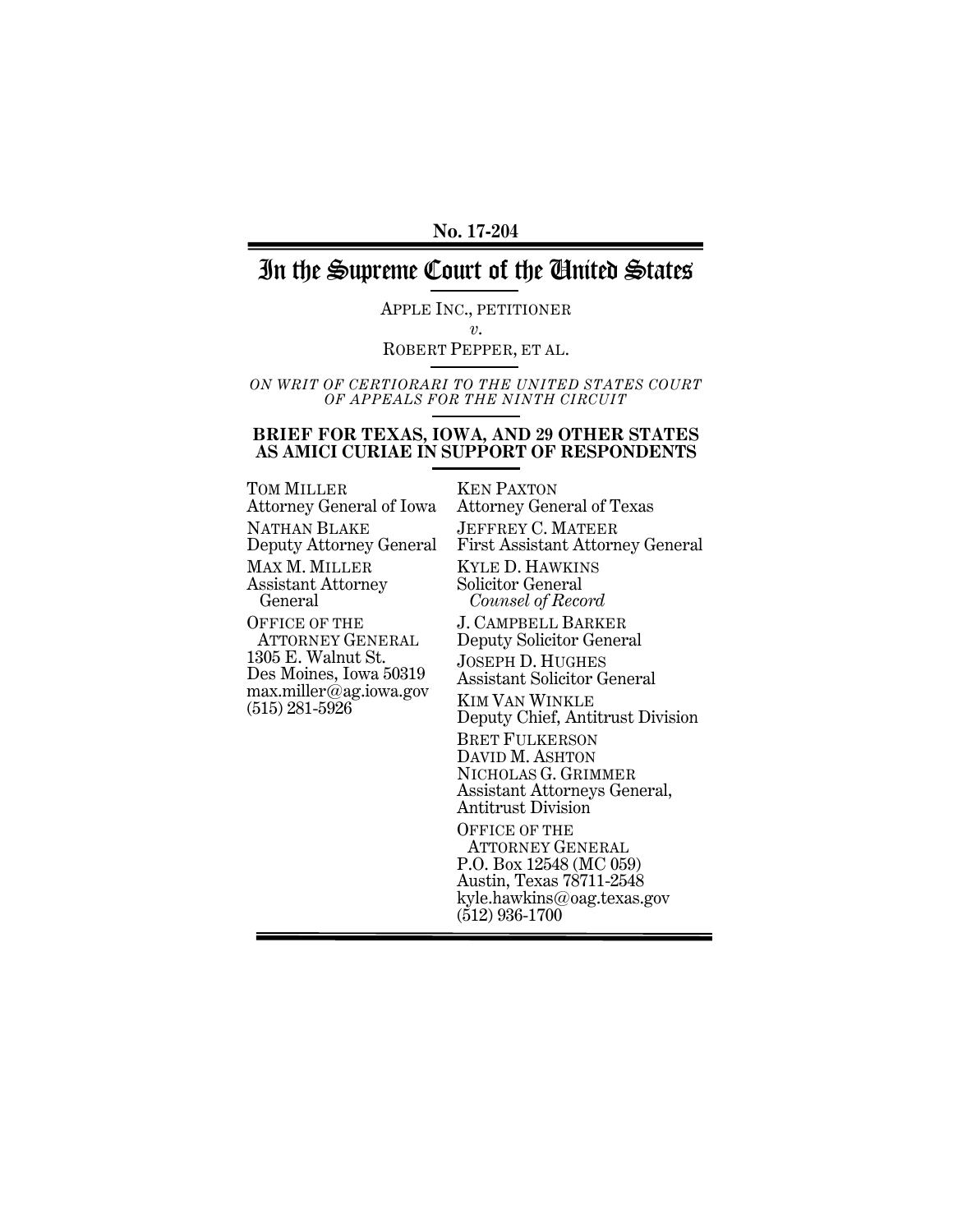#### **No. 17-204**

## In the Supreme Court of the United States

APPLE INC., PETITIONER *v*. ROBERT PEPPER, ET AL.

*ON WRIT OF CERTIORARI TO THE UNITED STATES COURT OF APPEALS FOR THE NINTH CIRCUIT*

#### **BRIEF FOR TEXAS, IOWA, AND 29 OTHER STATES AS AMICI CURIAE IN SUPPORT OF RESPONDENTS**

TOM MILLER Attorney General of Iowa NATHAN BLAKE Deputy Attorney General MAX M. MILLER Assistant Attorney General OFFICE OF THE ATTORNEY GENERAL 1305 E. Walnut St. Des Moines, Iowa 50319 max.miller@ag.iowa.gov (515) 281-5926 KEN PAXTON

Attorney General of Texas JEFFREY C. MATEER First Assistant Attorney General KYLE D. HAWKINS Solicitor General  *Counsel of Record* J. CAMPBELL BARKER Deputy Solicitor General JOSEPH D. HUGHES Assistant Solicitor General KIM VAN WINKLE Deputy Chief, Antitrust Division BRET FULKERSON DAVID M. ASHTON NICHOLAS G. GRIMMER Assistant Attorneys General, Antitrust Division OFFICE OF THE ATTORNEY GENERAL P.O. Box 12548 (MC 059) Austin, Texas 78711-2548 kyle.hawkins@oag.texas.gov (512) 936-1700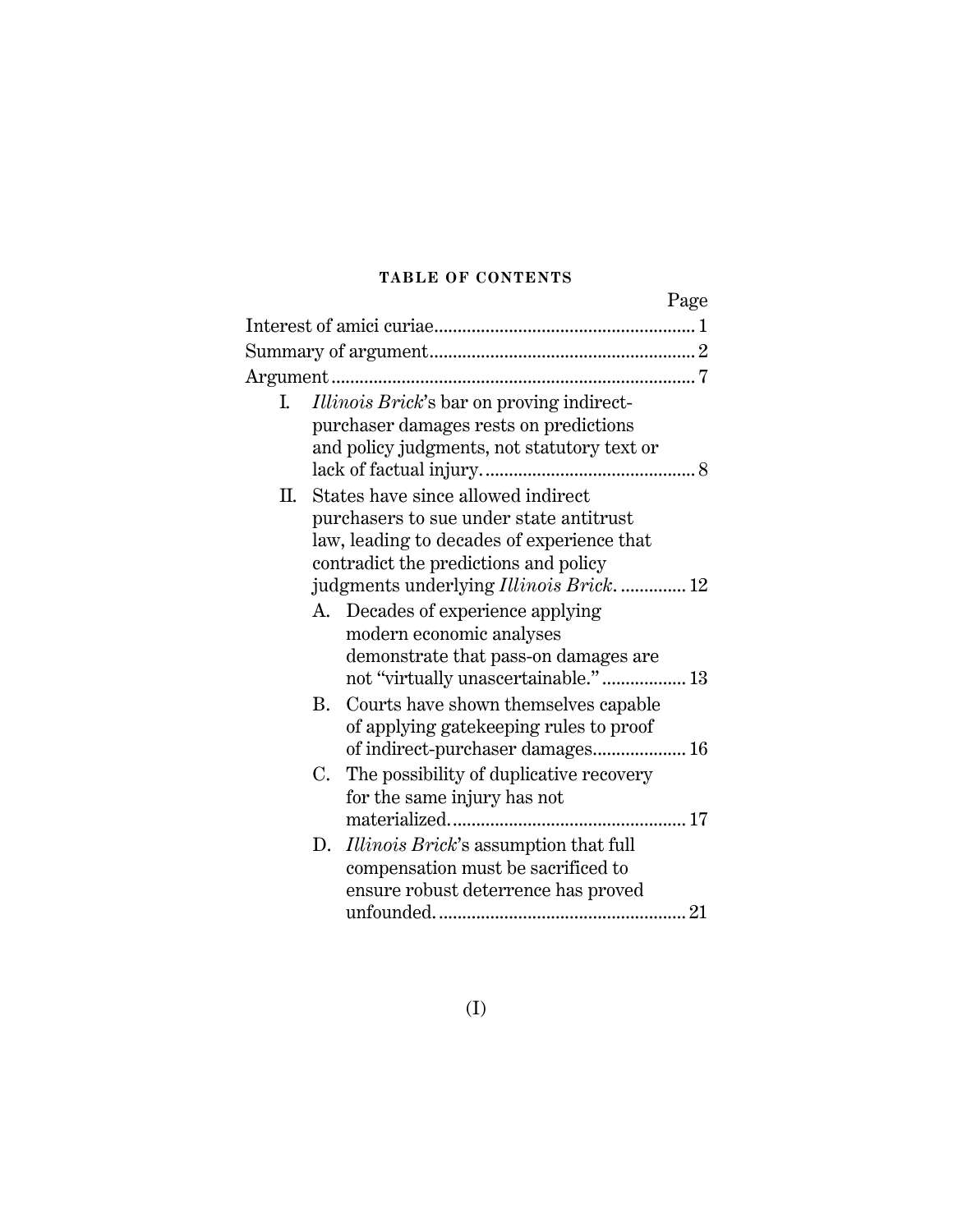### **TABLE OF CONTENTS**

|    |    | Page                                             |  |
|----|----|--------------------------------------------------|--|
|    |    |                                                  |  |
|    |    |                                                  |  |
|    |    |                                                  |  |
| I. |    | <i>Illinois Brick's</i> bar on proving indirect- |  |
|    |    | purchaser damages rests on predictions           |  |
|    |    | and policy judgments, not statutory text or      |  |
|    |    |                                                  |  |
|    |    | II. States have since allowed indirect           |  |
|    |    | purchasers to sue under state antitrust          |  |
|    |    | law, leading to decades of experience that       |  |
|    |    | contradict the predictions and policy            |  |
|    |    | judgments underlying Illinois Brick.  12         |  |
|    |    | A. Decades of experience applying                |  |
|    |    | modern economic analyses                         |  |
|    |    | demonstrate that pass-on damages are             |  |
|    |    | not "virtually unascertainable." 13              |  |
|    | B. | Courts have shown themselves capable             |  |
|    |    | of applying gate keeping rules to proof          |  |
|    |    |                                                  |  |
|    | C. | The possibility of duplicative recovery          |  |
|    |    | for the same injury has not                      |  |
|    |    |                                                  |  |
|    | D. | Illinois Brick's assumption that full            |  |
|    |    | compensation must be sacrificed to               |  |
|    |    | ensure robust deterrence has proved              |  |
|    |    |                                                  |  |
|    |    |                                                  |  |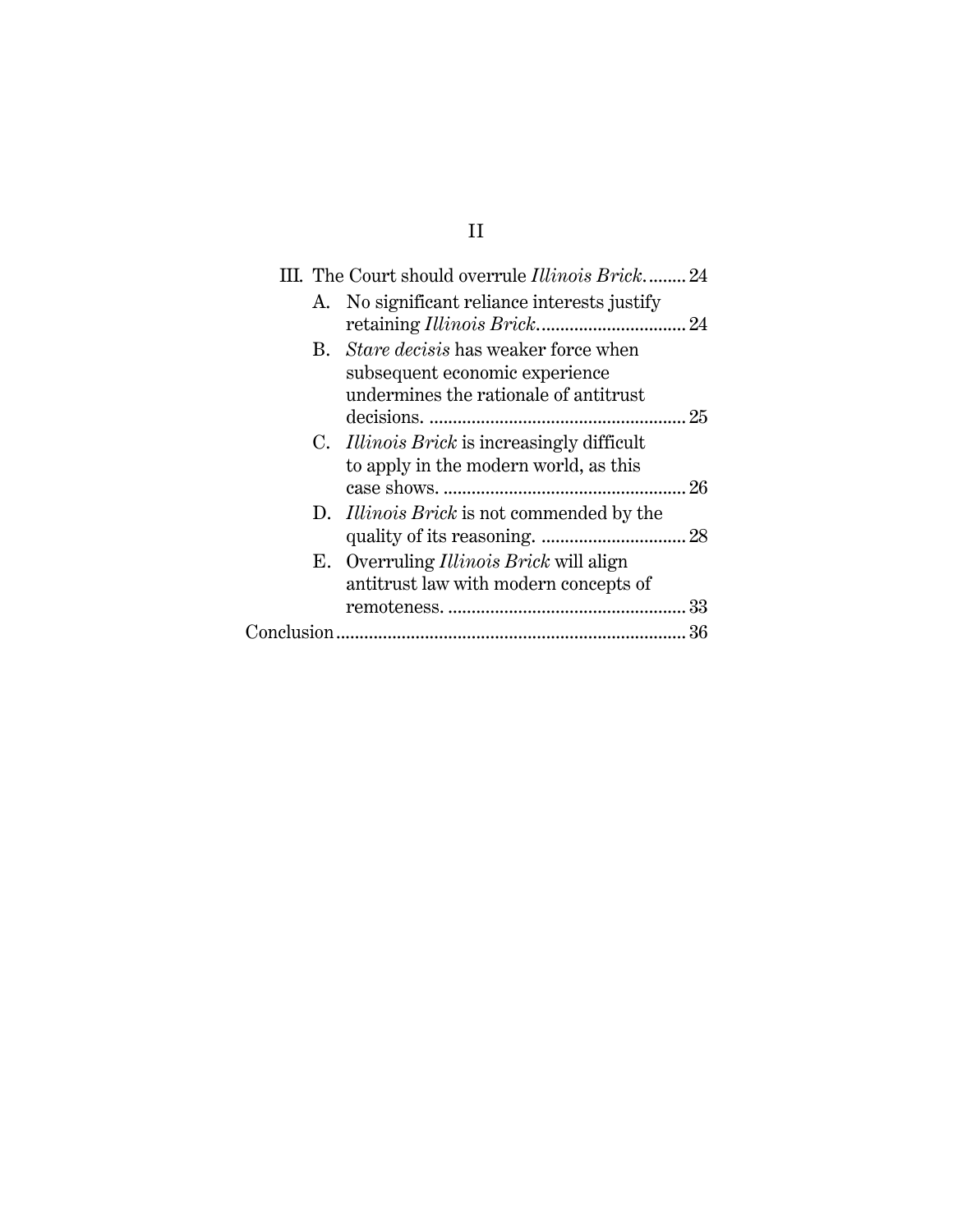|  | III. The Court should overrule <i>Illinois Brick</i> 24 |  |
|--|---------------------------------------------------------|--|
|  | A. No significant reliance interests justify            |  |
|  |                                                         |  |
|  | B. Stare decisis has weaker force when                  |  |
|  | subsequent economic experience                          |  |
|  | undermines the rationale of antitrust                   |  |
|  |                                                         |  |
|  | C. <i>Illinois Brick</i> is increasingly difficult      |  |
|  | to apply in the modern world, as this                   |  |
|  |                                                         |  |
|  | D. <i>Illinois Brick</i> is not commended by the        |  |
|  |                                                         |  |
|  | E. Overruling <i>Illinois Brick</i> will align          |  |
|  | antitrust law with modern concepts of                   |  |
|  |                                                         |  |
|  |                                                         |  |
|  |                                                         |  |

# II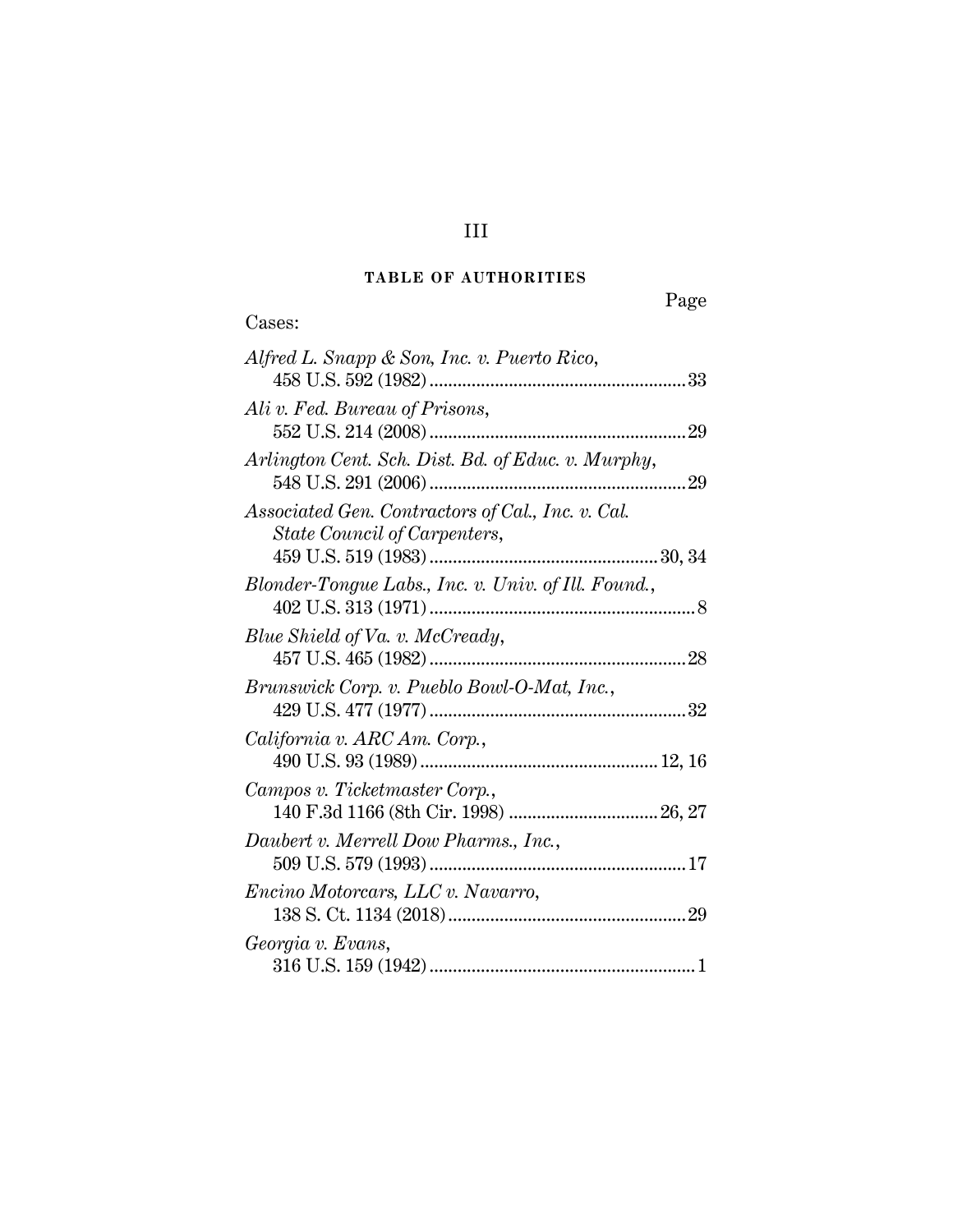## **TABLE OF AUTHORITIES**

Cases:

# Page

| Alfred L. Snapp & Son, Inc. v. Puerto Rico,                                       |
|-----------------------------------------------------------------------------------|
| Ali v. Fed. Bureau of Prisons,                                                    |
| Arlington Cent. Sch. Dist. Bd. of Educ. v. Murphy,                                |
| Associated Gen. Contractors of Cal., Inc. v. Cal.<br>State Council of Carpenters, |
| Blonder-Tongue Labs., Inc. v. Univ. of Ill. Found.,                               |
| Blue Shield of Va. v. McCready,                                                   |
| Brunswick Corp. v. Pueblo Bowl-O-Mat, Inc.,                                       |
| California v. ARC Am. Corp.,                                                      |
| Campos v. Ticketmaster Corp.,                                                     |
| Daubert v. Merrell Dow Pharms., Inc.,                                             |
| Encino Motorcars, LLC v. Navarro,                                                 |
| Georgia v. Evans,                                                                 |

## III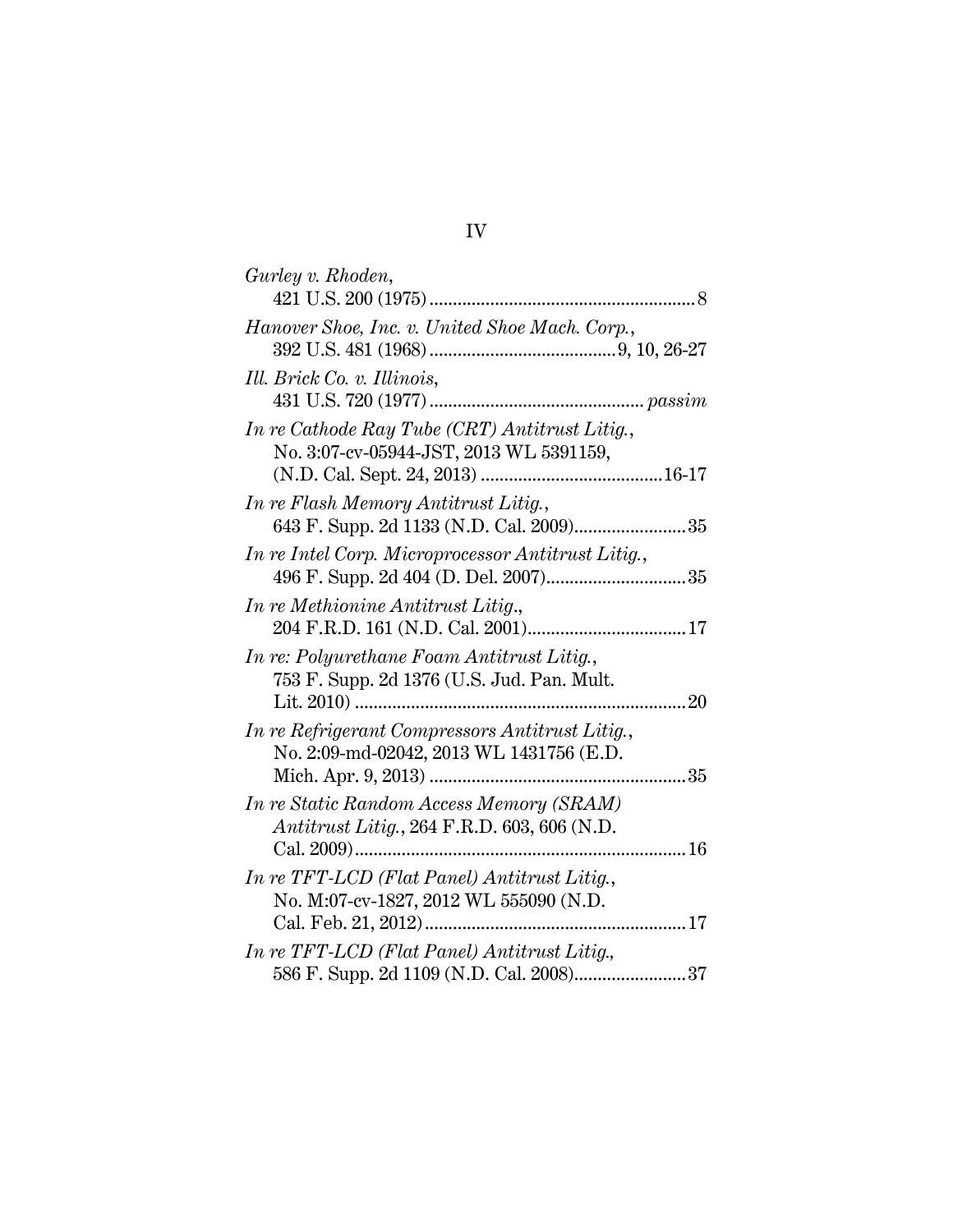| Gurley v. Rhoden,                                                                               |  |
|-------------------------------------------------------------------------------------------------|--|
| Hanover Shoe, Inc. v. United Shoe Mach. Corp.,                                                  |  |
| Ill. Brick Co. v. Illinois,                                                                     |  |
| In re Cathode Ray Tube (CRT) Antitrust Litig.,<br>No. 3:07-cv-05944-JST, 2013 WL 5391159,       |  |
| In re Flash Memory Antitrust Litig.,                                                            |  |
| In re Intel Corp. Microprocessor Antitrust Litig.,                                              |  |
| In re Methionine Antitrust Litig.,                                                              |  |
| In re: Polyurethane Foam Antitrust Litig.,<br>753 F. Supp. 2d 1376 (U.S. Jud. Pan. Mult.        |  |
| In re Refrigerant Compressors Antitrust Litig.,<br>No. 2:09-md-02042, 2013 WL 1431756 (E.D.     |  |
| In re Static Random Access Memory (SRAM)<br><i>Antitrust Litig.</i> , 264 F.R.D. 603, 606 (N.D. |  |
| In re TFT-LCD (Flat Panel) Antitrust Litig.,<br>No. M:07-cv-1827, 2012 WL 555090 (N.D.          |  |
| In re TFT-LCD (Flat Panel) Antitrust Litig.,                                                    |  |

# IV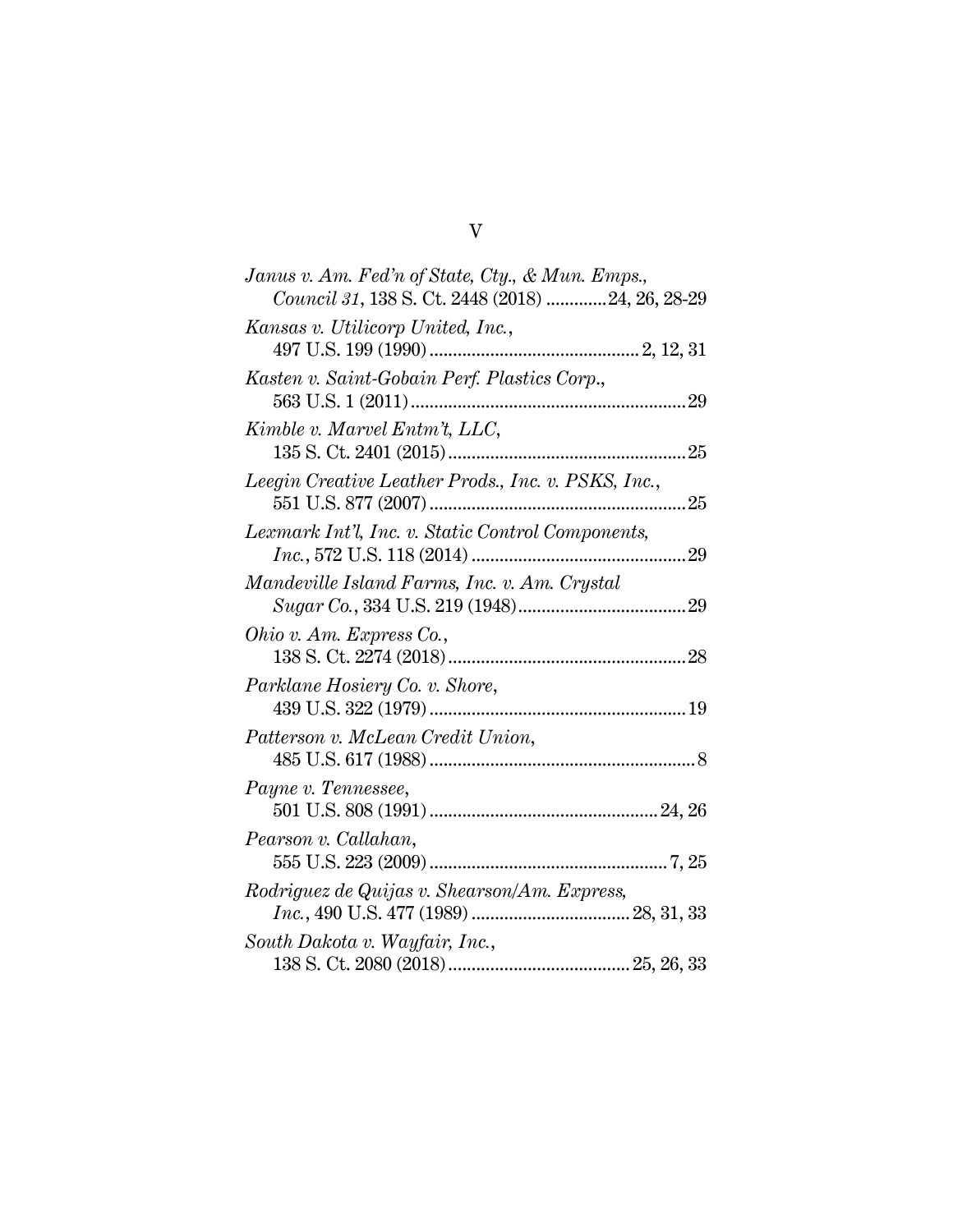| Janus v. Am. Fed'n of State, Cty., & Mun. Emps.,    |
|-----------------------------------------------------|
| Council 31, 138 S. Ct. 2448 (2018) 24, 26, 28-29    |
| Kansas v. Utilicorp United, Inc.,                   |
| Kasten v. Saint-Gobain Perf. Plastics Corp.,        |
| Kimble v. Marvel Entm't, LLC,                       |
| Leegin Creative Leather Prods., Inc. v. PSKS, Inc., |
| Lexmark Int'l, Inc. v. Static Control Components,   |
| Mandeville Island Farms, Inc. v. Am. Crystal        |
| Ohio v. Am. Express Co.,                            |
| Parklane Hosiery Co. v. Shore,                      |
| Patterson v. McLean Credit Union,                   |
| Payne v. Tennessee,                                 |
| Pearson v. Callahan,                                |
| Rodriguez de Quijas v. Shearson/Am. Express,        |
| South Dakota v. Wayfair, Inc.,                      |

V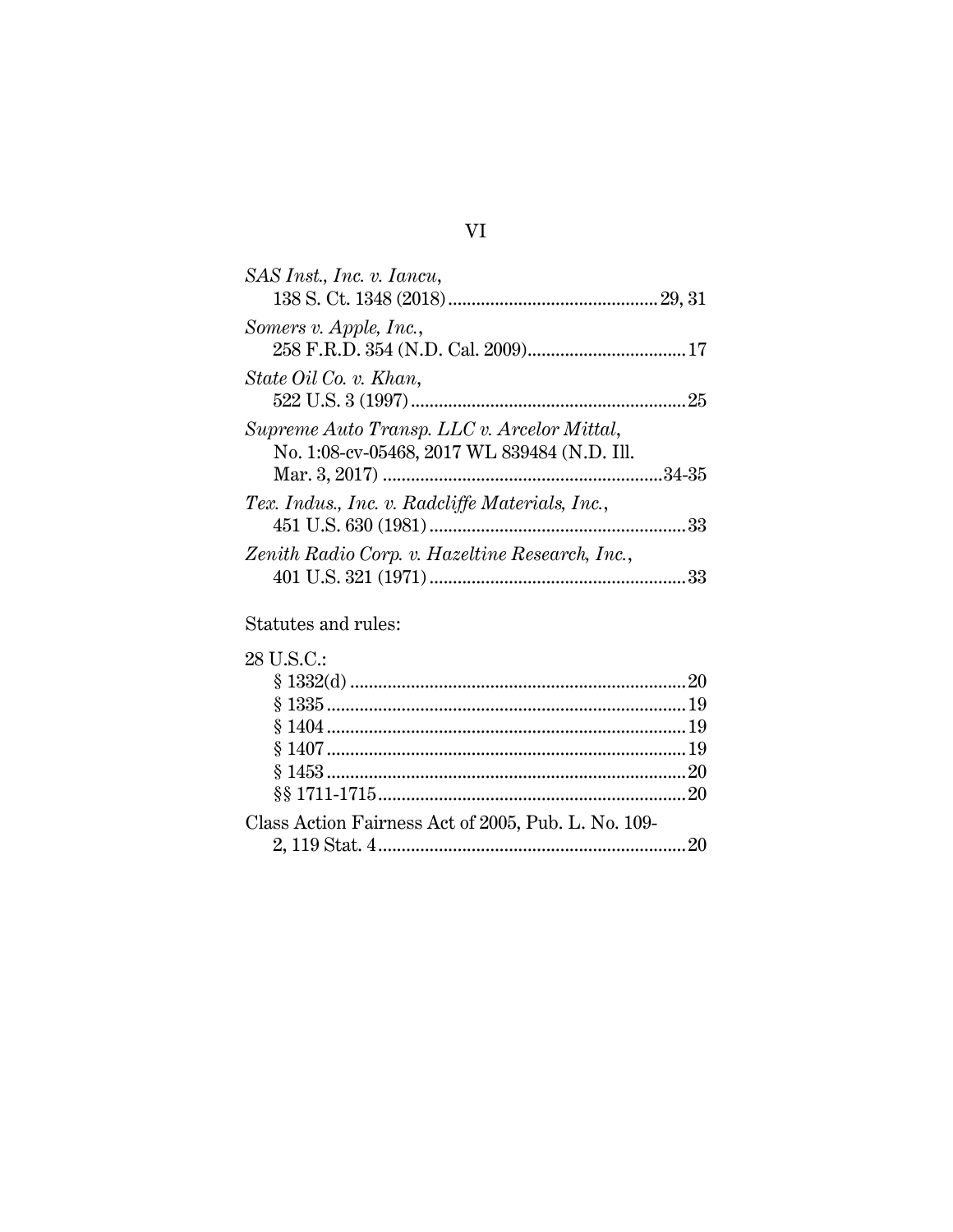| SAS Inst., Inc. v. Iancu,                                                                   |  |
|---------------------------------------------------------------------------------------------|--|
| Somers v. Apple, Inc.,                                                                      |  |
| State Oil Co. v. Khan,                                                                      |  |
| Supreme Auto Transp. LLC v. Arcelor Mittal,<br>No. 1:08-cv-05468, 2017 WL 839484 (N.D. Ill. |  |
| Tex. Indus., Inc. v. Radcliffe Materials, Inc.,                                             |  |
| Zenith Radio Corp. v. Hazeltine Research, Inc.,                                             |  |

## Statutes and rules:

| 28 U.S.C.:                                          |  |
|-----------------------------------------------------|--|
|                                                     |  |
|                                                     |  |
|                                                     |  |
|                                                     |  |
|                                                     |  |
|                                                     |  |
| Class Action Fairness Act of 2005, Pub. L. No. 109- |  |
|                                                     |  |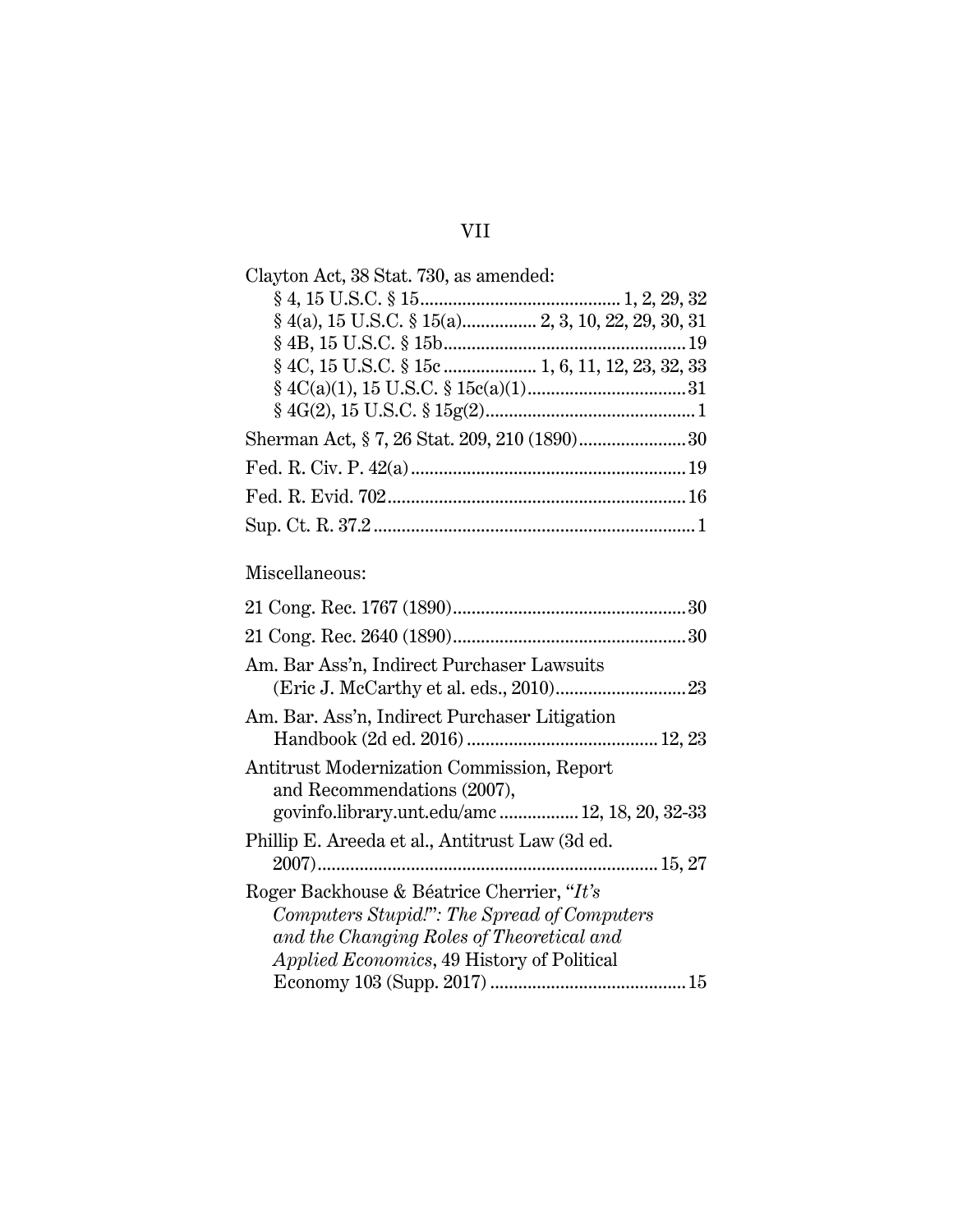| Clayton Act, 38 Stat. 730, as amended:          |
|-------------------------------------------------|
|                                                 |
|                                                 |
|                                                 |
| § 4C, 15 U.S.C. § 15c  1, 6, 11, 12, 23, 32, 33 |
|                                                 |
|                                                 |
|                                                 |
|                                                 |
|                                                 |
|                                                 |

## Miscellaneous:

| Am. Bar Ass'n, Indirect Purchaser Lawsuits                                                                                                                                                   |
|----------------------------------------------------------------------------------------------------------------------------------------------------------------------------------------------|
| Am. Bar. Ass'n, Indirect Purchaser Litigation                                                                                                                                                |
| Antitrust Modernization Commission, Report<br>and Recommendations (2007),<br>govinfo.library.unt.edu/amc 12, 18, 20, 32-33                                                                   |
| Phillip E. Areeda et al., Antitrust Law (3d ed.                                                                                                                                              |
| Roger Backhouse & Béatrice Cherrier, "It's<br>Computers Stupid!": The Spread of Computers<br>and the Changing Roles of Theoretical and<br><i>Applied Economics</i> , 49 History of Political |
|                                                                                                                                                                                              |

## VII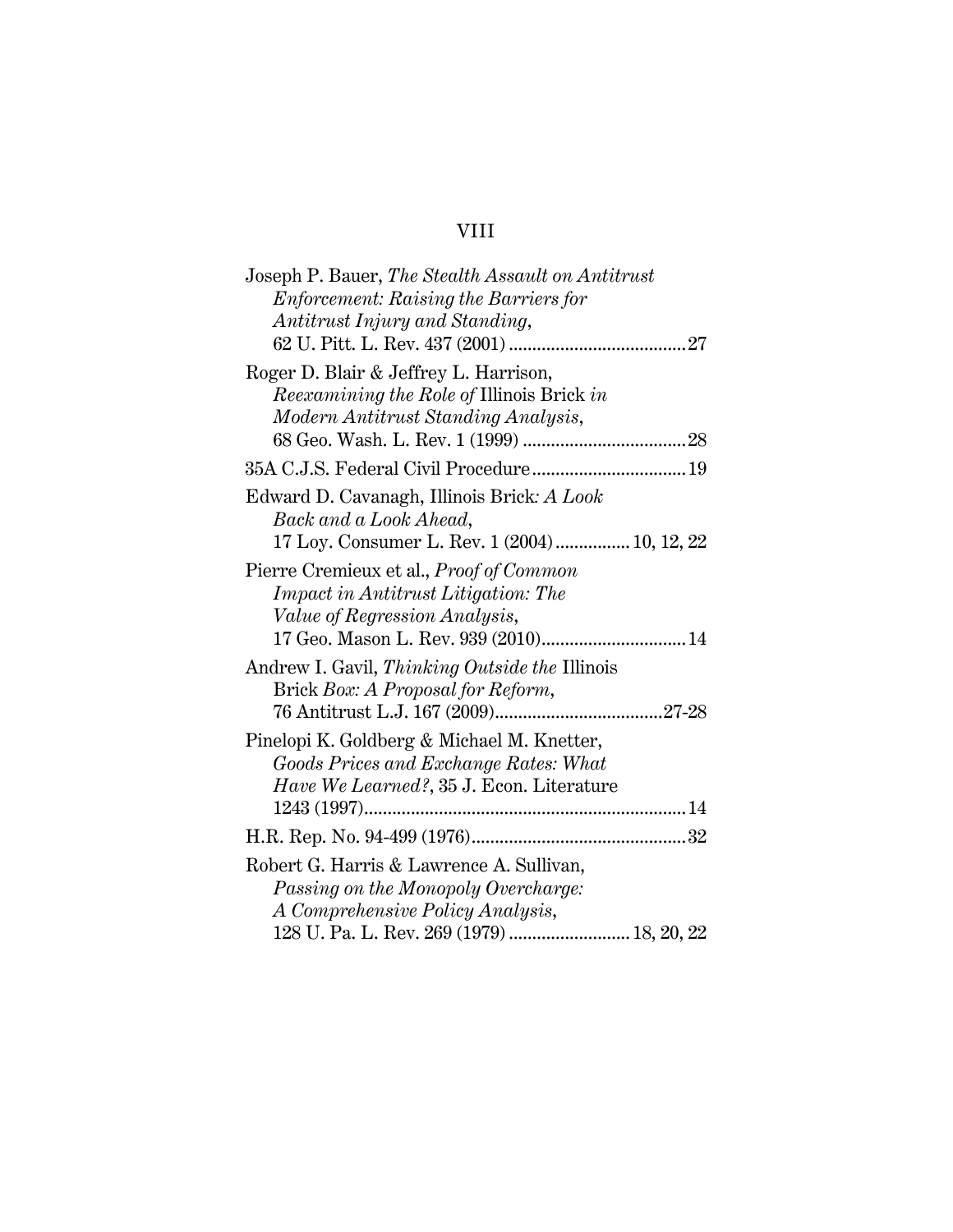# VIII

| Joseph P. Bauer, The Stealth Assault on Antitrust |
|---------------------------------------------------|
| <i>Enforcement: Raising the Barriers for</i>      |
| Antitrust Injury and Standing,                    |
|                                                   |
| Roger D. Blair & Jeffrey L. Harrison,             |
| <i>Reexamining the Role of Illinois Brick in</i>  |
| Modern Antitrust Standing Analysis,               |
|                                                   |
|                                                   |
| Edward D. Cavanagh, Illinois Brick: A Look        |
| Back and a Look Ahead,                            |
| 17 Loy. Consumer L. Rev. 1 (2004)  10, 12, 22     |
| Pierre Cremieux et al., <i>Proof of Common</i>    |
| <i>Impact in Antitrust Litigation: The</i>        |
| <i>Value of Regression Analysis,</i>              |
| 17 Geo. Mason L. Rev. 939 (2010) 14               |
| Andrew I. Gavil, Thinking Outside the Illinois    |
| Brick Box: A Proposal for Reform,                 |
|                                                   |
| Pinelopi K. Goldberg & Michael M. Knetter,        |
| Goods Prices and Exchange Rates: What             |
| Have We Learned?, 35 J. Econ. Literature          |
|                                                   |
|                                                   |
| Robert G. Harris & Lawrence A. Sullivan,          |
| Passing on the Monopoly Overcharge:               |
| A Comprehensive Policy Analysis,                  |
| 128 U. Pa. L. Rev. 269 (1979)  18, 20, 22         |
|                                                   |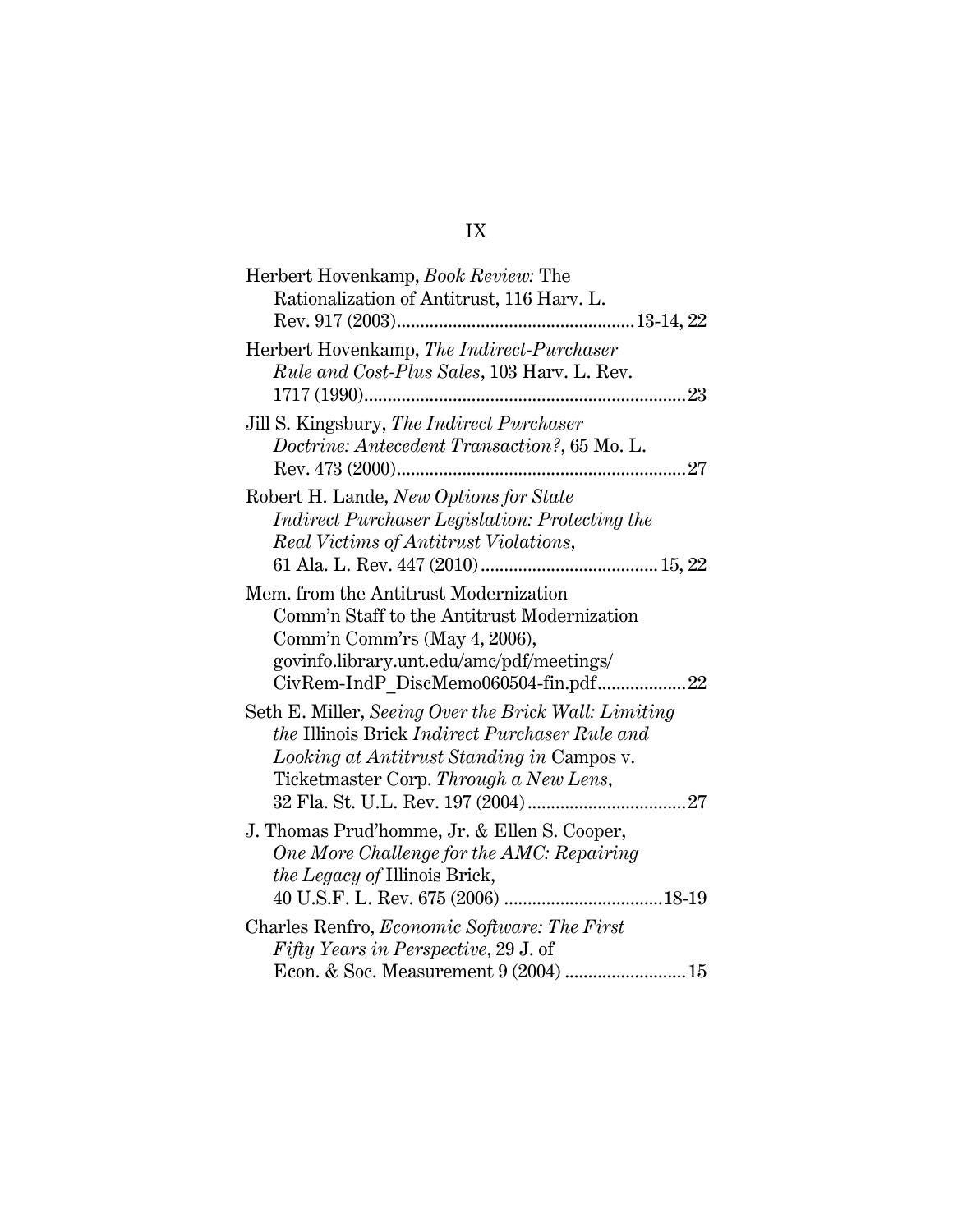# IX

| Herbert Hovenkamp, Book Review: The                   |
|-------------------------------------------------------|
| Rationalization of Antitrust, 116 Harv. L.            |
|                                                       |
| Herbert Hovenkamp, The Indirect-Purchaser             |
| <i>Rule and Cost-Plus Sales,</i> 103 Harv. L. Rev.    |
|                                                       |
| Jill S. Kingsbury, The Indirect Purchaser             |
| Doctrine: Antecedent Transaction?, 65 Mo. L.          |
|                                                       |
| Robert H. Lande, New Options for State                |
| <i>Indirect Purchaser Legislation: Protecting the</i> |
| Real Victims of Antitrust Violations,                 |
|                                                       |
|                                                       |
| Mem. from the Antitrust Modernization                 |
| Comm'n Staff to the Antitrust Modernization           |
| Comm'n Comm'rs (May 4, 2006),                         |
| govinfo.library.unt.edu/amc/pdf/meetings/             |
|                                                       |
| Seth E. Miller, Seeing Over the Brick Wall: Limiting  |
| <i>the Illinois Brick Indirect Purchaser Rule and</i> |
| Looking at Antitrust Standing in Campos v.            |
| Ticketmaster Corp. Through a New Lens,                |
|                                                       |
|                                                       |
| J. Thomas Prud'homme, Jr. & Ellen S. Cooper,          |
| One More Challenge for the AMC: Repairing             |
| the Legacy of Illinois Brick,                         |
|                                                       |
| Charles Renfro, <i>Economic Software: The First</i>   |
| <i>Fifty Years in Perspective, 29 J. of</i>           |
|                                                       |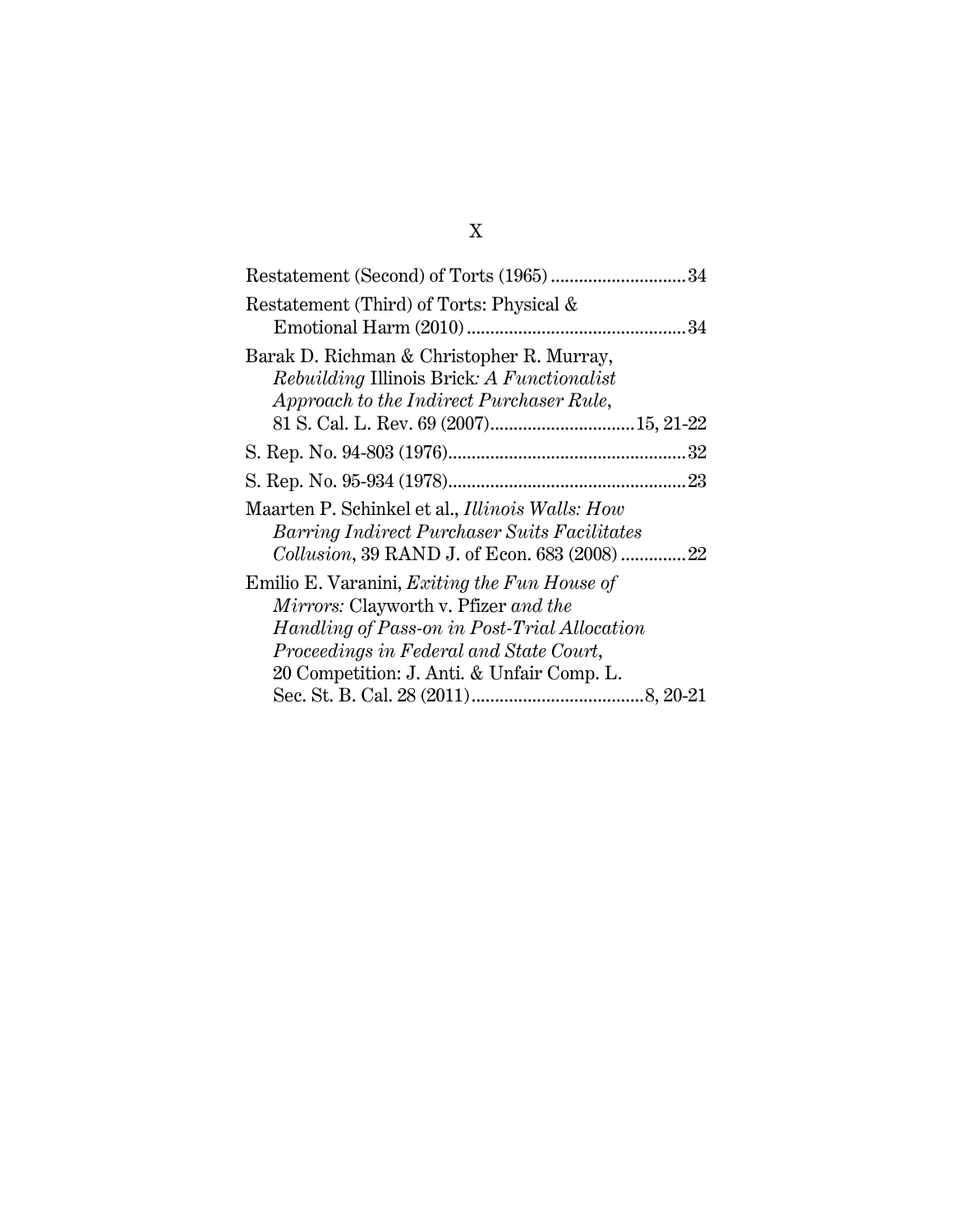| Restatement (Third) of Torts: Physical &                                                                                                                                                                                             |
|--------------------------------------------------------------------------------------------------------------------------------------------------------------------------------------------------------------------------------------|
| Barak D. Richman & Christopher R. Murray,<br><i>Rebuilding Illinois Brick: A Functionalist</i><br>Approach to the Indirect Purchaser Rule,                                                                                           |
|                                                                                                                                                                                                                                      |
|                                                                                                                                                                                                                                      |
| Maarten P. Schinkel et al., Illinois Walls: How<br><b>Barring Indirect Purchaser Suits Facilitates</b><br><i>Collusion</i> , 39 RAND J. of Econ. 683 (2008) 22                                                                       |
| Emilio E. Varanini, <i>Exiting the Fun House of</i><br>Mirrors: Clayworth v. Pfizer and the<br>Handling of Pass-on in Post-Trial Allocation<br>Proceedings in Federal and State Court,<br>20 Competition: J. Anti. & Unfair Comp. L. |
|                                                                                                                                                                                                                                      |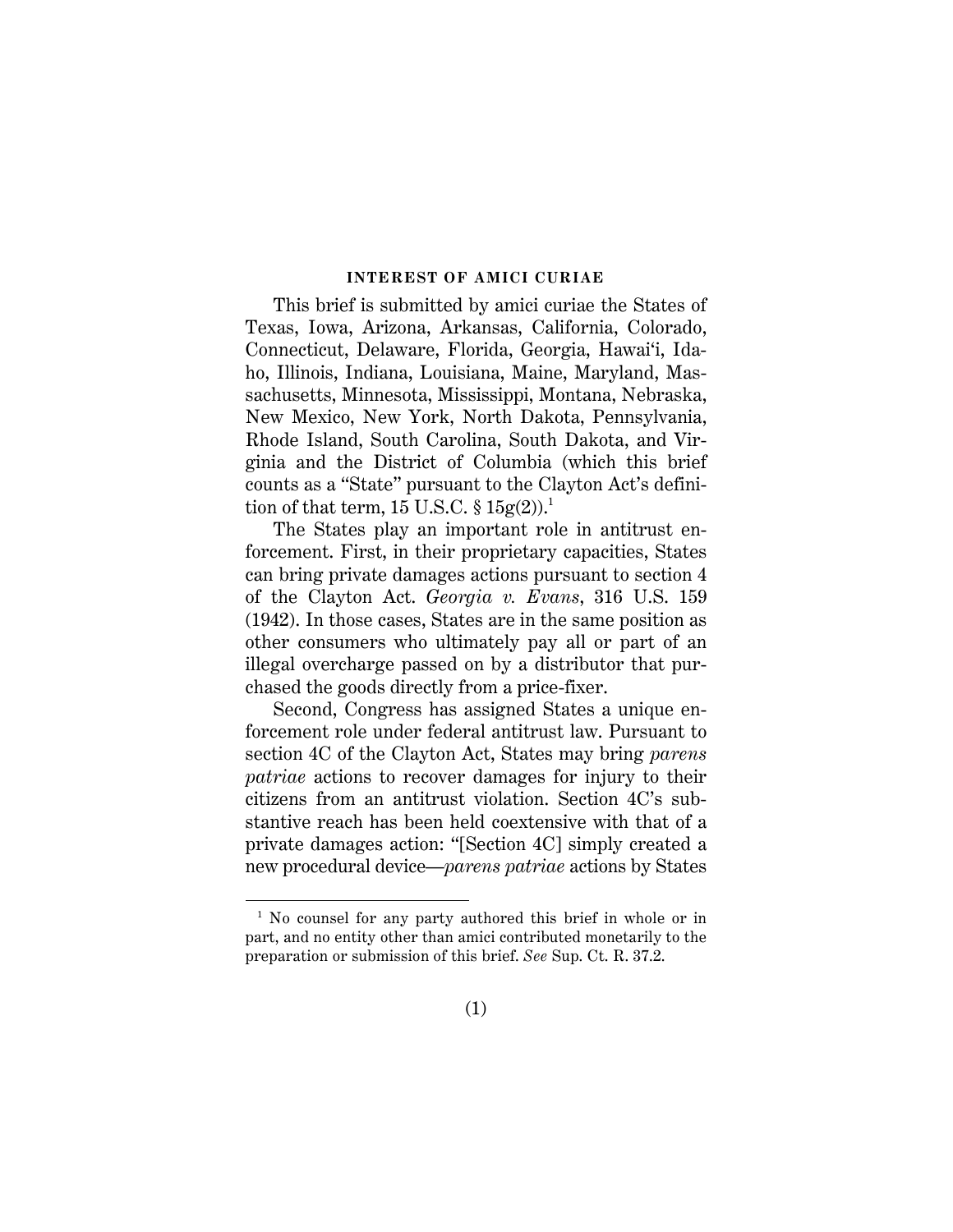#### **INTEREST OF AMICI CURIAE**

This brief is submitted by amici curiae the States of Texas, Iowa, Arizona, Arkansas, California, Colorado, Connecticut, Delaware, Florida, Georgia, Hawai'i, Idaho, Illinois, Indiana, Louisiana, Maine, Maryland, Massachusetts, Minnesota, Mississippi, Montana, Nebraska, New Mexico, New York, North Dakota, Pennsylvania, Rhode Island, South Carolina, South Dakota, and Virginia and the District of Columbia (which this brief counts as a "State" pursuant to the Clayton Act's definition of that term, 15 U.S.C.  $\S 15g(2).$ <sup>1</sup>

<span id="page-11-1"></span><span id="page-11-0"></span>The States play an important role in antitrust enforcement. First, in their proprietary capacities, States can bring private damages actions pursuant to section 4 of the Clayton Act. *Georgia v. Evans*, 316 U.S. 159 (1942). In those cases, States are in the same position as other consumers who ultimately pay all or part of an illegal overcharge passed on by a distributor that purchased the goods directly from a price-fixer.

<span id="page-11-2"></span>Second, Congress has assigned States a unique enforcement role under federal antitrust law. Pursuant to section 4C of the Clayton Act, States may bring *parens patriae* actions to recover damages for injury to their citizens from an antitrust violation. Section 4C's substantive reach has been held coextensive with that of a private damages action: "[Section 4C] simply created a new procedural device—*parens patriae* actions by States

<span id="page-11-3"></span>l

<sup>&</sup>lt;sup>1</sup> No counsel for any party authored this brief in whole or in part, and no entity other than amici contributed monetarily to the preparation or submission of this brief. *See* Sup. Ct. R. 37.2.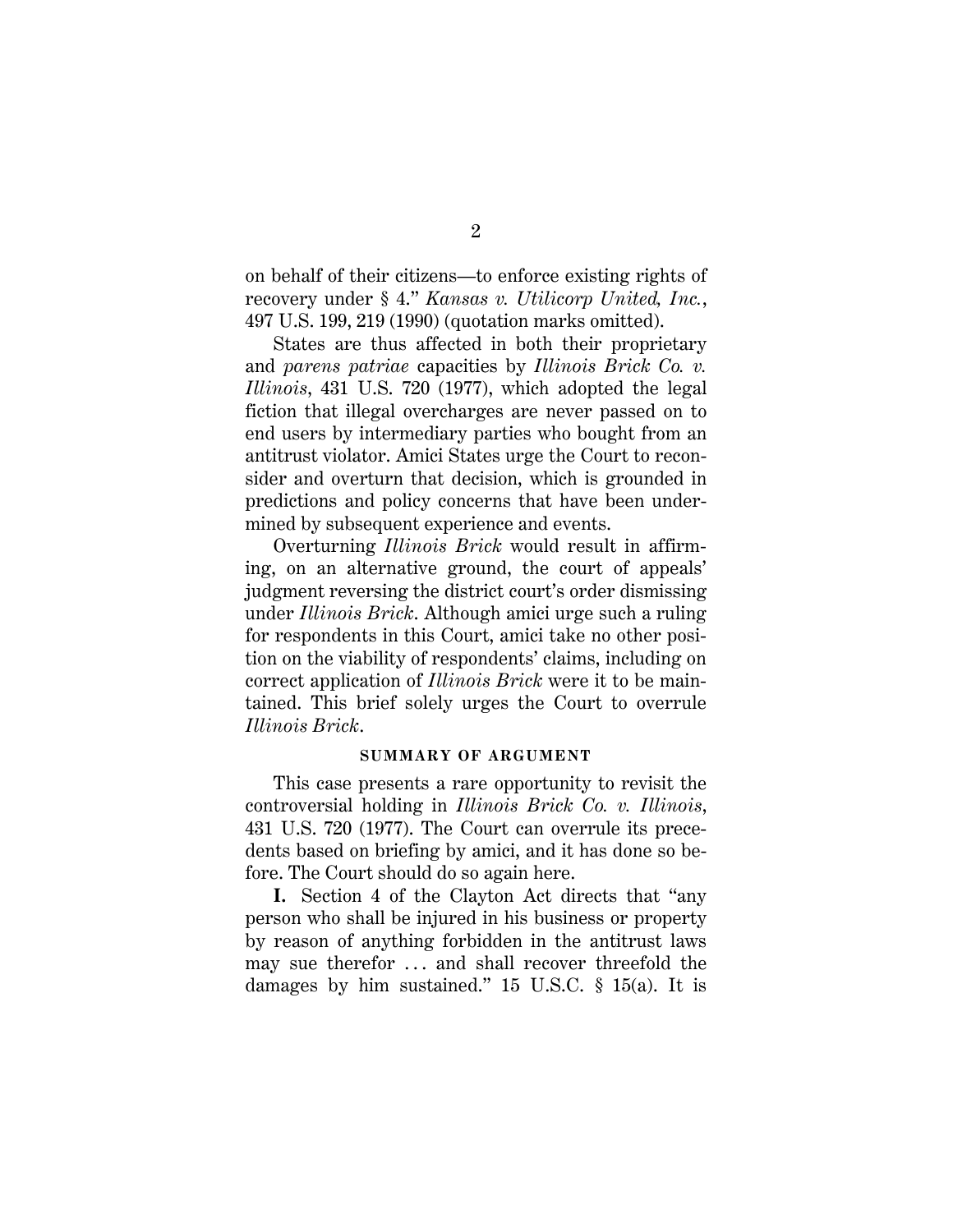<span id="page-12-1"></span><span id="page-12-0"></span>on behalf of their citizens—to enforce existing rights of recovery under § 4." *Kansas v. Utilicorp United, Inc.*, 497 U.S. 199, 219 (1990) (quotation marks omitted).

States are thus affected in both their proprietary and *parens patriae* capacities by *Illinois Brick Co. v. Illinois*, 431 U.S. 720 (1977), which adopted the legal fiction that illegal overcharges are never passed on to end users by intermediary parties who bought from an antitrust violator. Amici States urge the Court to reconsider and overturn that decision, which is grounded in predictions and policy concerns that have been undermined by subsequent experience and events.

Overturning *Illinois Brick* would result in affirming, on an alternative ground, the court of appeals' judgment reversing the district court's order dismissing under *Illinois Brick*. Although amici urge such a ruling for respondents in this Court, amici take no other position on the viability of respondents' claims, including on correct application of *Illinois Brick* were it to be maintained. This brief solely urges the Court to overrule *Illinois Brick*.

#### <span id="page-12-2"></span>**SUMMARY OF ARGUMENT**

This case presents a rare opportunity to revisit the controversial holding in *Illinois Brick Co. v. Illinois*, 431 U.S. 720 (1977). The Court can overrule its precedents based on briefing by amici, and it has done so before. The Court should do so again here.

**I.** Section 4 of the Clayton Act directs that "any person who shall be injured in his business or property by reason of anything forbidden in the antitrust laws may sue therefor ... and shall recover threefold the damages by him sustained." 15 U.S.C. § 15(a). It is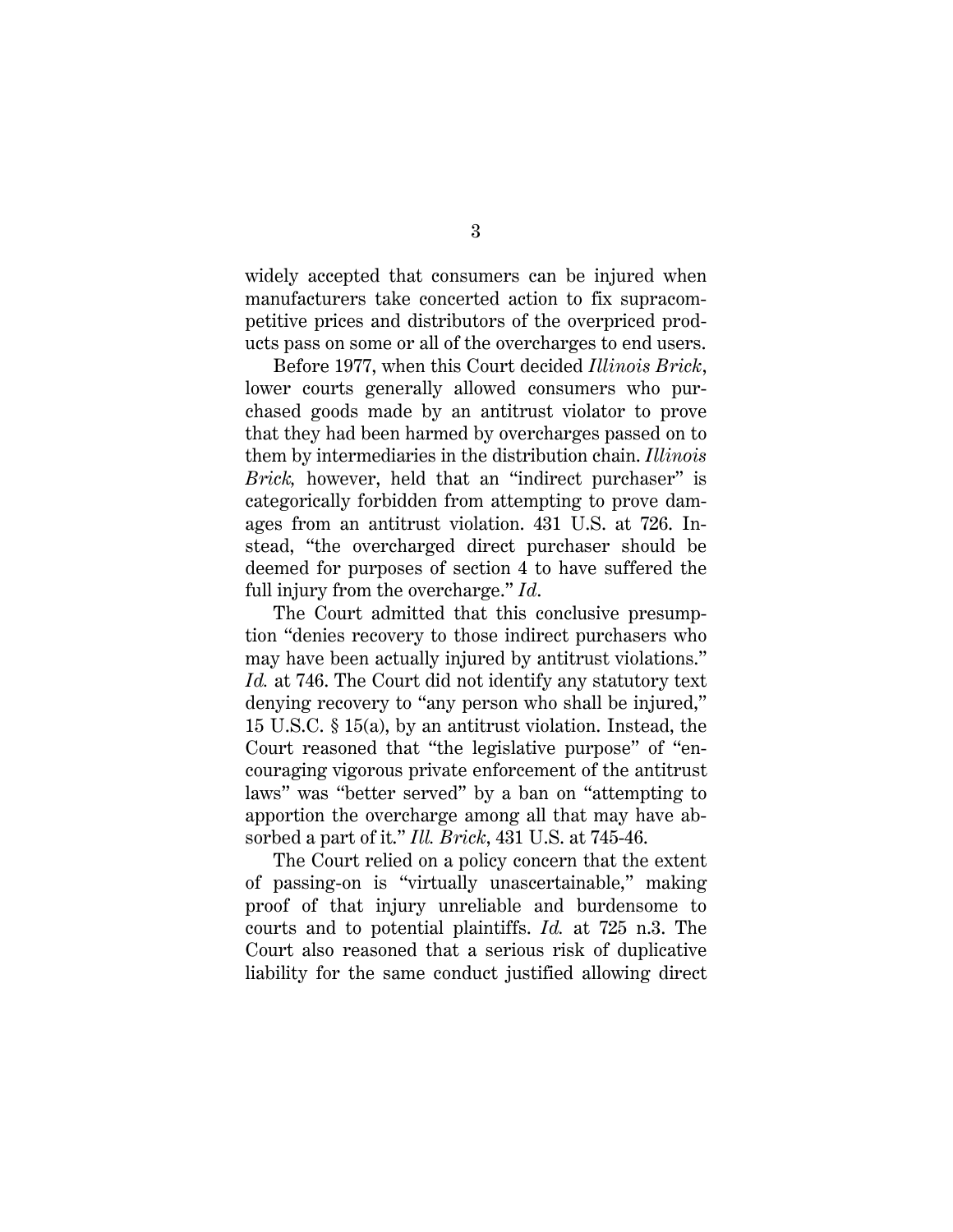widely accepted that consumers can be injured when manufacturers take concerted action to fix supracompetitive prices and distributors of the overpriced products pass on some or all of the overcharges to end users.

Before 1977, when this Court decided *Illinois Brick*, lower courts generally allowed consumers who purchased goods made by an antitrust violator to prove that they had been harmed by overcharges passed on to them by intermediaries in the distribution chain. *Illinois Brick*, however, held that an "indirect purchaser" is categorically forbidden from attempting to prove damages from an antitrust violation. 431 U.S. at 726. Instead, "the overcharged direct purchaser should be deemed for purposes of section 4 to have suffered the full injury from the overcharge." *Id*.

The Court admitted that this conclusive presumption "denies recovery to those indirect purchasers who may have been actually injured by antitrust violations." *Id.* at 746. The Court did not identify any statutory text denying recovery to "any person who shall be injured," 15 U.S.C. § 15(a), by an antitrust violation. Instead, the Court reasoned that "the legislative purpose" of "encouraging vigorous private enforcement of the antitrust laws" was "better served" by a ban on "attempting to apportion the overcharge among all that may have absorbed a part of it." *Ill. Brick*, 431 U.S. at 745-46.

The Court relied on a policy concern that the extent of passing-on is "virtually unascertainable," making proof of that injury unreliable and burdensome to courts and to potential plaintiffs. *Id.* at 725 n.3. The Court also reasoned that a serious risk of duplicative liability for the same conduct justified allowing direct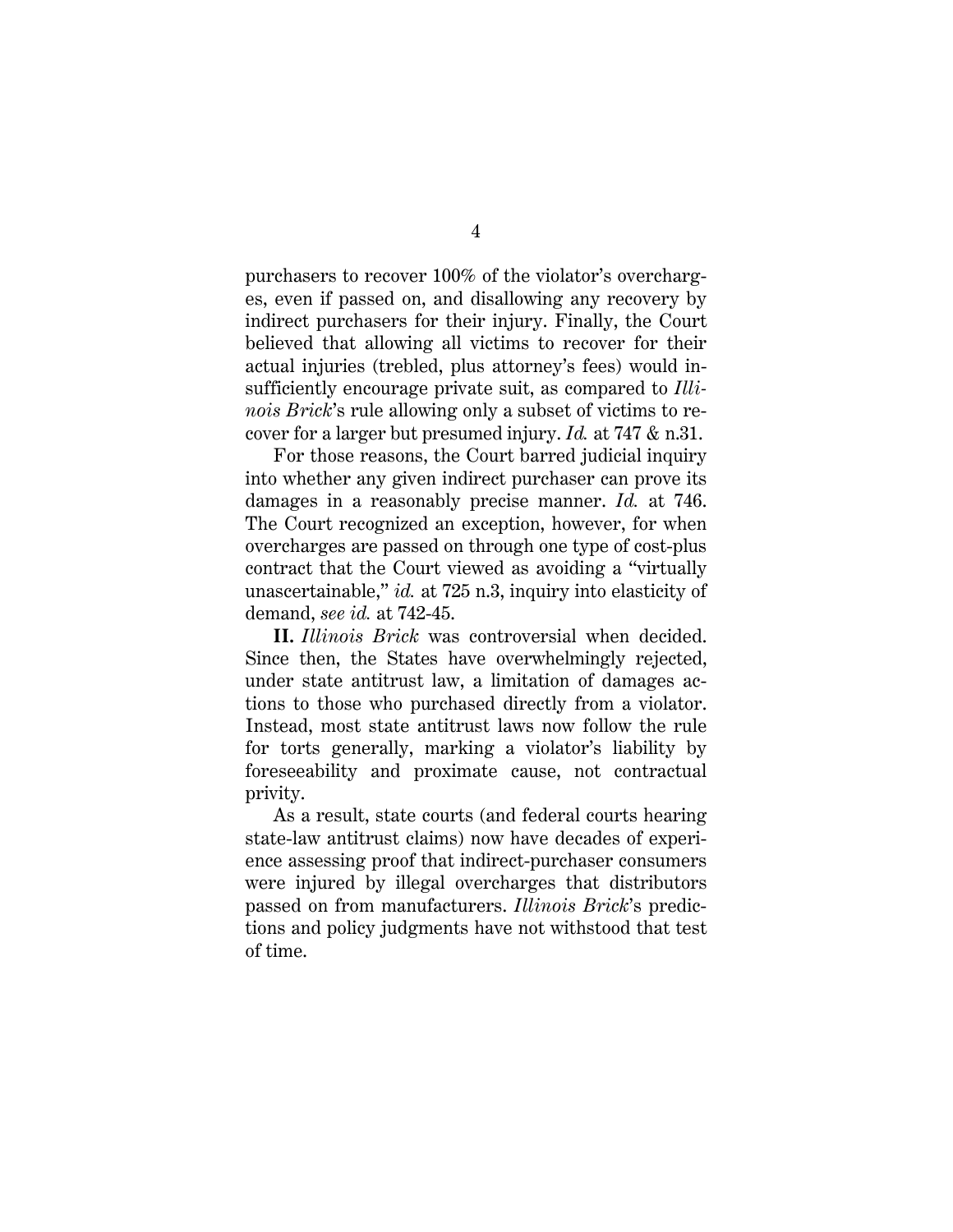purchasers to recover 100% of the violator's overcharges, even if passed on, and disallowing any recovery by indirect purchasers for their injury. Finally, the Court believed that allowing all victims to recover for their actual injuries (trebled, plus attorney's fees) would insufficiently encourage private suit, as compared to *Illinois Brick*'s rule allowing only a subset of victims to recover for a larger but presumed injury. *Id.* at 747 & n.31.

For those reasons, the Court barred judicial inquiry into whether any given indirect purchaser can prove its damages in a reasonably precise manner. *Id.* at 746. The Court recognized an exception, however, for when overcharges are passed on through one type of cost-plus contract that the Court viewed as avoiding a "virtually unascertainable," *id.* at 725 n.3, inquiry into elasticity of demand, *see id.* at 742-45.

**II.** *Illinois Brick* was controversial when decided. Since then, the States have overwhelmingly rejected, under state antitrust law, a limitation of damages actions to those who purchased directly from a violator. Instead, most state antitrust laws now follow the rule for torts generally, marking a violator's liability by foreseeability and proximate cause, not contractual privity.

As a result, state courts (and federal courts hearing state-law antitrust claims) now have decades of experience assessing proof that indirect-purchaser consumers were injured by illegal overcharges that distributors passed on from manufacturers. *Illinois Brick*'s predictions and policy judgments have not withstood that test of time.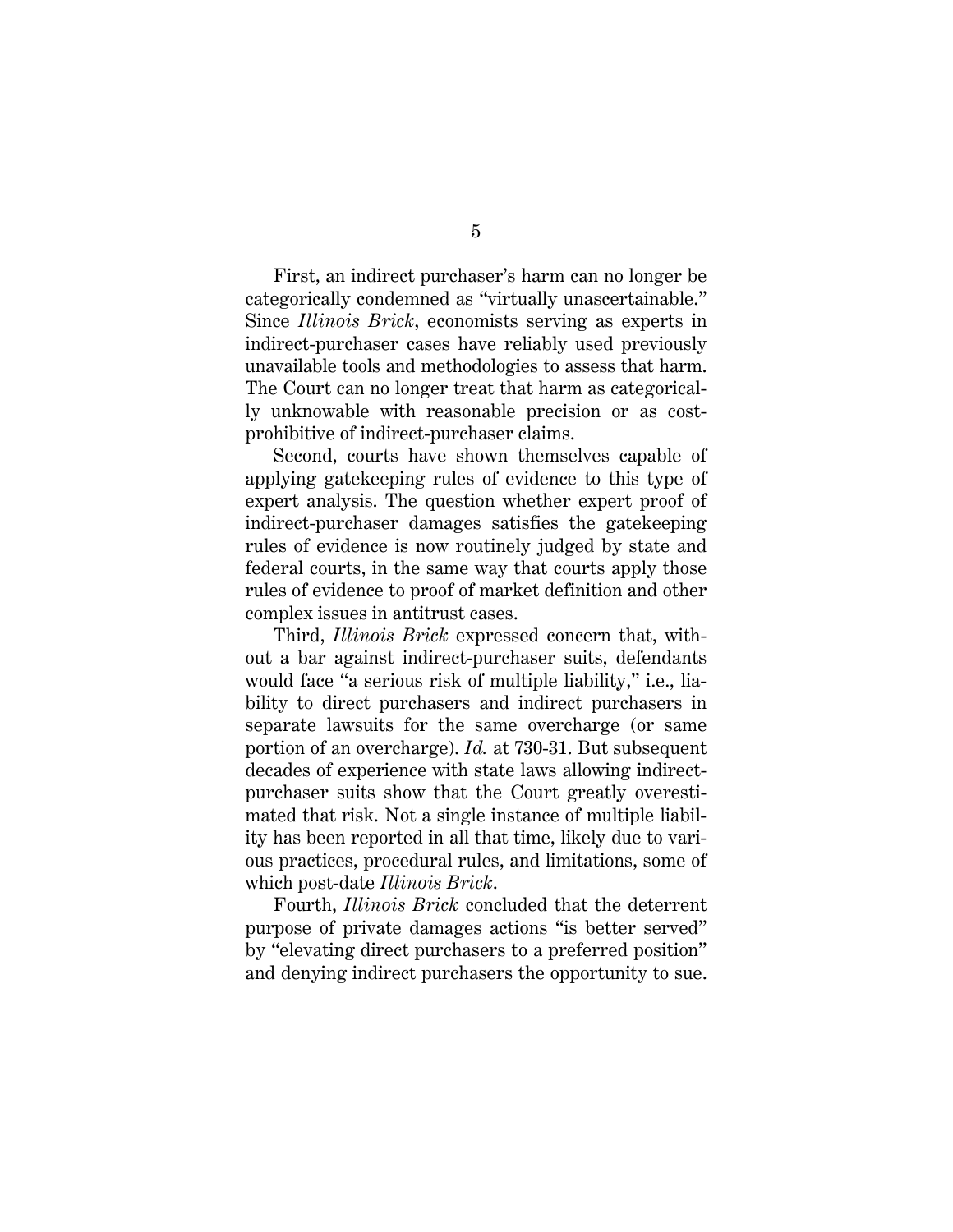First, an indirect purchaser's harm can no longer be categorically condemned as "virtually unascertainable." Since *Illinois Brick*, economists serving as experts in indirect-purchaser cases have reliably used previously unavailable tools and methodologies to assess that harm. The Court can no longer treat that harm as categorically unknowable with reasonable precision or as costprohibitive of indirect-purchaser claims.

Second, courts have shown themselves capable of applying gatekeeping rules of evidence to this type of expert analysis. The question whether expert proof of indirect-purchaser damages satisfies the gatekeeping rules of evidence is now routinely judged by state and federal courts, in the same way that courts apply those rules of evidence to proof of market definition and other complex issues in antitrust cases.

Third, *Illinois Brick* expressed concern that, without a bar against indirect-purchaser suits, defendants would face "a serious risk of multiple liability," i.e., liability to direct purchasers and indirect purchasers in separate lawsuits for the same overcharge (or same portion of an overcharge). *Id.* at 730-31. But subsequent decades of experience with state laws allowing indirectpurchaser suits show that the Court greatly overestimated that risk. Not a single instance of multiple liability has been reported in all that time, likely due to various practices, procedural rules, and limitations, some of which post-date *Illinois Brick*.

Fourth, *Illinois Brick* concluded that the deterrent purpose of private damages actions "is better served" by "elevating direct purchasers to a preferred position" and denying indirect purchasers the opportunity to sue.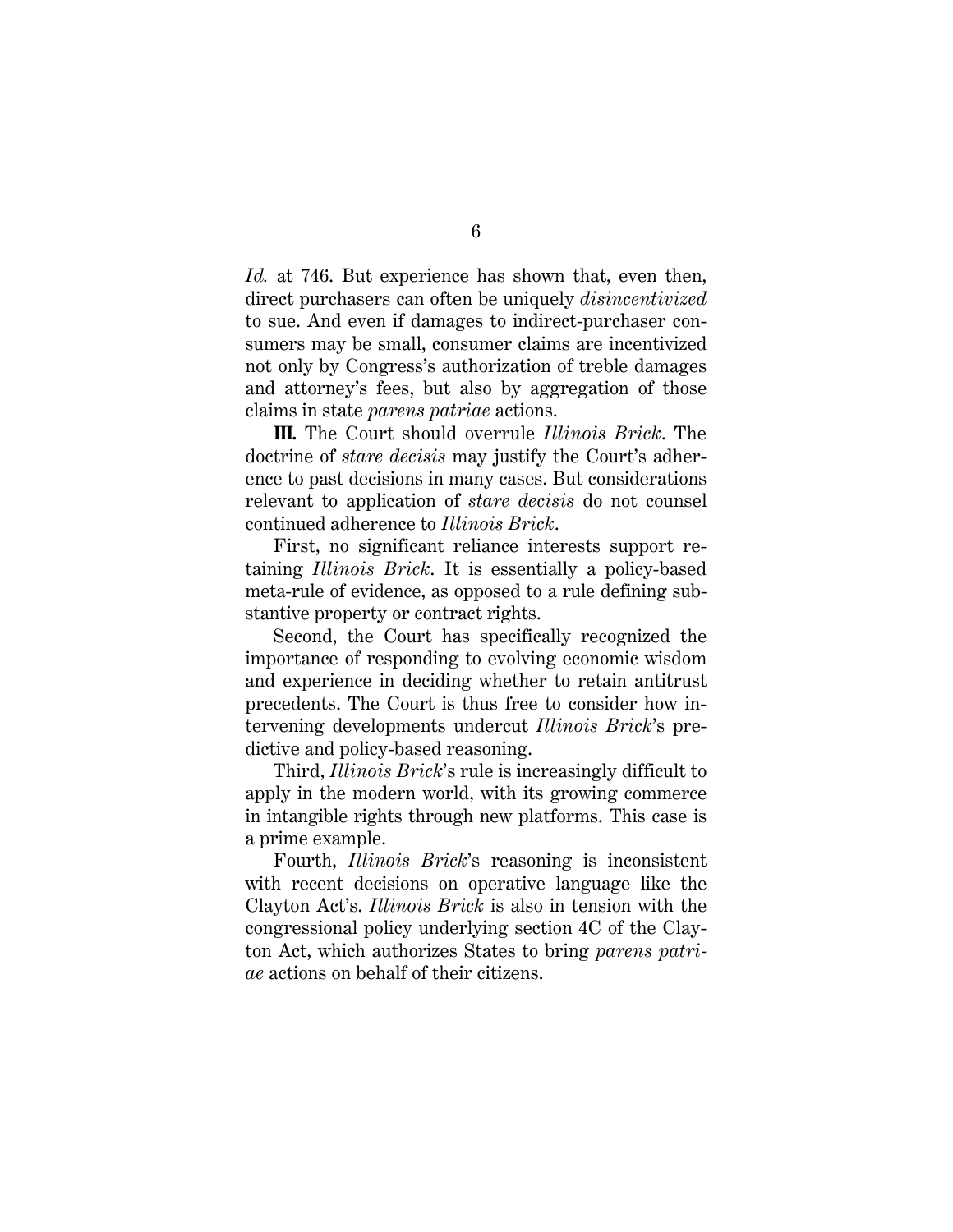*Id.* at 746. But experience has shown that, even then, direct purchasers can often be uniquely *disincentivized*  to sue. And even if damages to indirect-purchaser consumers may be small, consumer claims are incentivized not only by Congress's authorization of treble damages and attorney's fees, but also by aggregation of those claims in state *parens patriae* actions.

**III.** The Court should overrule *Illinois Brick*. The doctrine of *stare decisis* may justify the Court's adherence to past decisions in many cases. But considerations relevant to application of *stare decisis* do not counsel continued adherence to *Illinois Brick*.

First, no significant reliance interests support retaining *Illinois Brick*. It is essentially a policy-based meta-rule of evidence, as opposed to a rule defining substantive property or contract rights.

Second, the Court has specifically recognized the importance of responding to evolving economic wisdom and experience in deciding whether to retain antitrust precedents. The Court is thus free to consider how intervening developments undercut *Illinois Brick*'s predictive and policy-based reasoning.

Third, *Illinois Brick*'s rule is increasingly difficult to apply in the modern world, with its growing commerce in intangible rights through new platforms. This case is a prime example.

Fourth, *Illinois Brick*'s reasoning is inconsistent with recent decisions on operative language like the Clayton Act's. *Illinois Brick* is also in tension with the congressional policy underlying section 4C of the Clayton Act, which authorizes States to bring *parens patriae* actions on behalf of their citizens.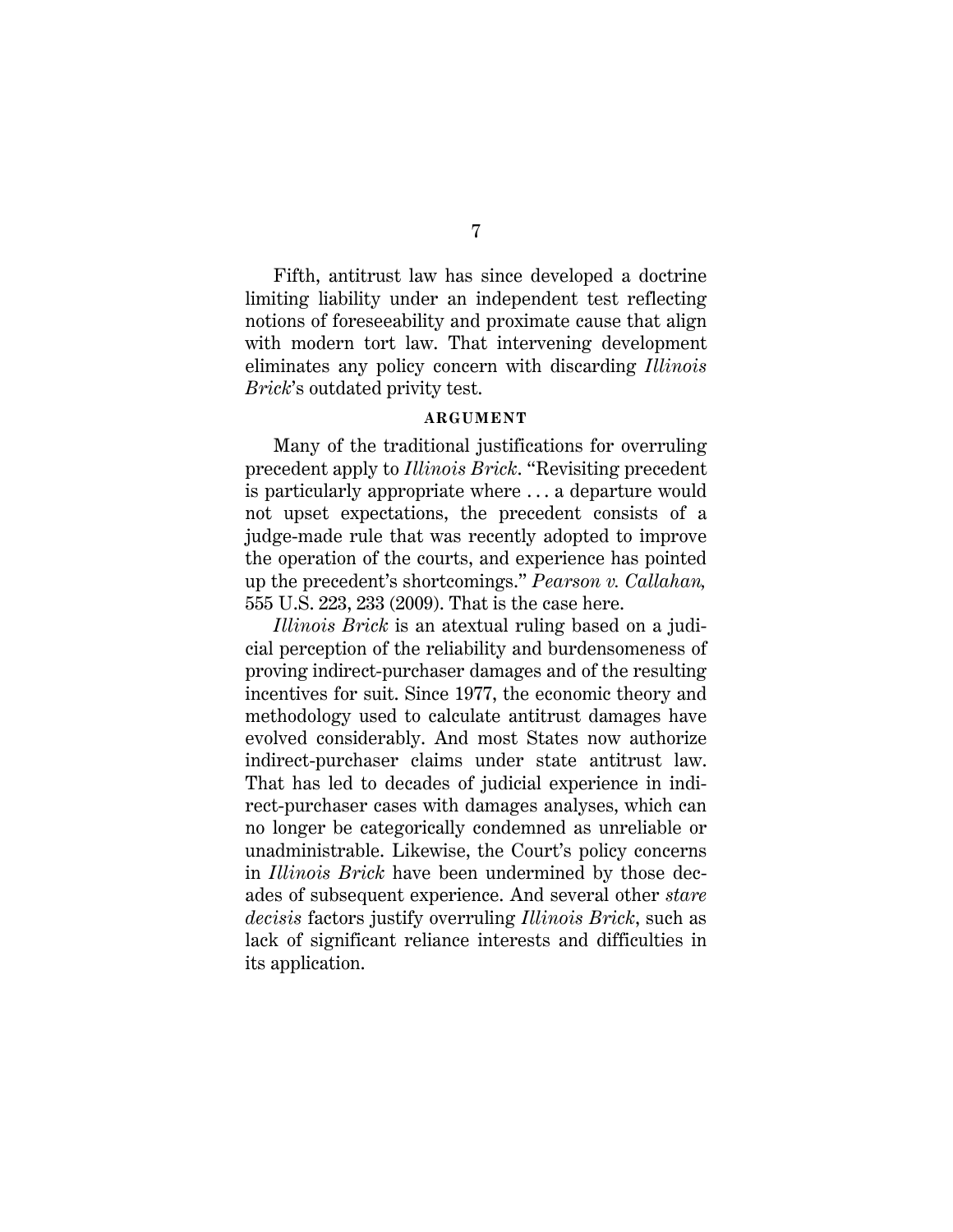Fifth, antitrust law has since developed a doctrine limiting liability under an independent test reflecting notions of foreseeability and proximate cause that align with modern tort law. That intervening development eliminates any policy concern with discarding *Illinois Brick*'s outdated privity test.

#### <span id="page-17-0"></span>**ARGUMENT**

Many of the traditional justifications for overruling precedent apply to *Illinois Brick*. "Revisiting precedent is particularly appropriate where . . . a departure would not upset expectations, the precedent consists of a judge-made rule that was recently adopted to improve the operation of the courts, and experience has pointed up the precedent's shortcomings." *Pearson v. Callahan,* 555 U.S. 223, 233 (2009). That is the case here.

*Illinois Brick* is an atextual ruling based on a judicial perception of the reliability and burdensomeness of proving indirect-purchaser damages and of the resulting incentives for suit. Since 1977, the economic theory and methodology used to calculate antitrust damages have evolved considerably. And most States now authorize indirect-purchaser claims under state antitrust law. That has led to decades of judicial experience in indirect-purchaser cases with damages analyses, which can no longer be categorically condemned as unreliable or unadministrable. Likewise, the Court's policy concerns in *Illinois Brick* have been undermined by those decades of subsequent experience. And several other *stare decisis* factors justify overruling *Illinois Brick*, such as lack of significant reliance interests and difficulties in its application.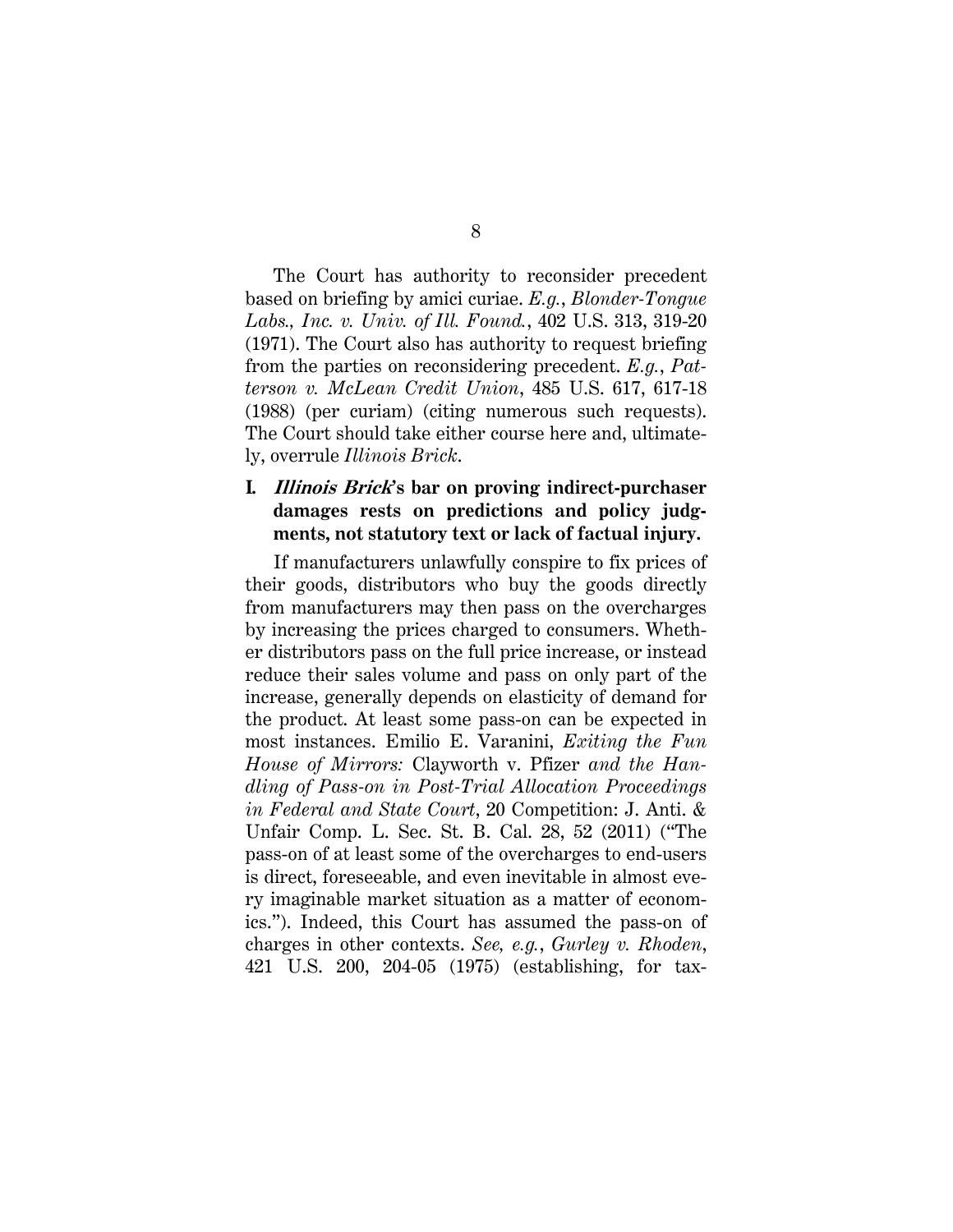<span id="page-18-2"></span><span id="page-18-0"></span>The Court has authority to reconsider precedent based on briefing by amici curiae. *E.g.*, *Blonder-Tongue Labs., Inc. v. Univ. of Ill. Found.*, 402 U.S. 313, 319-20 (1971). The Court also has authority to request briefing from the parties on reconsidering precedent. *E.g.*, *Patterson v. McLean Credit Union*, 485 U.S. 617, 617-18 (1988) (per curiam) (citing numerous such requests). The Court should take either course here and, ultimately, overrule *Illinois Brick*.

## **I. Illinois Brick's bar on proving indirect-purchaser damages rests on predictions and policy judgments, not statutory text or lack of factual injury.**

<span id="page-18-3"></span><span id="page-18-1"></span>If manufacturers unlawfully conspire to fix prices of their goods, distributors who buy the goods directly from manufacturers may then pass on the overcharges by increasing the prices charged to consumers. Whether distributors pass on the full price increase, or instead reduce their sales volume and pass on only part of the increase, generally depends on elasticity of demand for the product. At least some pass-on can be expected in most instances. Emilio E. Varanini, *Exiting the Fun House of Mirrors:* Clayworth v. Pfizer *and the Handling of Pass-on in Post-Trial Allocation Proceedings in Federal and State Court*, 20 Competition: J. Anti. & Unfair Comp. L. Sec. St. B. Cal. 28, 52 (2011) ("The pass-on of at least some of the overcharges to end-users is direct, foreseeable, and even inevitable in almost every imaginable market situation as a matter of economics."). Indeed, this Court has assumed the pass-on of charges in other contexts. *See, e.g.*, *Gurley v. Rhoden*, 421 U.S. 200, 204-05 (1975) (establishing, for tax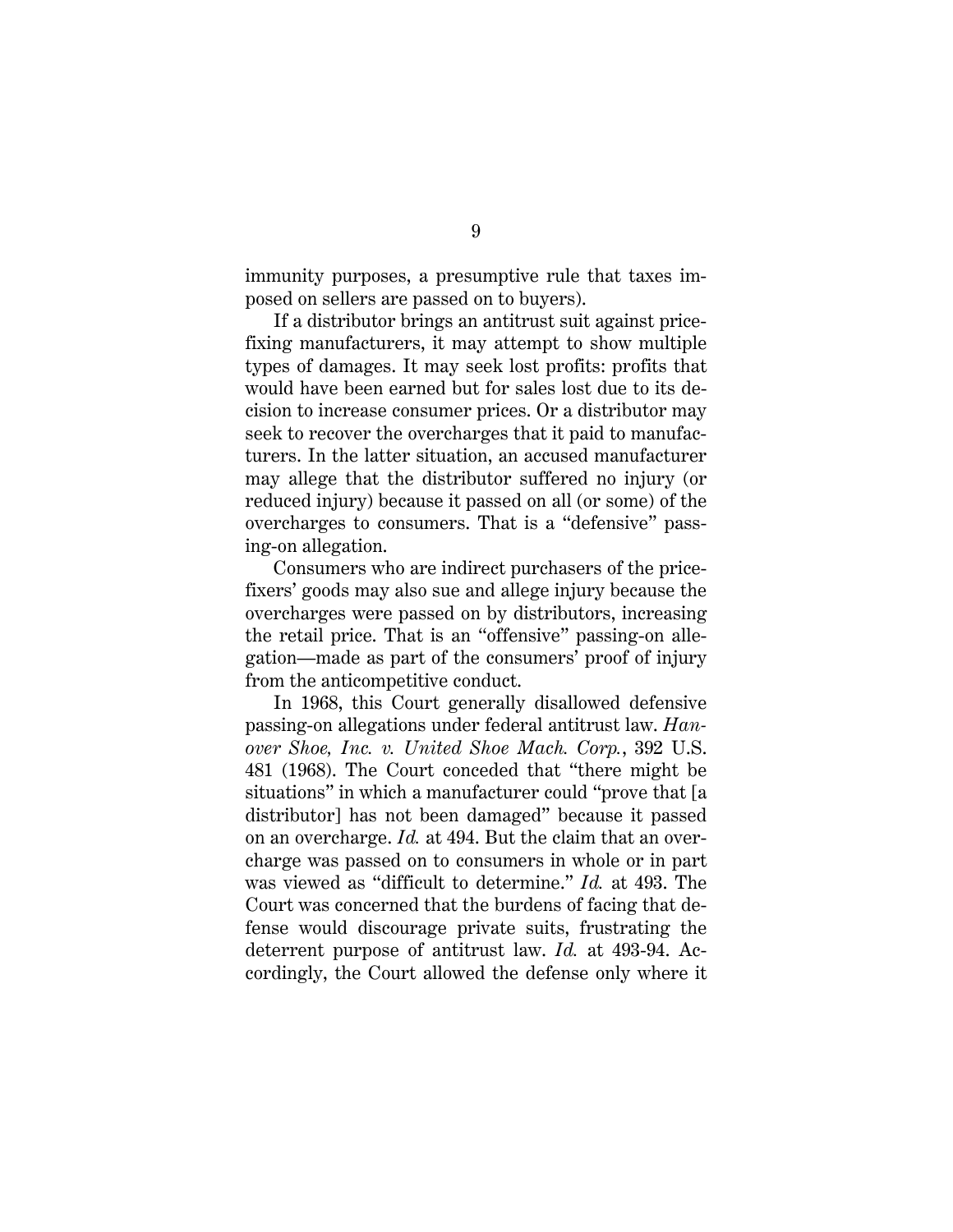immunity purposes, a presumptive rule that taxes imposed on sellers are passed on to buyers).

If a distributor brings an antitrust suit against pricefixing manufacturers, it may attempt to show multiple types of damages. It may seek lost profits: profits that would have been earned but for sales lost due to its decision to increase consumer prices. Or a distributor may seek to recover the overcharges that it paid to manufacturers. In the latter situation, an accused manufacturer may allege that the distributor suffered no injury (or reduced injury) because it passed on all (or some) of the overcharges to consumers. That is a "defensive" passing-on allegation.

Consumers who are indirect purchasers of the pricefixers' goods may also sue and allege injury because the overcharges were passed on by distributors, increasing the retail price. That is an "offensive" passing-on allegation—made as part of the consumers' proof of injury from the anticompetitive conduct.

<span id="page-19-1"></span><span id="page-19-0"></span>In 1968, this Court generally disallowed defensive passing-on allegations under federal antitrust law. *Hanover Shoe, Inc. v. United Shoe Mach. Corp.*, 392 U.S. 481 (1968). The Court conceded that "there might be situations" in which a manufacturer could "prove that [a distributor] has not been damaged" because it passed on an overcharge. *Id.* at 494. But the claim that an overcharge was passed on to consumers in whole or in part was viewed as "difficult to determine." *Id.* at 493. The Court was concerned that the burdens of facing that defense would discourage private suits, frustrating the deterrent purpose of antitrust law. *Id.* at 493-94. Accordingly, the Court allowed the defense only where it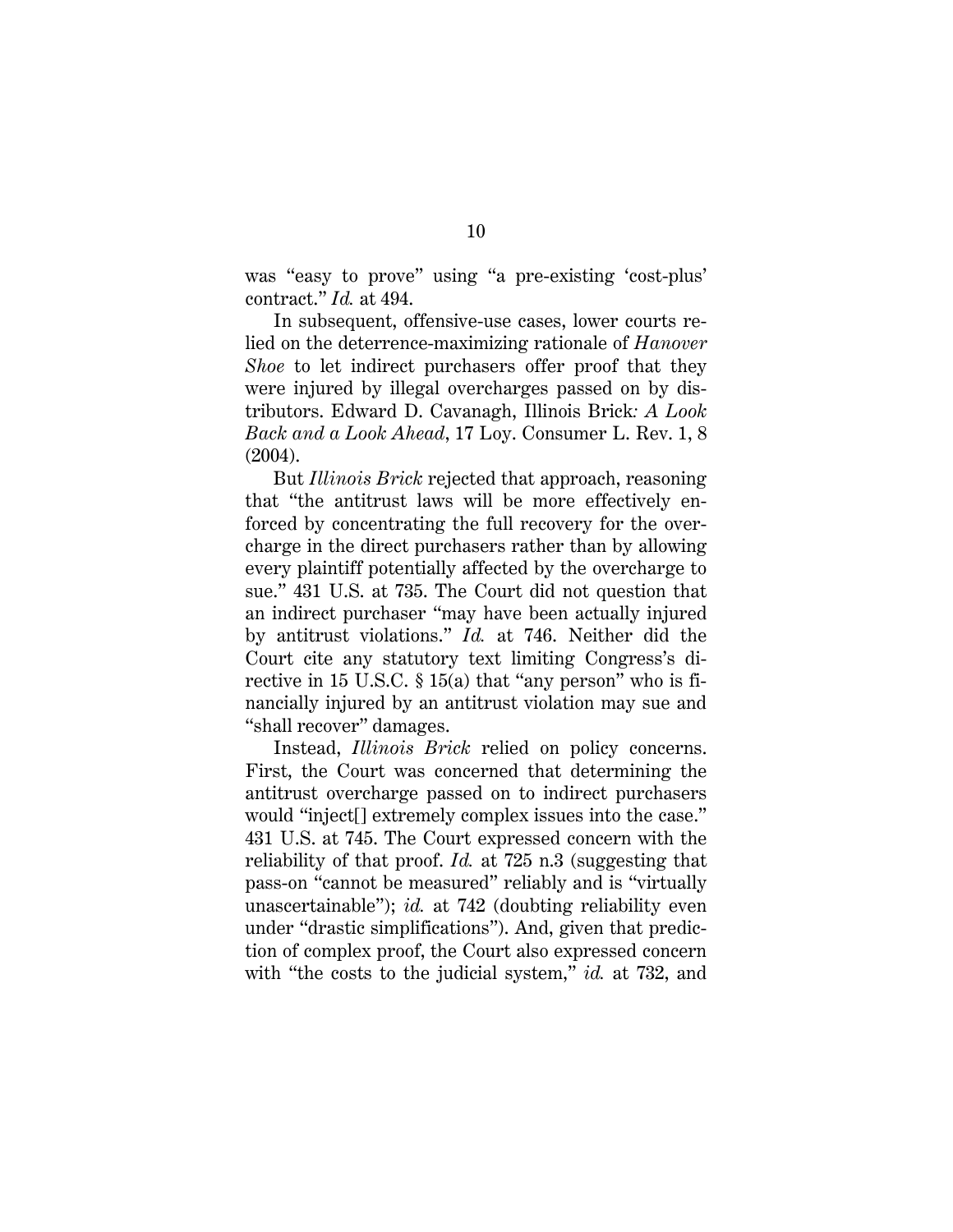was "easy to prove" using "a pre-existing 'cost-plus' contract." *Id.* at 494.

In subsequent, offensive-use cases, lower courts relied on the deterrence-maximizing rationale of *Hanover Shoe* to let indirect purchasers offer proof that they were injured by illegal overcharges passed on by distributors. Edward D. Cavanagh, Illinois Brick*: A Look Back and a Look Ahead*, 17 Loy. Consumer L. Rev. 1, 8 (2004).

<span id="page-20-1"></span>But *Illinois Brick* rejected that approach, reasoning that "the antitrust laws will be more effectively enforced by concentrating the full recovery for the overcharge in the direct purchasers rather than by allowing every plaintiff potentially affected by the overcharge to sue." 431 U.S. at 735. The Court did not question that an indirect purchaser "may have been actually injured by antitrust violations." *Id.* at 746. Neither did the Court cite any statutory text limiting Congress's directive in 15 U.S.C. § 15(a) that "any person" who is financially injured by an antitrust violation may sue and "shall recover" damages.

<span id="page-20-0"></span>Instead, *Illinois Brick* relied on policy concerns. First, the Court was concerned that determining the antitrust overcharge passed on to indirect purchasers would "inject[] extremely complex issues into the case." 431 U.S. at 745. The Court expressed concern with the reliability of that proof. *Id.* at 725 n.3 (suggesting that pass-on "cannot be measured" reliably and is "virtually unascertainable"); *id.* at 742 (doubting reliability even under "drastic simplifications"). And, given that prediction of complex proof, the Court also expressed concern with "the costs to the judicial system," *id.* at 732, and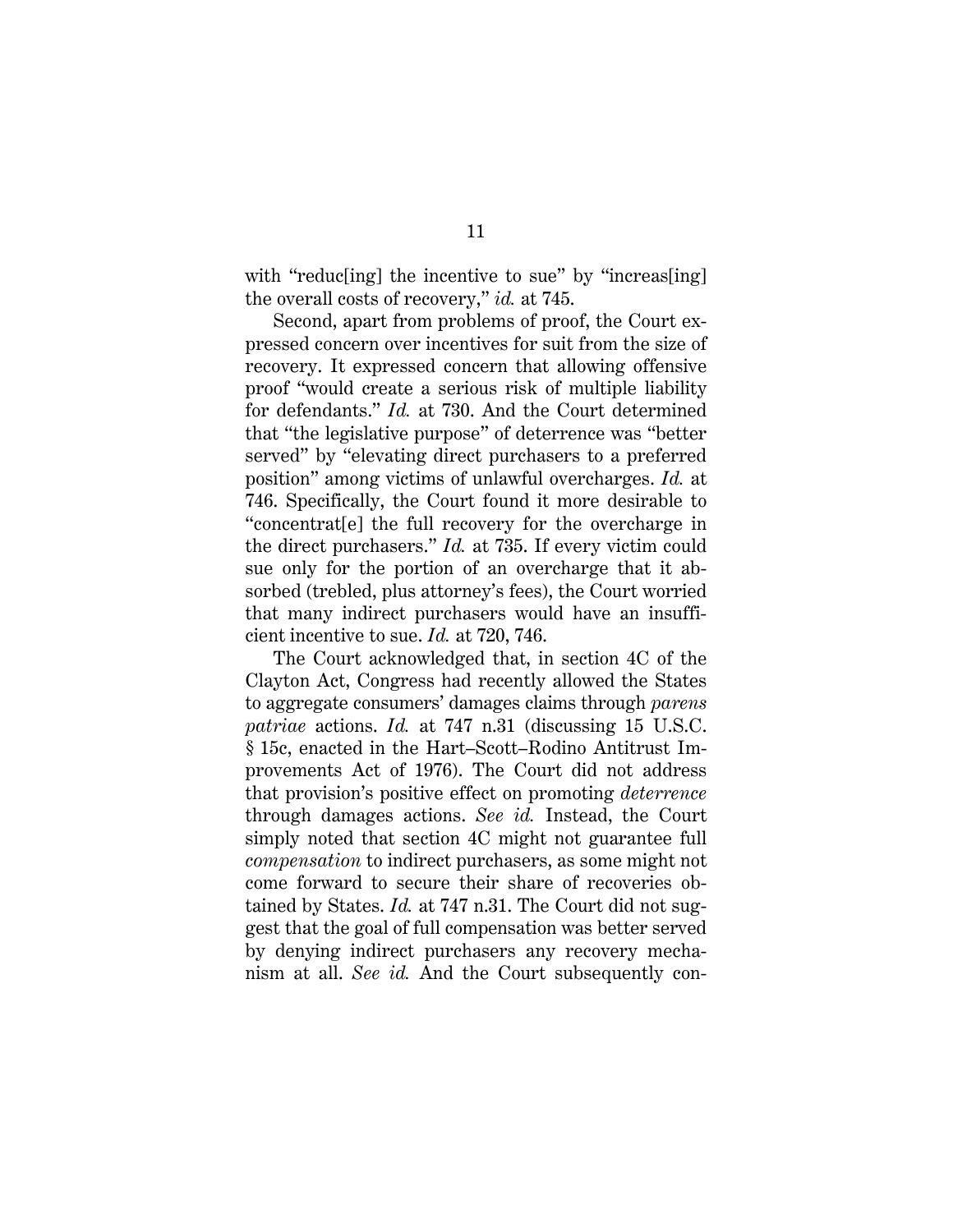with "reduc[ing] the incentive to sue" by "increas[ing] the overall costs of recovery," *id.* at 745.

Second, apart from problems of proof, the Court expressed concern over incentives for suit from the size of recovery. It expressed concern that allowing offensive proof "would create a serious risk of multiple liability for defendants." *Id.* at 730. And the Court determined that "the legislative purpose" of deterrence was "better served" by "elevating direct purchasers to a preferred position" among victims of unlawful overcharges. *Id.* at 746. Specifically, the Court found it more desirable to "concentrat[e] the full recovery for the overcharge in the direct purchasers." *Id.* at 735. If every victim could sue only for the portion of an overcharge that it absorbed (trebled, plus attorney's fees), the Court worried that many indirect purchasers would have an insufficient incentive to sue. *Id.* at 720, 746.

<span id="page-21-1"></span><span id="page-21-0"></span>The Court acknowledged that, in section 4C of the Clayton Act, Congress had recently allowed the States to aggregate consumers' damages claims through *parens patriae* actions. *Id.* at 747 n.31 (discussing 15 U.S.C. § 15c, enacted in the Hart–Scott–Rodino Antitrust Improvements Act of 1976). The Court did not address that provision's positive effect on promoting *deterrence* through damages actions. *See id.* Instead, the Court simply noted that section 4C might not guarantee full *compensation* to indirect purchasers, as some might not come forward to secure their share of recoveries obtained by States. *Id.* at 747 n.31. The Court did not suggest that the goal of full compensation was better served by denying indirect purchasers any recovery mechanism at all. *See id.* And the Court subsequently con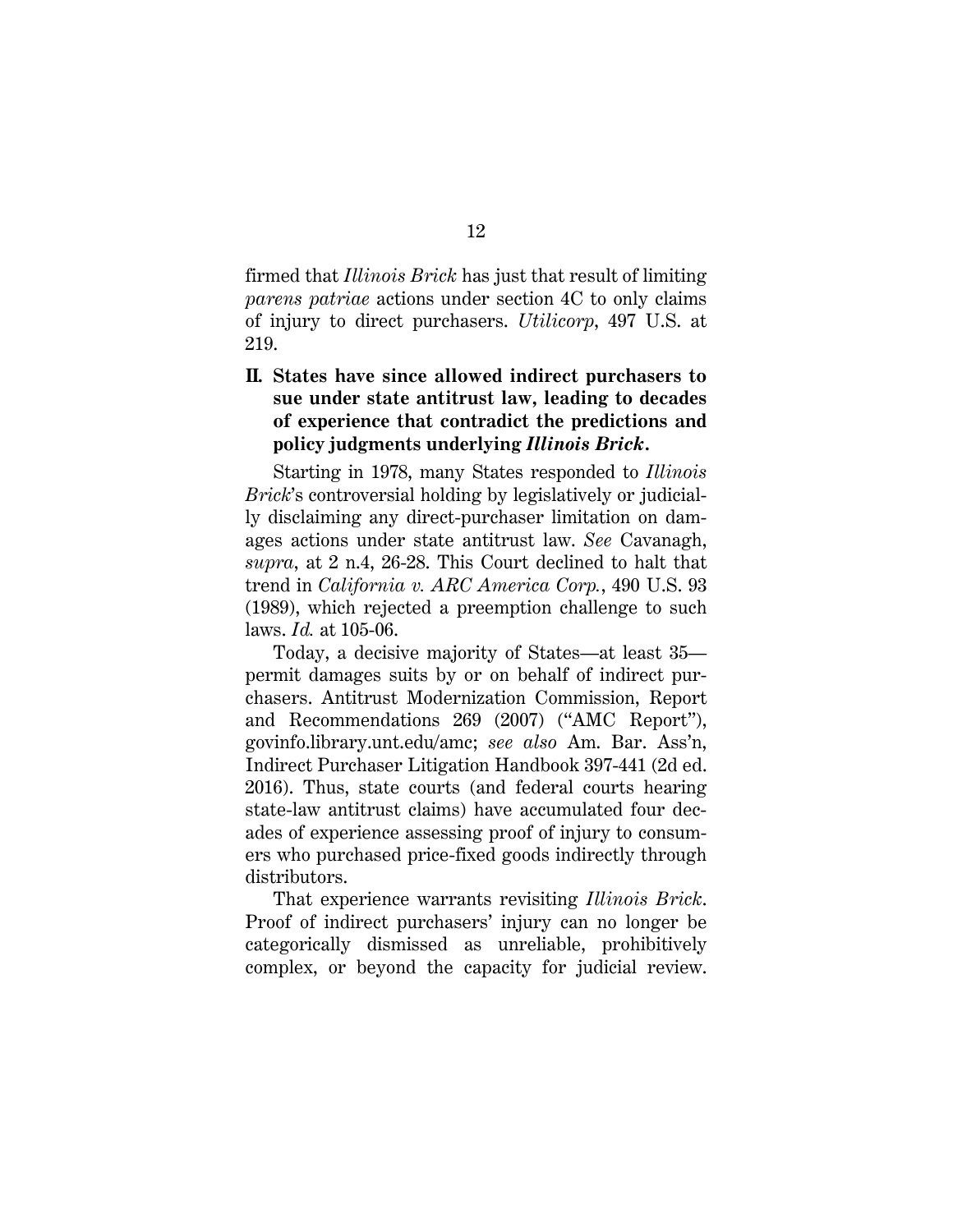firmed that *Illinois Brick* has just that result of limiting *parens patriae* actions under section 4C to only claims of injury to direct purchasers. *Utilicorp*, 497 U.S. at 219.

## **II. States have since allowed indirect purchasers to sue under state antitrust law, leading to decades of experience that contradict the predictions and policy judgments underlying** *Illinois Brick***.**

Starting in 1978, many States responded to *Illinois Brick*'s controversial holding by legislatively or judicially disclaiming any direct-purchaser limitation on damages actions under state antitrust law. *See* Cavanagh, *supra*, at 2 n.4, 26-28. This Court declined to halt that trend in *California v. ARC America Corp.*, 490 U.S. 93 (1989), which rejected a preemption challenge to such laws. *Id.* at 105-06.

<span id="page-22-2"></span><span id="page-22-1"></span><span id="page-22-0"></span>Today, a decisive majority of States—at least 35 permit damages suits by or on behalf of indirect purchasers. Antitrust Modernization Commission, Report and Recommendations 269 (2007) ("AMC Report"), [govinfo.library.unt.edu/amc;](govinfo.library.unt.edu/amc) *see also* Am. Bar. Ass'n, Indirect Purchaser Litigation Handbook 397-441 (2d ed. 2016). Thus, state courts (and federal courts hearing state-law antitrust claims) have accumulated four decades of experience assessing proof of injury to consumers who purchased price-fixed goods indirectly through distributors.

That experience warrants revisiting *Illinois Brick*. Proof of indirect purchasers' injury can no longer be categorically dismissed as unreliable, prohibitively complex, or beyond the capacity for judicial review.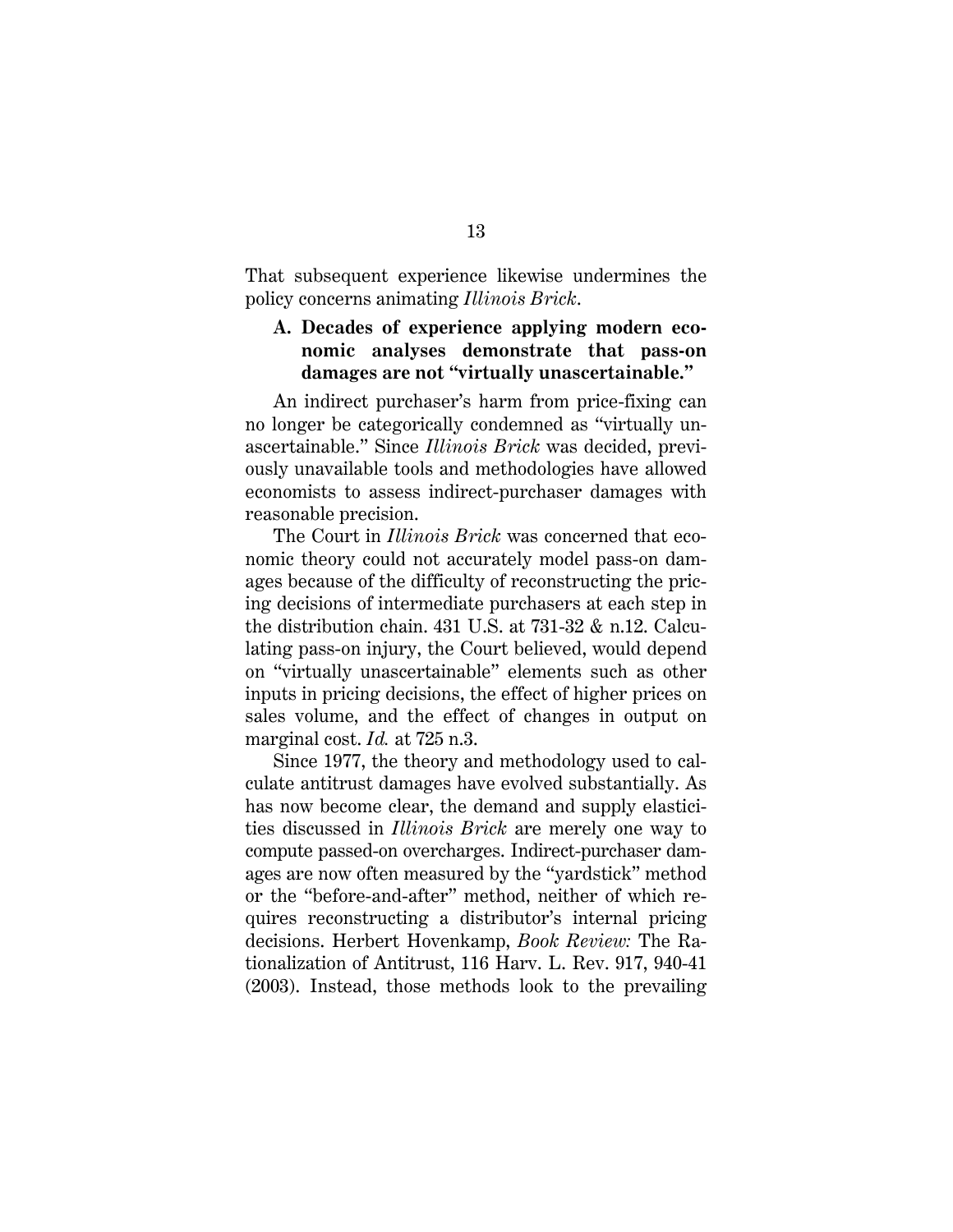That subsequent experience likewise undermines the policy concerns animating *Illinois Brick*.

## **A. Decades of experience applying modern economic analyses demonstrate that pass-on damages are not "virtually unascertainable."**

An indirect purchaser's harm from price-fixing can no longer be categorically condemned as "virtually unascertainable." Since *Illinois Brick* was decided, previously unavailable tools and methodologies have allowed economists to assess indirect-purchaser damages with reasonable precision.

The Court in *Illinois Brick* was concerned that economic theory could not accurately model pass-on damages because of the difficulty of reconstructing the pricing decisions of intermediate purchasers at each step in the distribution chain. 431 U.S. at  $731-32$  & n.12. Calculating pass-on injury, the Court believed, would depend on "virtually unascertainable" elements such as other inputs in pricing decisions, the effect of higher prices on sales volume, and the effect of changes in output on marginal cost. *Id.* at 725 n.3.

<span id="page-23-0"></span>Since 1977, the theory and methodology used to calculate antitrust damages have evolved substantially. As has now become clear, the demand and supply elasticities discussed in *Illinois Brick* are merely one way to compute passed-on overcharges. Indirect-purchaser damages are now often measured by the "yardstick" method or the "before-and-after" method, neither of which requires reconstructing a distributor's internal pricing decisions. Herbert Hovenkamp, *Book Review:* The Rationalization of Antitrust, 116 Harv. L. Rev. 917, 940-41 (2003). Instead, those methods look to the prevailing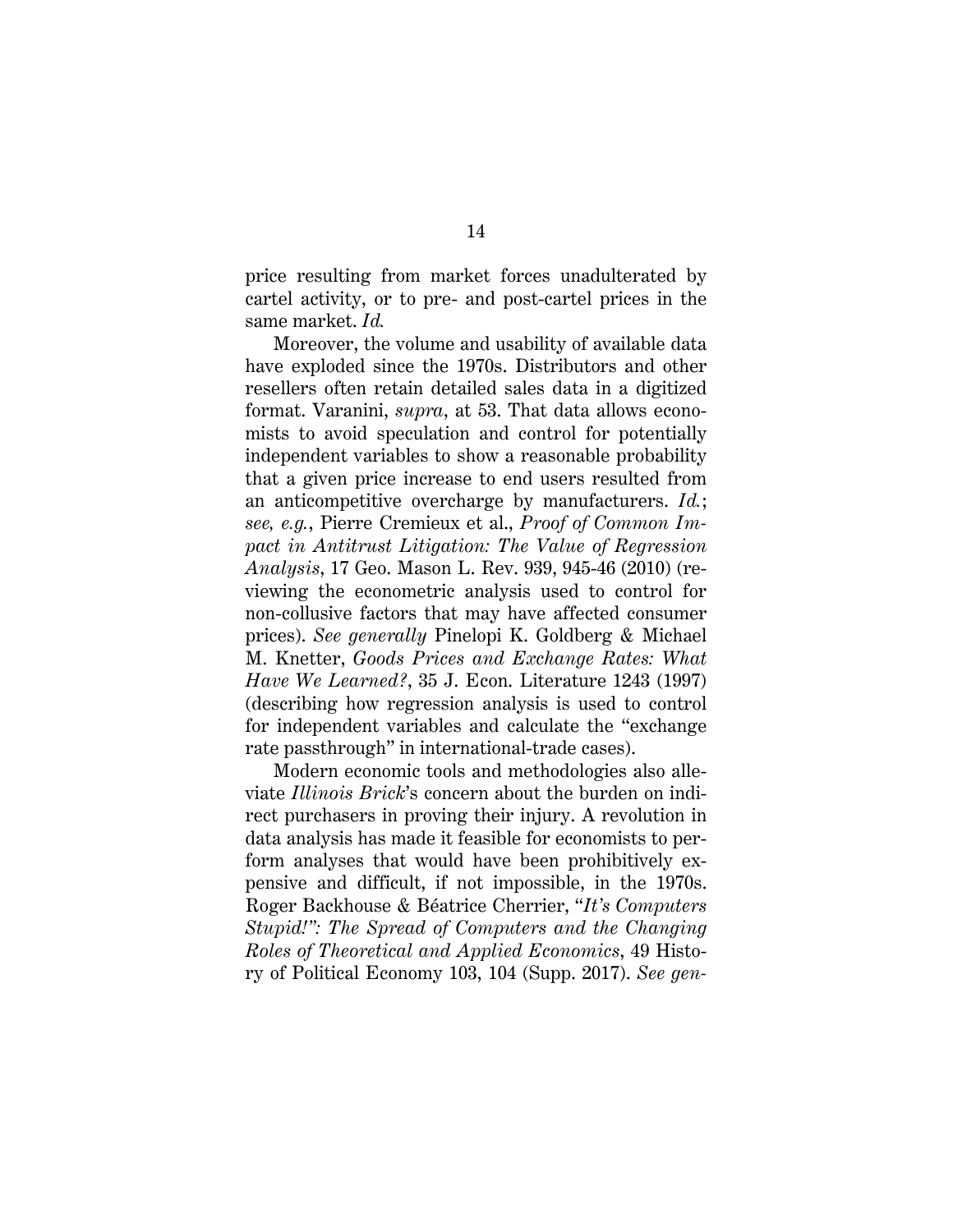price resulting from market forces unadulterated by cartel activity, or to pre- and post-cartel prices in the same market. *Id.*

<span id="page-24-1"></span>Moreover, the volume and usability of available data have exploded since the 1970s. Distributors and other resellers often retain detailed sales data in a digitized format. Varanini, *supra*, at 53. That data allows economists to avoid speculation and control for potentially independent variables to show a reasonable probability that a given price increase to end users resulted from an anticompetitive overcharge by manufacturers. *Id.*; *see, e.g.*, Pierre Cremieux et al., *Proof of Common Impact in Antitrust Litigation: The Value of Regression Analysis*, 17 Geo. Mason L. Rev. 939, 945-46 (2010) (reviewing the econometric analysis used to control for non-collusive factors that may have affected consumer prices). *See generally* Pinelopi K. Goldberg & Michael M. Knetter, *Goods Prices and Exchange Rates: What Have We Learned?*, 35 J. Econ. Literature 1243 (1997) (describing how regression analysis is used to control for independent variables and calculate the "exchange rate passthrough" in international-trade cases).

<span id="page-24-2"></span><span id="page-24-0"></span>Modern economic tools and methodologies also alleviate *Illinois Brick*'s concern about the burden on indirect purchasers in proving their injury. A revolution in data analysis has made it feasible for economists to perform analyses that would have been prohibitively expensive and difficult, if not impossible, in the 1970s. Roger Backhouse & Béatrice Cherrier, "*It's Computers Stupid!": The Spread of Computers and the Changing Roles of Theoretical and Applied Economics*, 49 History of Political Economy 103, 104 (Supp. 2017). *See gen-*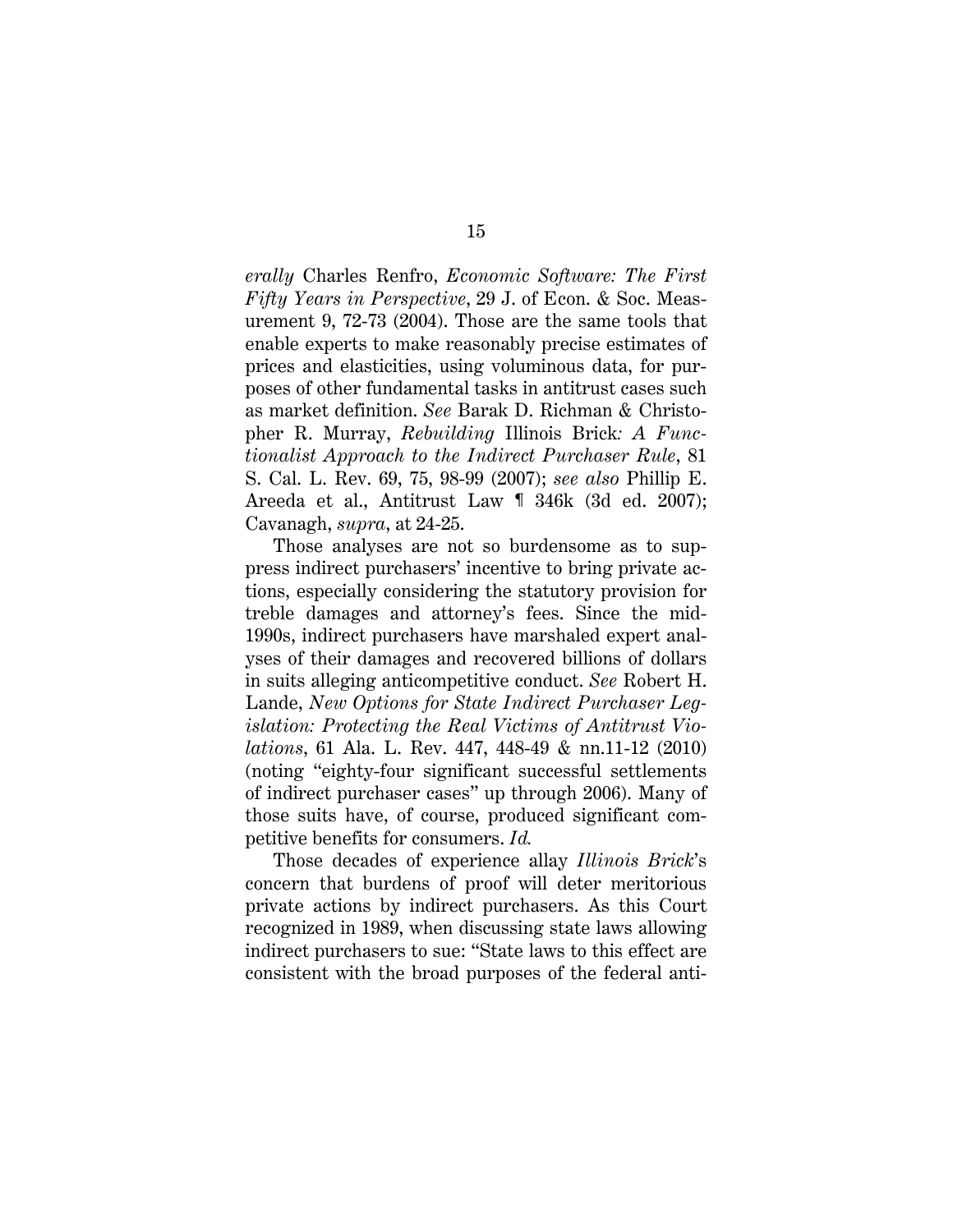<span id="page-25-4"></span><span id="page-25-3"></span>*erally* Charles Renfro, *Economic Software: The First Fifty Years in Perspective*, 29 J. of Econ. & Soc. Measurement 9, 72-73 (2004). Those are the same tools that enable experts to make reasonably precise estimates of prices and elasticities, using voluminous data, for purposes of other fundamental tasks in antitrust cases such as market definition. *See* Barak D. Richman & Christopher R. Murray, *Rebuilding* Illinois Brick*: A Functionalist Approach to the Indirect Purchaser Rule*, 81 S. Cal. L. Rev. 69, 75, 98-99 (2007); *see also* Phillip E. Areeda et al., Antitrust Law ¶ 346k (3d ed. 2007); Cavanagh, *supra*, at 24-25.

<span id="page-25-2"></span><span id="page-25-1"></span><span id="page-25-0"></span>Those analyses are not so burdensome as to suppress indirect purchasers' incentive to bring private actions, especially considering the statutory provision for treble damages and attorney's fees. Since the mid-1990s, indirect purchasers have marshaled expert analyses of their damages and recovered billions of dollars in suits alleging anticompetitive conduct. *See* Robert H. Lande, *New Options for State Indirect Purchaser Legislation: Protecting the Real Victims of Antitrust Violations*, 61 Ala. L. Rev. 447, 448-49 & nn.11-12 (2010) (noting "eighty-four significant successful settlements of indirect purchaser cases" up through 2006). Many of those suits have, of course, produced significant competitive benefits for consumers. *Id.*

Those decades of experience allay *Illinois Brick*'s concern that burdens of proof will deter meritorious private actions by indirect purchasers. As this Court recognized in 1989, when discussing state laws allowing indirect purchasers to sue: "State laws to this effect are consistent with the broad purposes of the federal anti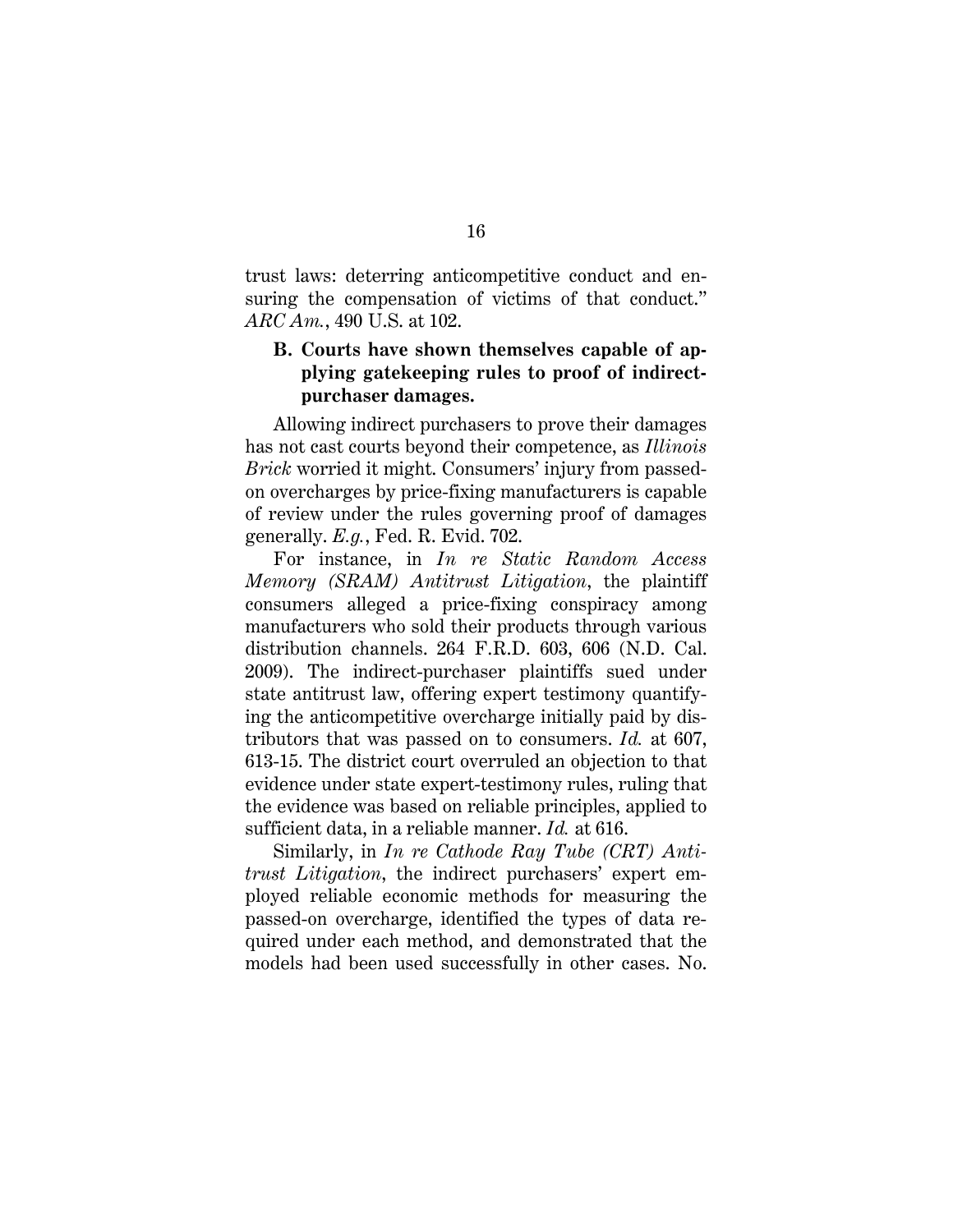trust laws: deterring anticompetitive conduct and ensuring the compensation of victims of that conduct." *ARC Am.*, 490 U.S. at 102.

## <span id="page-26-0"></span>**B. Courts have shown themselves capable of applying gatekeeping rules to proof of indirectpurchaser damages.**

Allowing indirect purchasers to prove their damages has not cast courts beyond their competence, as *Illinois Brick* worried it might. Consumers' injury from passedon overcharges by price-fixing manufacturers is capable of review under the rules governing proof of damages generally. *E.g.*, Fed. R. Evid. 702.

<span id="page-26-3"></span><span id="page-26-2"></span>For instance, in *In re Static Random Access Memory (SRAM) Antitrust Litigation*, the plaintiff consumers alleged a price-fixing conspiracy among manufacturers who sold their products through various distribution channels. 264 F.R.D. 603, 606 (N.D. Cal. 2009). The indirect-purchaser plaintiffs sued under state antitrust law, offering expert testimony quantifying the anticompetitive overcharge initially paid by distributors that was passed on to consumers. *Id.* at 607, 613-15. The district court overruled an objection to that evidence under state expert-testimony rules, ruling that the evidence was based on reliable principles, applied to sufficient data, in a reliable manner. *Id.* at 616.

<span id="page-26-1"></span>Similarly, in *In re Cathode Ray Tube (CRT) Antitrust Litigation*, the indirect purchasers' expert employed reliable economic methods for measuring the passed-on overcharge, identified the types of data required under each method, and demonstrated that the models had been used successfully in other cases. No.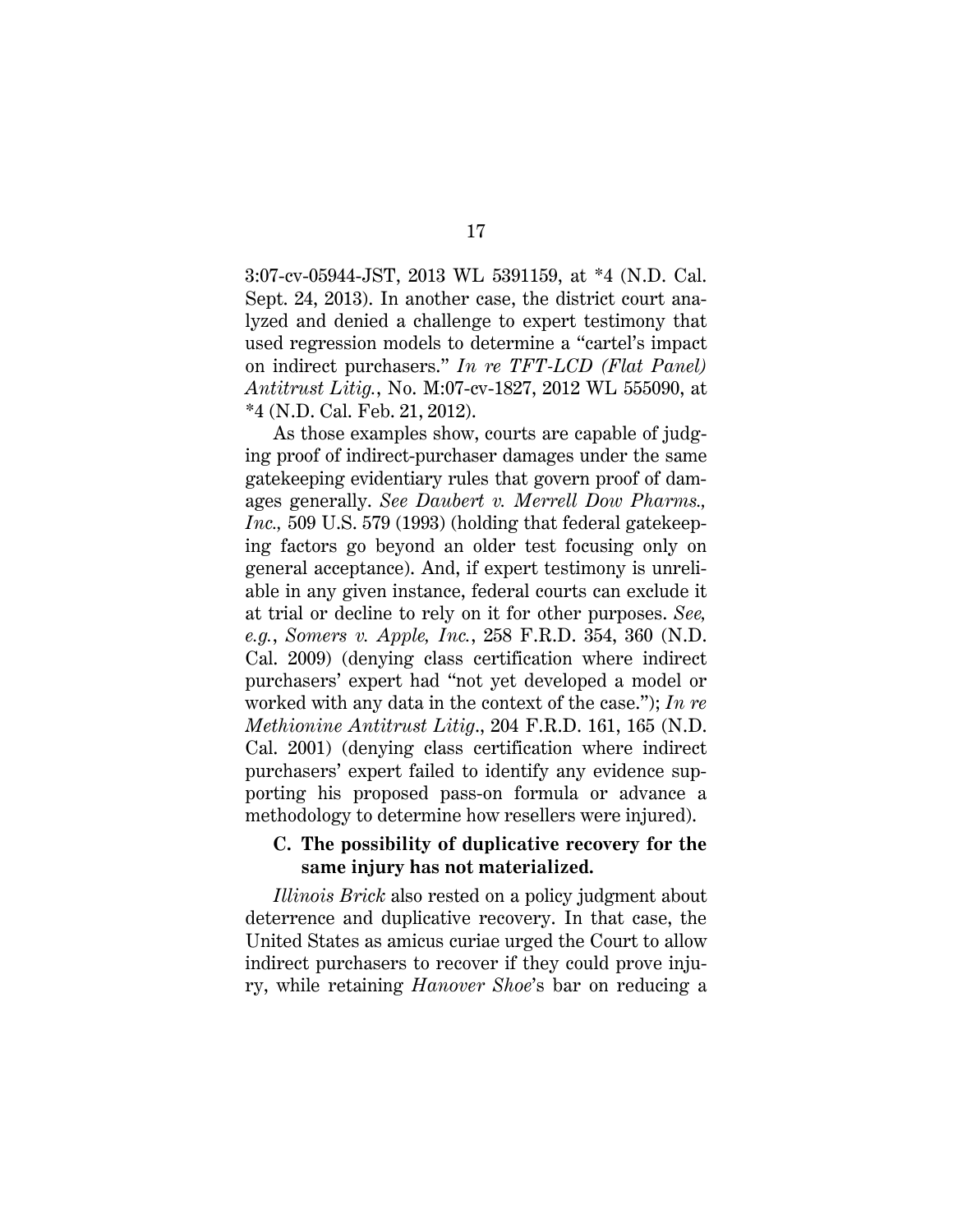3:07-cv-05944-JST, 2013 WL 5391159, at \*4 (N.D. Cal. Sept. 24, 2013). In another case, the district court analyzed and denied a challenge to expert testimony that used regression models to determine a "cartel's impact on indirect purchasers." *In re TFT-LCD (Flat Panel) Antitrust Litig.*, No. M:07-cv-1827, 2012 WL 555090, at \*4 (N.D. Cal. Feb. 21, 2012).

<span id="page-27-3"></span><span id="page-27-2"></span><span id="page-27-0"></span>As those examples show, courts are capable of judging proof of indirect-purchaser damages under the same gatekeeping evidentiary rules that govern proof of damages generally. *See Daubert v. Merrell Dow Pharms., Inc.,* 509 U.S. 579 (1993) (holding that federal gatekeeping factors go beyond an older test focusing only on general acceptance). And, if expert testimony is unreliable in any given instance, federal courts can exclude it at trial or decline to rely on it for other purposes. *See, e.g.*, *Somers v. Apple, Inc.*, 258 F.R.D. 354, 360 (N.D. Cal. 2009) (denying class certification where indirect purchasers' expert had "not yet developed a model or worked with any data in the context of the case."); *In re Methionine Antitrust Litig*., 204 F.R.D. 161, 165 (N.D. Cal. 2001) (denying class certification where indirect purchasers' expert failed to identify any evidence supporting his proposed pass-on formula or advance a methodology to determine how resellers were injured).

### <span id="page-27-1"></span>**C. The possibility of duplicative recovery for the same injury has not materialized.**

*Illinois Brick* also rested on a policy judgment about deterrence and duplicative recovery. In that case, the United States as amicus curiae urged the Court to allow indirect purchasers to recover if they could prove injury, while retaining *Hanover Shoe*'s bar on reducing a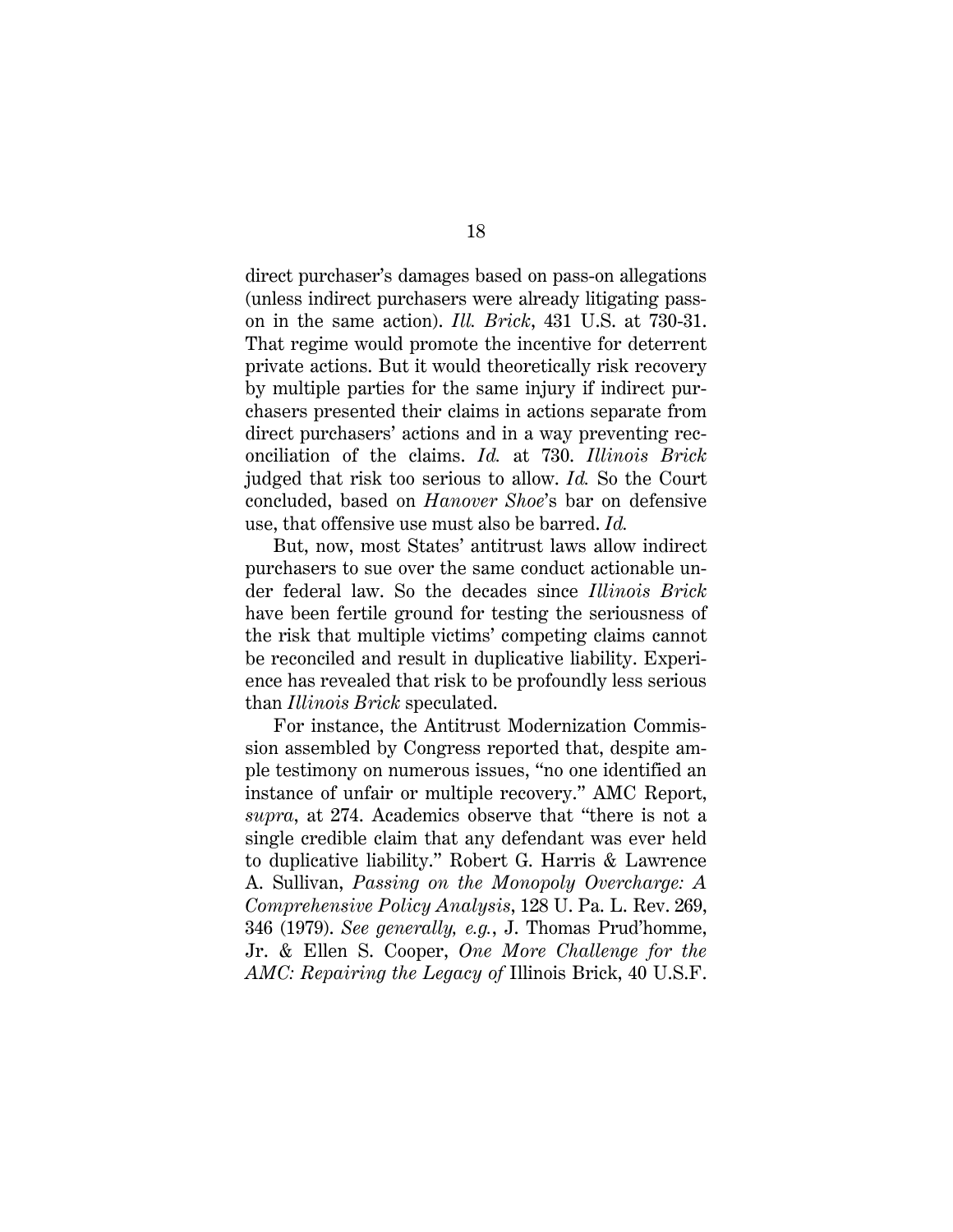direct purchaser's damages based on pass-on allegations (unless indirect purchasers were already litigating passon in the same action). *Ill. Brick*, 431 U.S. at 730-31. That regime would promote the incentive for deterrent private actions. But it would theoretically risk recovery by multiple parties for the same injury if indirect purchasers presented their claims in actions separate from direct purchasers' actions and in a way preventing reconciliation of the claims. *Id.* at 730. *Illinois Brick* judged that risk too serious to allow. *Id.* So the Court concluded, based on *Hanover Shoe*'s bar on defensive use, that offensive use must also be barred. *Id.* 

But, now, most States' antitrust laws allow indirect purchasers to sue over the same conduct actionable under federal law. So the decades since *Illinois Brick* have been fertile ground for testing the seriousness of the risk that multiple victims' competing claims cannot be reconciled and result in duplicative liability. Experience has revealed that risk to be profoundly less serious than *Illinois Brick* speculated.

<span id="page-28-2"></span><span id="page-28-1"></span><span id="page-28-0"></span>For instance, the Antitrust Modernization Commission assembled by Congress reported that, despite ample testimony on numerous issues, "no one identified an instance of unfair or multiple recovery." AMC Report, *supra*, at 274. Academics observe that "there is not a single credible claim that any defendant was ever held to duplicative liability." Robert G. Harris & Lawrence A. Sullivan, *Passing on the Monopoly Overcharge: A Comprehensive Policy Analysis*, 128 U. Pa. L. Rev. 269, 346 (1979). *See generally, e.g.*, J. Thomas Prud'homme, Jr. & Ellen S. Cooper, *One More Challenge for the AMC: Repairing the Legacy of* Illinois Brick, 40 U.S.F.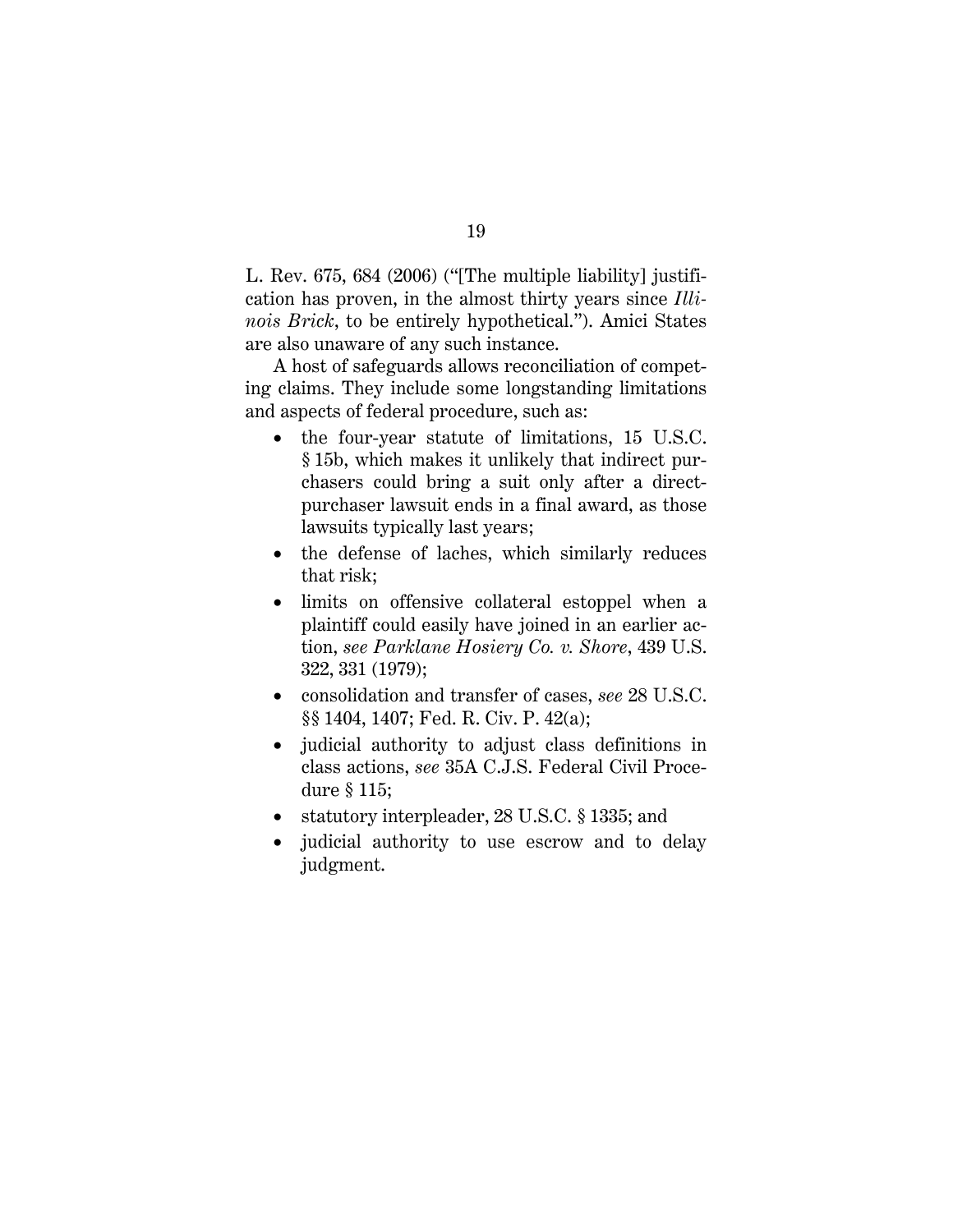L. Rev. 675, 684 (2006) ("[The multiple liability] justification has proven, in the almost thirty years since *Illinois Brick*, to be entirely hypothetical."). Amici States are also unaware of any such instance.

A host of safeguards allows reconciliation of competing claims. They include some longstanding limitations and aspects of federal procedure, such as:

- <span id="page-29-3"></span>• the four-year statute of limitations, 15 U.S.C. § 15b, which makes it unlikely that indirect purchasers could bring a suit only after a directpurchaser lawsuit ends in a final award, as those lawsuits typically last years;
- the defense of laches, which similarly reduces that risk;
- <span id="page-29-0"></span>• limits on offensive collateral estoppel when a plaintiff could easily have joined in an earlier action, *see Parklane Hosiery Co. v. Shore*, 439 U.S. 322, 331 (1979);
- <span id="page-29-4"></span><span id="page-29-2"></span>• consolidation and transfer of cases, *see* 28 U.S.C. §§ 1404, 1407; Fed. R. Civ. P. 42(a);
- judicial authority to adjust class definitions in class actions, *see* 35A C.J.S. Federal Civil Procedure § 115;
- <span id="page-29-1"></span>• statutory interpleader, 28 U.S.C. § 1335; and
- judicial authority to use escrow and to delay judgment.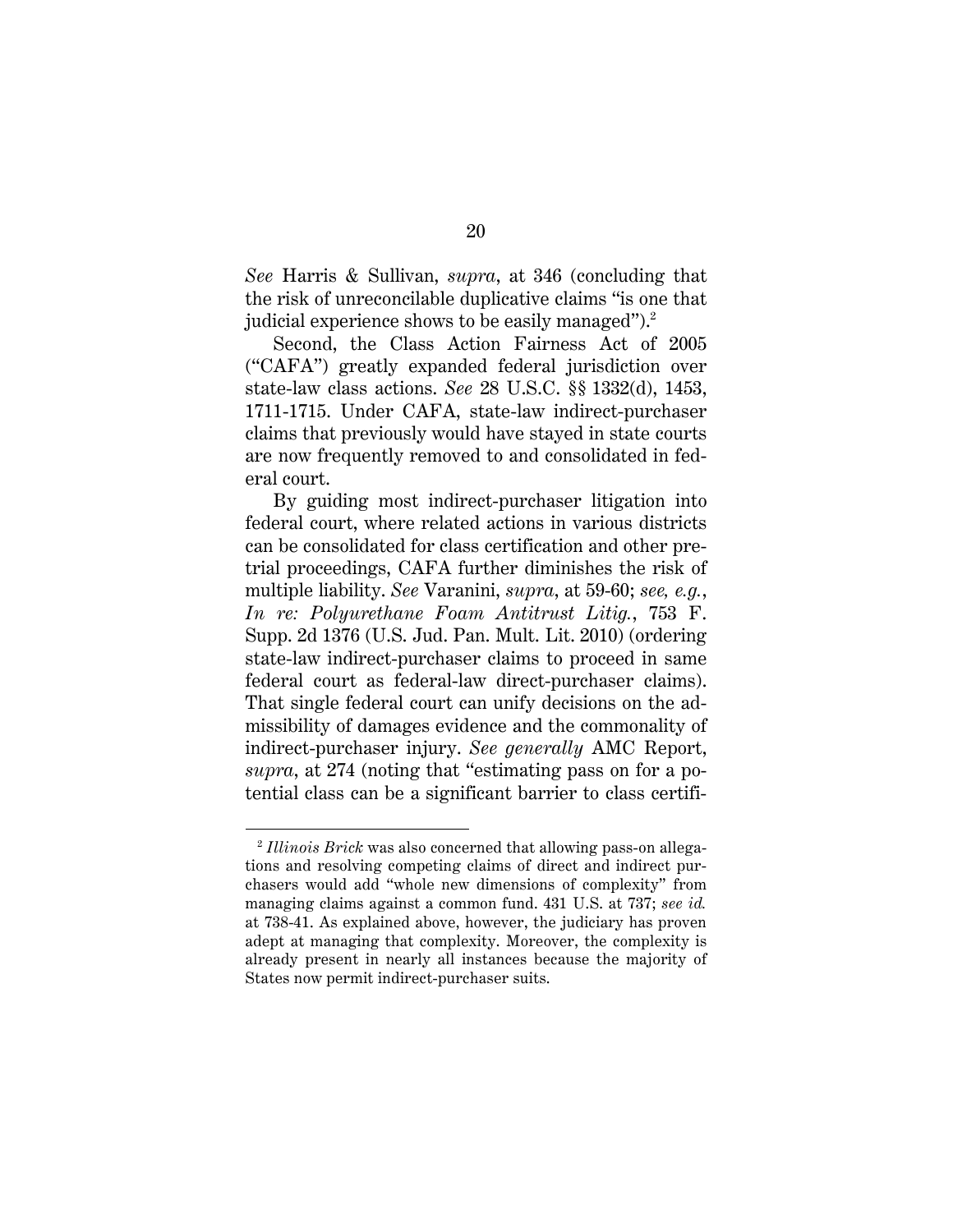<span id="page-30-4"></span>*See* Harris & Sullivan, *supra*, at 346 (concluding that the risk of unreconcilable duplicative claims "is one that judicial experience shows to be easily managed").<sup>2</sup>

<span id="page-30-2"></span><span id="page-30-1"></span>Second, the Class Action Fairness Act of 2005 ("CAFA") greatly expanded federal jurisdiction over state-law class actions. *See* 28 U.S.C. §§ 1332(d), 1453, 1711-1715. Under CAFA, state-law indirect-purchaser claims that previously would have stayed in state courts are now frequently removed to and consolidated in federal court.

<span id="page-30-5"></span><span id="page-30-0"></span>By guiding most indirect-purchaser litigation into federal court, where related actions in various districts can be consolidated for class certification and other pretrial proceedings, CAFA further diminishes the risk of multiple liability. *See* Varanini, *supra*, at 59-60; *see, e.g.*, *In re: Polyurethane Foam Antitrust Litig.*, 753 F. Supp. 2d 1376 (U.S. Jud. Pan. Mult. Lit. 2010) (ordering state-law indirect-purchaser claims to proceed in same federal court as federal-law direct-purchaser claims). That single federal court can unify decisions on the admissibility of damages evidence and the commonality of indirect-purchaser injury. *See generally* AMC Report, *supra*, at 274 (noting that "estimating pass on for a potential class can be a significant barrier to class certifi-

<span id="page-30-3"></span>l

<sup>2</sup> *Illinois Brick* was also concerned that allowing pass-on allegations and resolving competing claims of direct and indirect purchasers would add "whole new dimensions of complexity" from managing claims against a common fund. 431 U.S. at 737; *see id.* at 738-41. As explained above, however, the judiciary has proven adept at managing that complexity. Moreover, the complexity is already present in nearly all instances because the majority of States now permit indirect-purchaser suits.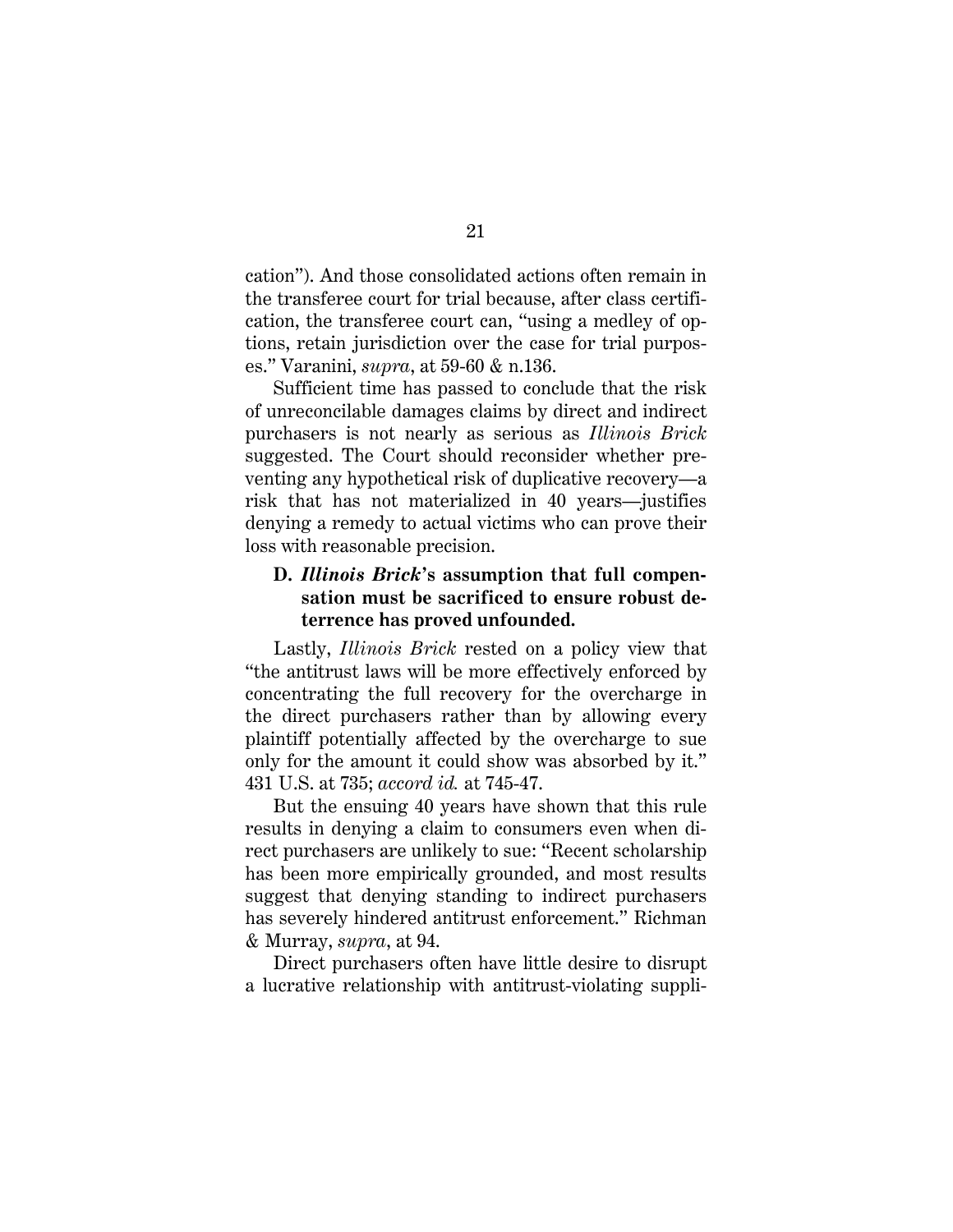cation"). And those consolidated actions often remain in the transferee court for trial because, after class certification, the transferee court can, "using a medley of options, retain jurisdiction over the case for trial purposes." Varanini, *supra*, at 59-60 & n.136.

Sufficient time has passed to conclude that the risk of unreconcilable damages claims by direct and indirect purchasers is not nearly as serious as *Illinois Brick* suggested. The Court should reconsider whether preventing any hypothetical risk of duplicative recovery—a risk that has not materialized in 40 years—justifies denying a remedy to actual victims who can prove their loss with reasonable precision.

## **D.** *Illinois Brick***'s assumption that full compensation must be sacrificed to ensure robust deterrence has proved unfounded.**

Lastly, *Illinois Brick* rested on a policy view that "the antitrust laws will be more effectively enforced by concentrating the full recovery for the overcharge in the direct purchasers rather than by allowing every plaintiff potentially affected by the overcharge to sue only for the amount it could show was absorbed by it." 431 U.S. at 735; *accord id.* at 745-47.

But the ensuing 40 years have shown that this rule results in denying a claim to consumers even when direct purchasers are unlikely to sue: "Recent scholarship has been more empirically grounded, and most results suggest that denying standing to indirect purchasers has severely hindered antitrust enforcement." Richman & Murray, *supra*, at 94.

<span id="page-31-0"></span>Direct purchasers often have little desire to disrupt a lucrative relationship with antitrust-violating suppli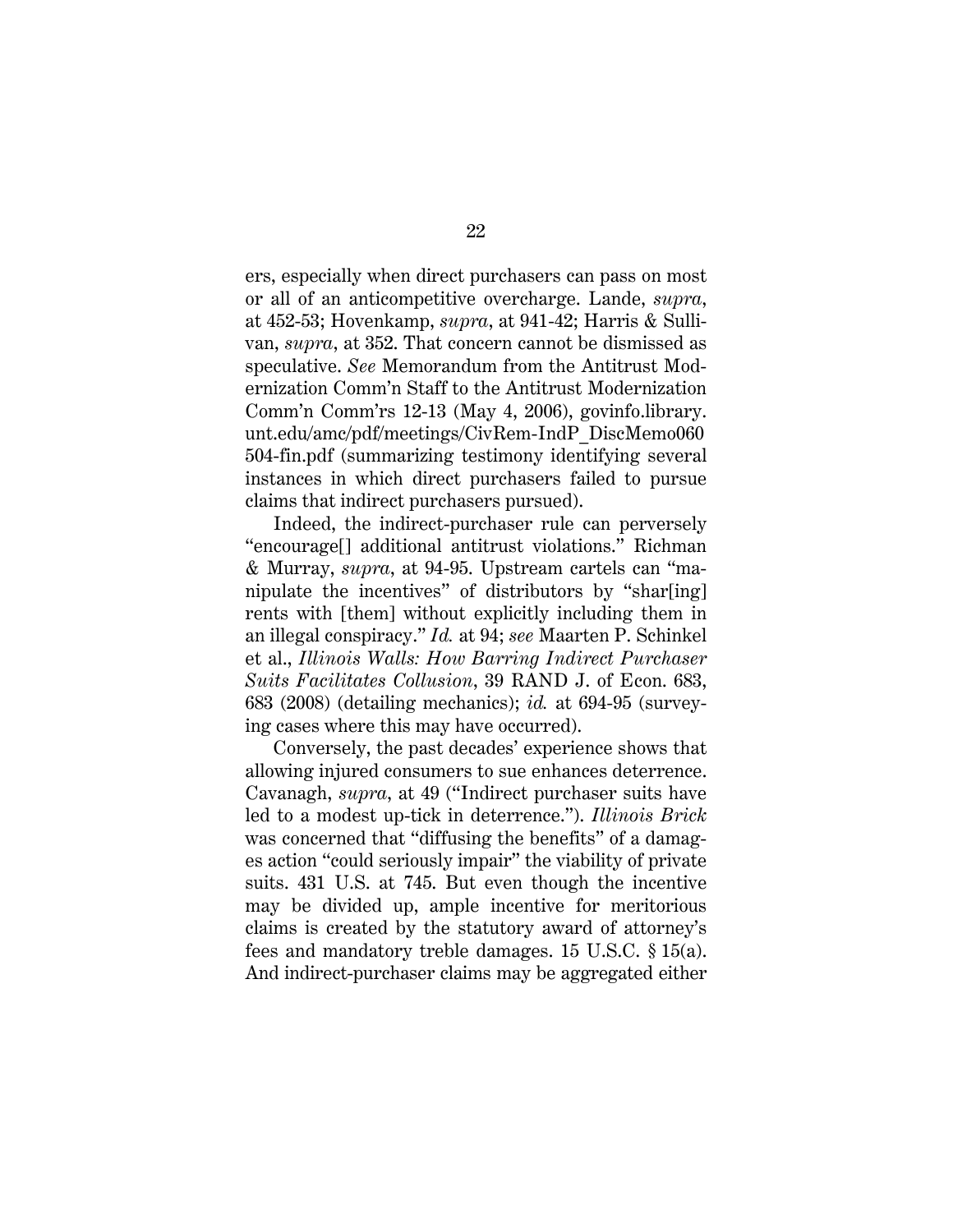<span id="page-32-5"></span><span id="page-32-4"></span><span id="page-32-3"></span><span id="page-32-2"></span>ers, especially when direct purchasers can pass on most or all of an anticompetitive overcharge. Lande, *supra*, at 452-53; Hovenkamp, *supra*, at 941-42; Harris & Sullivan, *supra*, at 352. That concern cannot be dismissed as speculative. *See* Memorandum from the Antitrust Modernization Comm'n Staff to the Antitrust Modernization Comm'n Comm'rs 12-13 (May 4, 2006), govinfo.library. [unt.edu/amc/pdf/meetings/CivRem-IndP\\_DiscMemo060](govinfo.library.unt.edu/amc/pdf/meetings/CivRem-IndP_DiscMemo060504-fin.pdf) 504-fin.pdf (summarizing testimony identifying several instances in which direct purchasers failed to pursue claims that indirect purchasers pursued).

<span id="page-32-6"></span>Indeed, the indirect-purchaser rule can perversely "encourage[] additional antitrust violations." Richman & Murray, *supra*, at 94-95. Upstream cartels can "manipulate the incentives" of distributors by "shar[ing] rents with [them] without explicitly including them in an illegal conspiracy." *Id.* at 94; *see* Maarten P. Schinkel et al., *Illinois Walls: How Barring Indirect Purchaser Suits Facilitates Collusion*, 39 RAND J. of Econ. 683, 683 (2008) (detailing mechanics); *id.* at 694-95 (surveying cases where this may have occurred).

<span id="page-32-1"></span><span id="page-32-0"></span>Conversely, the past decades' experience shows that allowing injured consumers to sue enhances deterrence. Cavanagh, *supra*, at 49 ("Indirect purchaser suits have led to a modest up-tick in deterrence."). *Illinois Brick* was concerned that "diffusing the benefits" of a damages action "could seriously impair" the viability of private suits. 431 U.S. at 745. But even though the incentive may be divided up, ample incentive for meritorious claims is created by the statutory award of attorney's fees and mandatory treble damages. 15 U.S.C. § 15(a). And indirect-purchaser claims may be aggregated either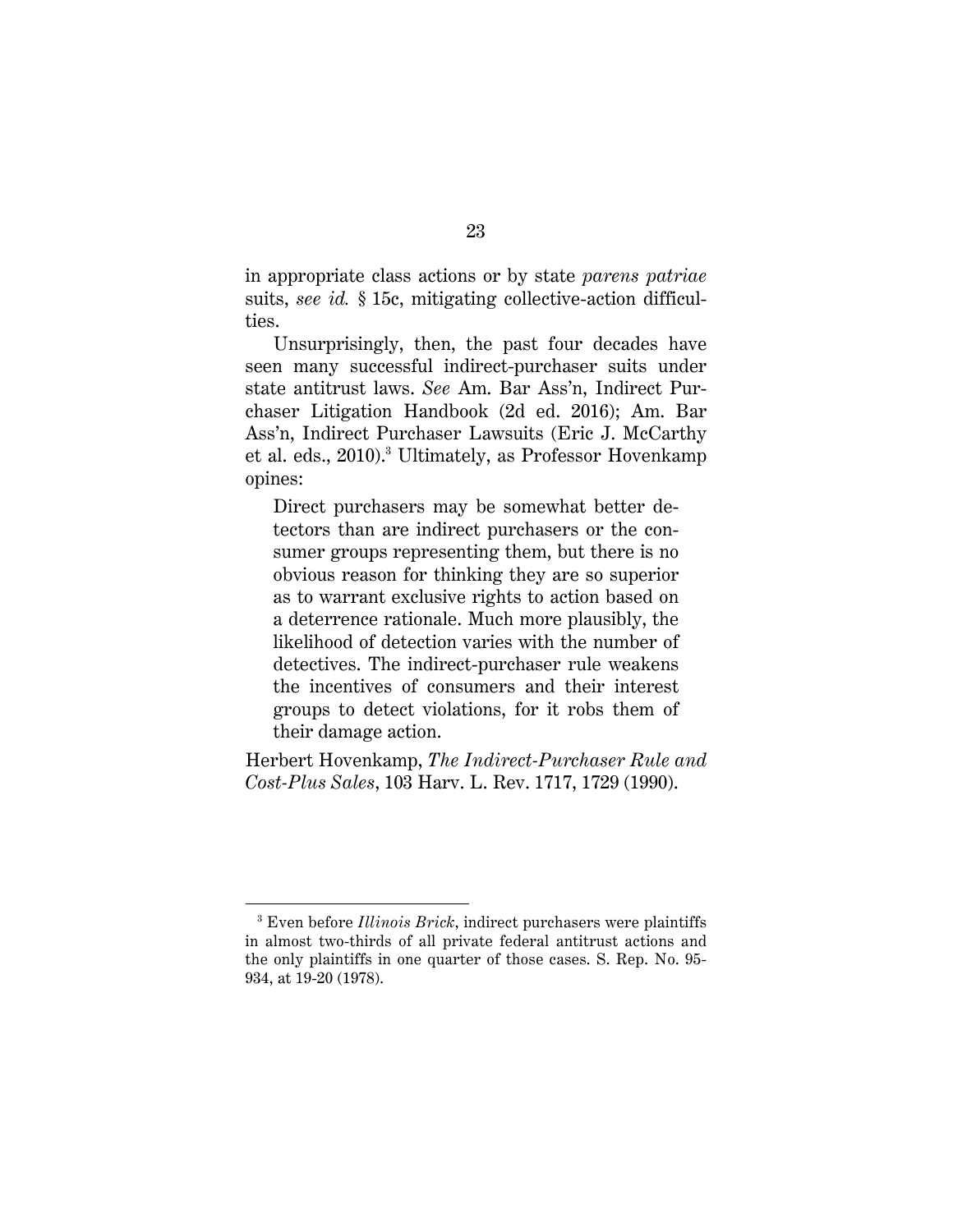in appropriate class actions or by state *parens patriae* suits, *see id.* § 15c, mitigating collective-action difficulties.

<span id="page-33-1"></span>Unsurprisingly, then, the past four decades have seen many successful indirect-purchaser suits under state antitrust laws. *See* Am. Bar Ass'n, Indirect Purchaser Litigation Handbook (2d ed. 2016); Am. Bar Ass'n, Indirect Purchaser Lawsuits (Eric J. McCarthy et al. eds., 2010). <sup>3</sup> Ultimately, as Professor Hovenkamp opines:

<span id="page-33-0"></span>Direct purchasers may be somewhat better detectors than are indirect purchasers or the consumer groups representing them, but there is no obvious reason for thinking they are so superior as to warrant exclusive rights to action based on a deterrence rationale. Much more plausibly, the likelihood of detection varies with the number of detectives. The indirect-purchaser rule weakens the incentives of consumers and their interest groups to detect violations, for it robs them of their damage action.

<span id="page-33-2"></span>Herbert Hovenkamp, *The Indirect-Purchaser Rule and Cost-Plus Sales*, 103 Harv. L. Rev. 1717, 1729 (1990).

<span id="page-33-3"></span>l

<sup>3</sup> Even before *Illinois Brick*, indirect purchasers were plaintiffs in almost two-thirds of all private federal antitrust actions and the only plaintiffs in one quarter of those cases. S. Rep. No. 95- 934, at 19-20 (1978).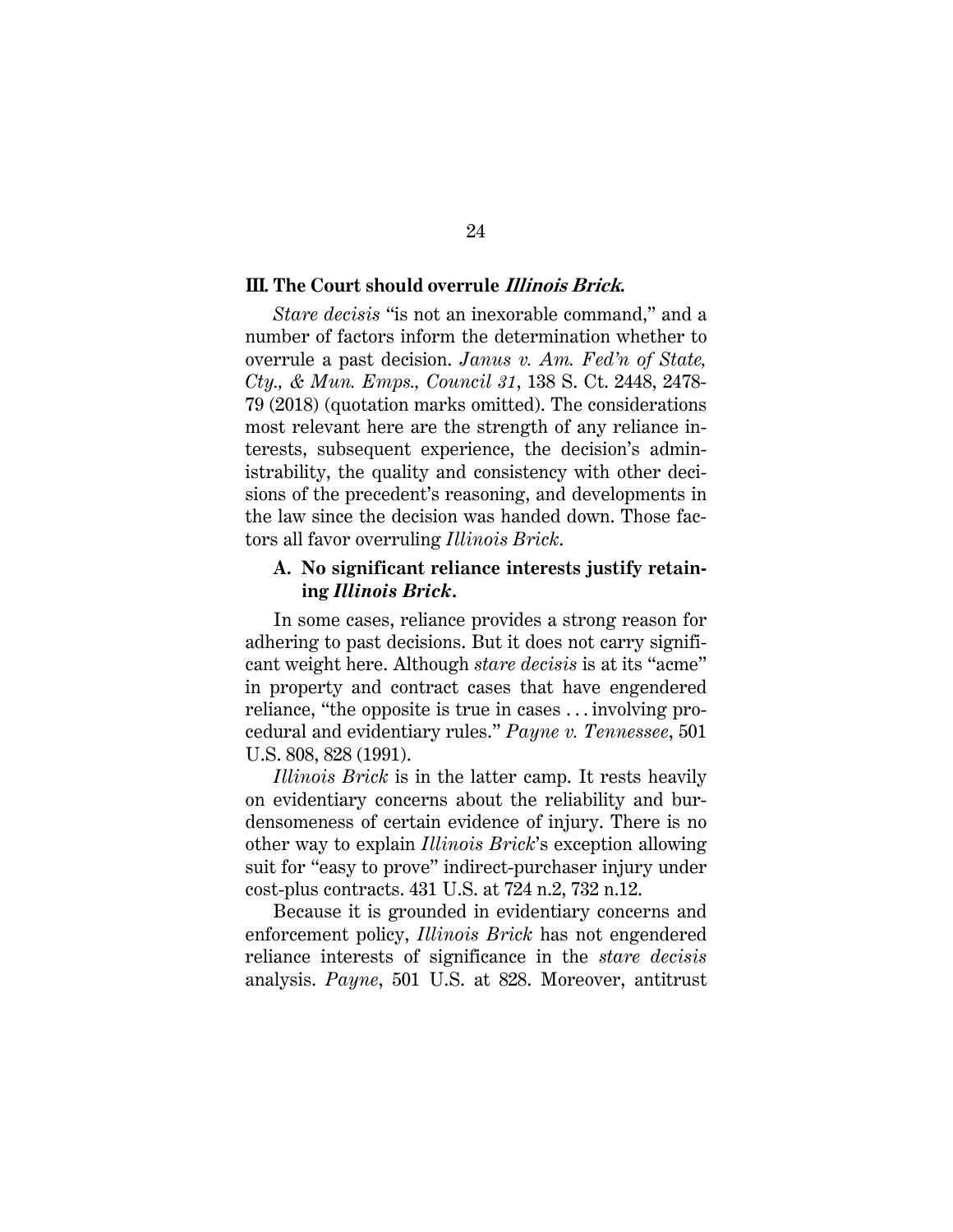### **III. The Court should overrule Illinois Brick.**

*Stare decisis* "is not an inexorable command," and a number of factors inform the determination whether to overrule a past decision. *Janus v. Am. Fed'n of State, Cty., & Mun. Emps., Council 31*, 138 S. Ct. 2448, 2478- 79 (2018) (quotation marks omitted). The considerations most relevant here are the strength of any reliance interests, subsequent experience, the decision's administrability, the quality and consistency with other decisions of the precedent's reasoning, and developments in the law since the decision was handed down. Those factors all favor overruling *Illinois Brick*.

### **A. No significant reliance interests justify retaining** *Illinois Brick***.**

In some cases, reliance provides a strong reason for adhering to past decisions. But it does not carry significant weight here. Although *stare decisis* is at its "acme" in property and contract cases that have engendered reliance, "the opposite is true in cases . . . involving procedural and evidentiary rules." *Payne v. Tennessee*, 501 U.S. 808, 828 (1991).

<span id="page-34-0"></span>*Illinois Brick* is in the latter camp. It rests heavily on evidentiary concerns about the reliability and burdensomeness of certain evidence of injury. There is no other way to explain *Illinois Brick*'s exception allowing suit for "easy to prove" indirect-purchaser injury under cost-plus contracts. 431 U.S. at 724 n.2, 732 n.12.

Because it is grounded in evidentiary concerns and enforcement policy, *Illinois Brick* has not engendered reliance interests of significance in the *stare decisis*  analysis. *Payne*, 501 U.S. at 828. Moreover, antitrust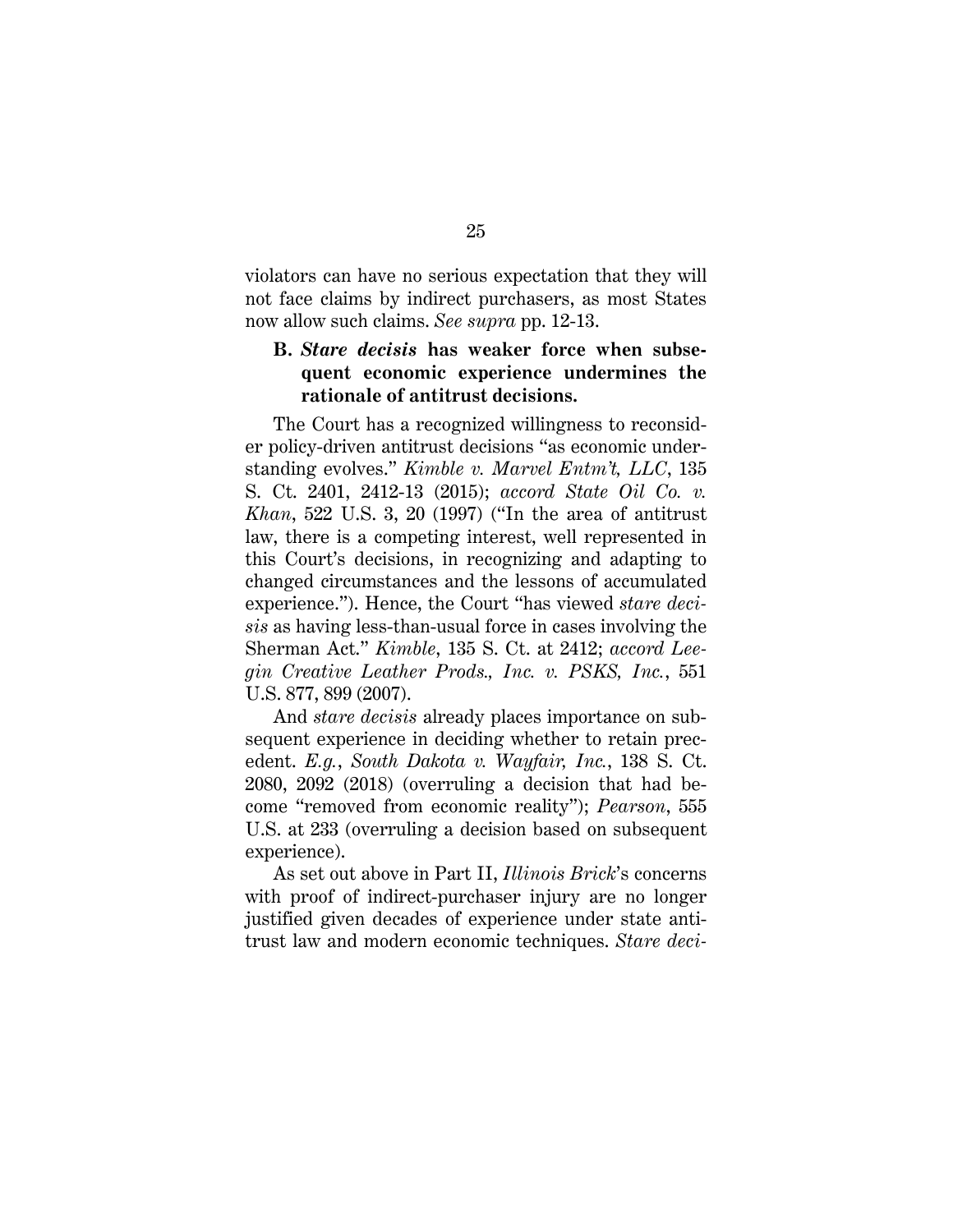violators can have no serious expectation that they will not face claims by indirect purchasers, as most States now allow such claims. *See supra* pp. 12-13.

## <span id="page-35-3"></span>**B.** *Stare decisis* **has weaker force when subsequent economic experience undermines the rationale of antitrust decisions.**

<span id="page-35-0"></span>The Court has a recognized willingness to reconsider policy-driven antitrust decisions "as economic understanding evolves." *Kimble v. Marvel Entm't, LLC*, 135 S. Ct. 2401, 2412-13 (2015); *accord State Oil Co. v. Khan*, 522 U.S. 3, 20 (1997) ("In the area of antitrust law, there is a competing interest, well represented in this Court's decisions, in recognizing and adapting to changed circumstances and the lessons of accumulated experience."). Hence, the Court "has viewed *stare decisis* as having less-than-usual force in cases involving the Sherman Act." *Kimble*, 135 S. Ct. at 2412; *accord Leegin Creative Leather Prods., Inc. v. PSKS, Inc.*, 551 U.S. 877, 899 (2007).

<span id="page-35-1"></span>And *stare decisis* already places importance on subsequent experience in deciding whether to retain precedent. *E.g.*, *South Dakota v. Wayfair, Inc.*, 138 S. Ct. 2080, 2092 (2018) (overruling a decision that had become "removed from economic reality"); *Pearson*, 555 U.S. at 233 (overruling a decision based on subsequent experience).

<span id="page-35-2"></span>As set out above in Part II, *Illinois Brick*'s concerns with proof of indirect-purchaser injury are no longer justified given decades of experience under state antitrust law and modern economic techniques. *Stare deci-*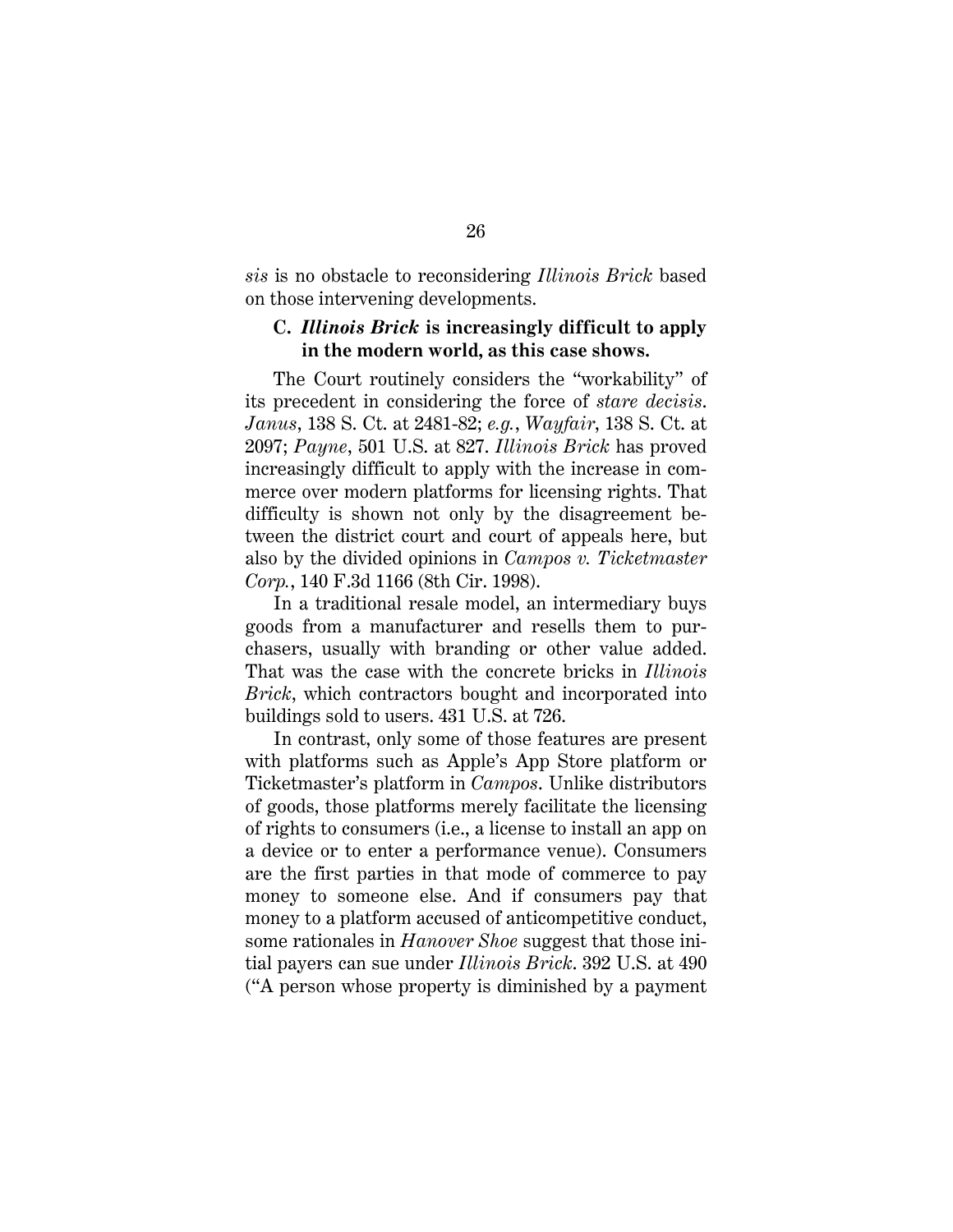*sis* is no obstacle to reconsidering *Illinois Brick* based on those intervening developments.

## **C.** *Illinois Brick* **is increasingly difficult to apply in the modern world, as this case shows.**

The Court routinely considers the "workability" of its precedent in considering the force of *stare decisis*. *Janus*, 138 S. Ct. at 2481-82; *e.g.*, *Wayfair*, 138 S. Ct. at 2097; *Payne*, 501 U.S. at 827. *Illinois Brick* has proved increasingly difficult to apply with the increase in commerce over modern platforms for licensing rights. That difficulty is shown not only by the disagreement between the district court and court of appeals here, but also by the divided opinions in *Campos v. Ticketmaster Corp.*, 140 F.3d 1166 (8th Cir. 1998).

In a traditional resale model, an intermediary buys goods from a manufacturer and resells them to purchasers, usually with branding or other value added. That was the case with the concrete bricks in *Illinois Brick*, which contractors bought and incorporated into buildings sold to users. 431 U.S. at 726.

<span id="page-36-0"></span>In contrast, only some of those features are present with platforms such as Apple's App Store platform or Ticketmaster's platform in *Campos*. Unlike distributors of goods, those platforms merely facilitate the licensing of rights to consumers (i.e., a license to install an app on a device or to enter a performance venue). Consumers are the first parties in that mode of commerce to pay money to someone else. And if consumers pay that money to a platform accused of anticompetitive conduct, some rationales in *Hanover Shoe* suggest that those initial payers can sue under *Illinois Brick*. 392 U.S. at 490 ("A person whose property is diminished by a payment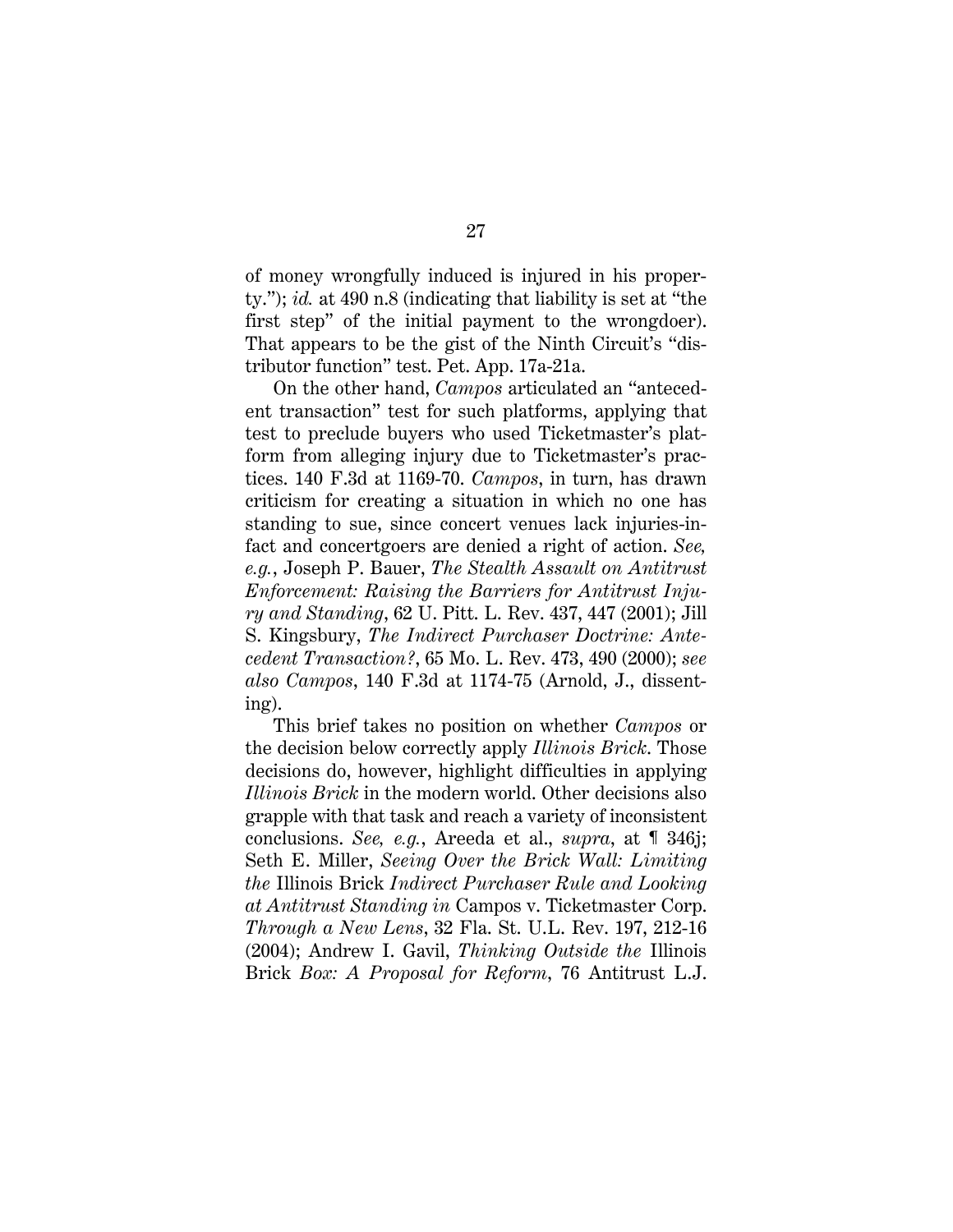of money wrongfully induced is injured in his property."); *id.* at 490 n.8 (indicating that liability is set at "the first step" of the initial payment to the wrongdoer). That appears to be the gist of the Ninth Circuit's "distributor function" test. Pet. App. 17a-21a.

On the other hand, *Campos* articulated an "antecedent transaction" test for such platforms, applying that test to preclude buyers who used Ticketmaster's platform from alleging injury due to Ticketmaster's practices. 140 F.3d at 1169-70. *Campos*, in turn, has drawn criticism for creating a situation in which no one has standing to sue, since concert venues lack injuries-infact and concertgoers are denied a right of action. *See, e.g.*, Joseph P. Bauer, *The Stealth Assault on Antitrust Enforcement: Raising the Barriers for Antitrust Injury and Standing*, 62 U. Pitt. L. Rev. 437, 447 (2001); Jill S. Kingsbury, *The Indirect Purchaser Doctrine: Antecedent Transaction?*, 65 Mo. L. Rev. 473, 490 (2000); *see also Campos*, 140 F.3d at 1174-75 (Arnold, J., dissenting).

<span id="page-37-4"></span><span id="page-37-3"></span><span id="page-37-2"></span><span id="page-37-1"></span><span id="page-37-0"></span>This brief takes no position on whether *Campos* or the decision below correctly apply *Illinois Brick*. Those decisions do, however, highlight difficulties in applying *Illinois Brick* in the modern world. Other decisions also grapple with that task and reach a variety of inconsistent conclusions. *See, e.g.*, Areeda et al., *supra*, at ¶ 346j; Seth E. Miller, *Seeing Over the Brick Wall: Limiting the* Illinois Brick *Indirect Purchaser Rule and Looking at Antitrust Standing in* Campos v. Ticketmaster Corp. *Through a New Lens*, 32 Fla. St. U.L. Rev. 197, 212-16 (2004); Andrew I. Gavil, *Thinking Outside the* Illinois Brick *Box: A Proposal for Reform*, 76 Antitrust L.J.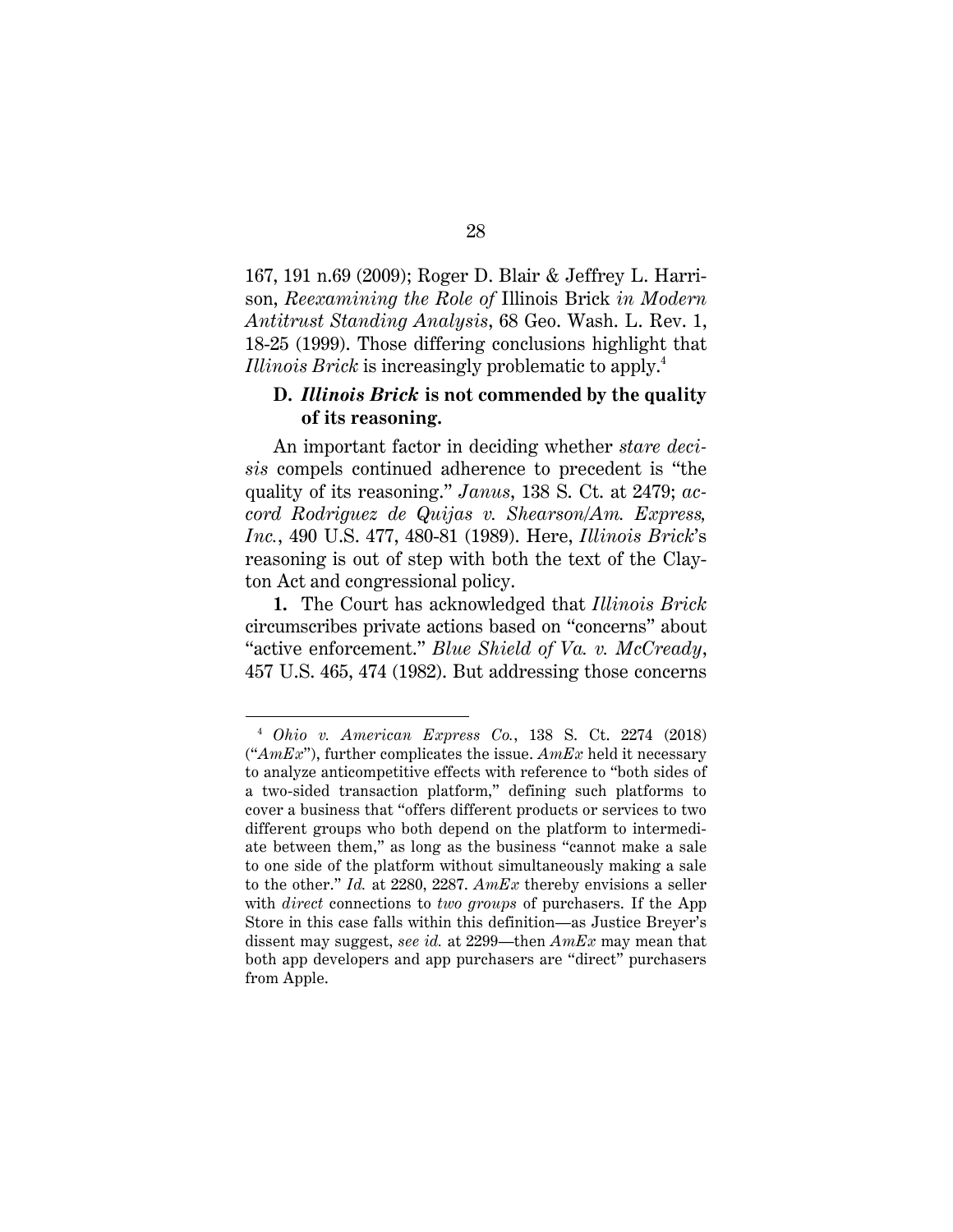<span id="page-38-2"></span>167, 191 n.69 (2009); Roger D. Blair & Jeffrey L. Harrison, *Reexamining the Role of* Illinois Brick *in Modern Antitrust Standing Analysis*, 68 Geo. Wash. L. Rev. 1, 18-25 (1999). Those differing conclusions highlight that *Illinois Brick* is increasingly problematic to apply.4

## **D.** *Illinois Brick* **is not commended by the quality of its reasoning.**

<span id="page-38-1"></span>An important factor in deciding whether *stare decisis* compels continued adherence to precedent is "the quality of its reasoning." *Janus*, 138 S. Ct. at 2479; *accord Rodriguez de Quijas v. Shearson/Am. Express, Inc.*, 490 U.S. 477, 480-81 (1989). Here, *Illinois Brick*'s reasoning is out of step with both the text of the Clayton Act and congressional policy.

**1.** The Court has acknowledged that *Illinois Brick* circumscribes private actions based on "concerns" about "active enforcement." *Blue Shield of Va. v. McCready*, 457 U.S. 465, 474 (1982). But addressing those concerns

l

<span id="page-38-0"></span><sup>4</sup> *Ohio v. American Express Co.*, 138 S. Ct. 2274 (2018) ("*AmEx*"), further complicates the issue. *AmEx* held it necessary to analyze anticompetitive effects with reference to "both sides of a two-sided transaction platform," defining such platforms to cover a business that "offers different products or services to two different groups who both depend on the platform to intermediate between them," as long as the business "cannot make a sale to one side of the platform without simultaneously making a sale to the other." *Id.* at 2280, 2287. *AmEx* thereby envisions a seller with *direct* connections to *two groups* of purchasers. If the App Store in this case falls within this definition—as Justice Breyer's dissent may suggest, *see id.* at 2299—then *AmEx* may mean that both app developers and app purchasers are "direct" purchasers from Apple.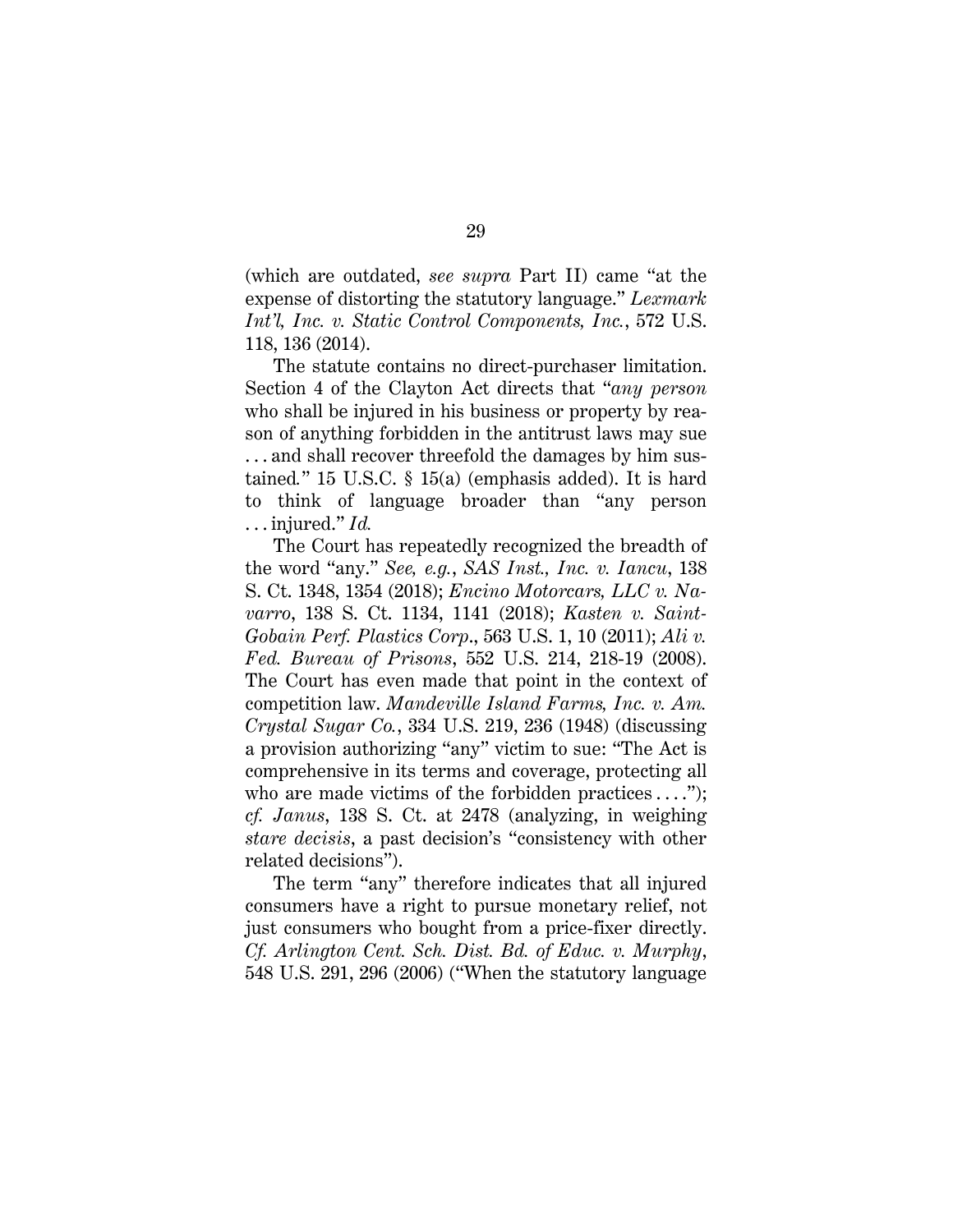(which are outdated, *see supra* Part II) came "at the expense of distorting the statutory language." *Lexmark Int'l, Inc. v. Static Control Components, Inc.*, 572 U.S. 118, 136 (2014).

<span id="page-39-3"></span>The statute contains no direct-purchaser limitation. Section 4 of the Clayton Act directs that "*any person* who shall be injured in his business or property by reason of anything forbidden in the antitrust laws may sue ... and shall recover threefold the damages by him sustained*.*" 15 U.S.C. § 15(a) (emphasis added). It is hard to think of language broader than "any person . . . injured." *Id.* 

<span id="page-39-2"></span><span id="page-39-1"></span>The Court has repeatedly recognized the breadth of the word "any." *See, e.g.*, *SAS Inst., Inc. v. Iancu*, 138 S. Ct. 1348, 1354 (2018); *Encino Motorcars, LLC v. Navarro*, 138 S. Ct. 1134, 1141 (2018); *Kasten v. Saint-Gobain Perf. Plastics Corp*., 563 U.S. 1, 10 (2011); *Ali v. Fed. Bureau of Prisons*, 552 U.S. 214, 218-19 (2008). The Court has even made that point in the context of competition law. *Mandeville Island Farms, Inc. v. Am. Crystal Sugar Co.*, 334 U.S. 219, 236 (1948) (discussing a provision authorizing "any" victim to sue: "The Act is comprehensive in its terms and coverage, protecting all who are made victims of the forbidden practices  $\dots$ "); *cf. Janus*, 138 S. Ct. at 2478 (analyzing, in weighing *stare decisis*, a past decision's "consistency with other related decisions").

<span id="page-39-0"></span>The term "any" therefore indicates that all injured consumers have a right to pursue monetary relief, not just consumers who bought from a price-fixer directly. *Cf. Arlington Cent. Sch. Dist. Bd. of Educ. v. Murphy*, 548 U.S. 291, 296 (2006) ("When the statutory language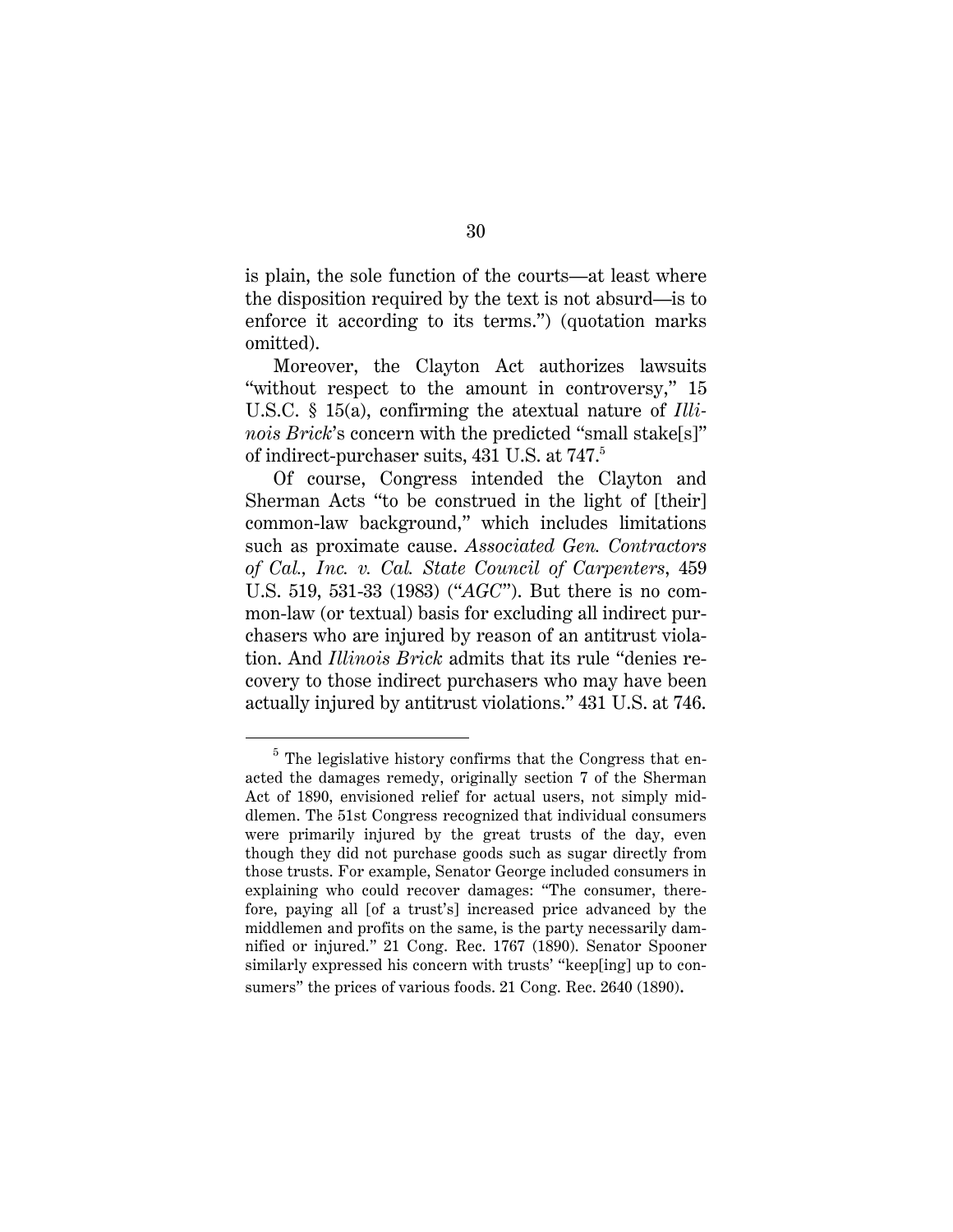is plain, the sole function of the courts—at least where the disposition required by the text is not absurd—is to enforce it according to its terms.") (quotation marks omitted).

Moreover, the Clayton Act authorizes lawsuits "without respect to the amount in controversy," 15 U.S.C. § 15(a), confirming the atextual nature of *Illinois Brick*'s concern with the predicted "small stake[s]" of indirect-purchaser suits, 431 U.S. at 747.5

<span id="page-40-0"></span>Of course, Congress intended the Clayton and Sherman Acts "to be construed in the light of [their] common-law background," which includes limitations such as proximate cause. *Associated Gen. Contractors of Cal., Inc. v. Cal. State Council of Carpenters*, 459 U.S. 519, 531-33 (1983) ("*AGC*"). But there is no common-law (or textual) basis for excluding all indirect purchasers who are injured by reason of an antitrust violation. And *Illinois Brick* admits that its rule "denies recovery to those indirect purchasers who may have been actually injured by antitrust violations." 431 U.S. at 746.

<span id="page-40-1"></span> $\overline{a}$ 

<span id="page-40-3"></span><span id="page-40-2"></span> $5$  The legislative history confirms that the Congress that enacted the damages remedy, originally section 7 of the Sherman Act of 1890, envisioned relief for actual users, not simply middlemen. The 51st Congress recognized that individual consumers were primarily injured by the great trusts of the day, even though they did not purchase goods such as sugar directly from those trusts. For example, Senator George included consumers in explaining who could recover damages: "The consumer, therefore, paying all [of a trust's] increased price advanced by the middlemen and profits on the same, is the party necessarily damnified or injured." 21 Cong. Rec. 1767 (1890). Senator Spooner similarly expressed his concern with trusts' "keep[ing] up to consumers" the prices of various foods. 21 Cong. Rec. 2640 (1890).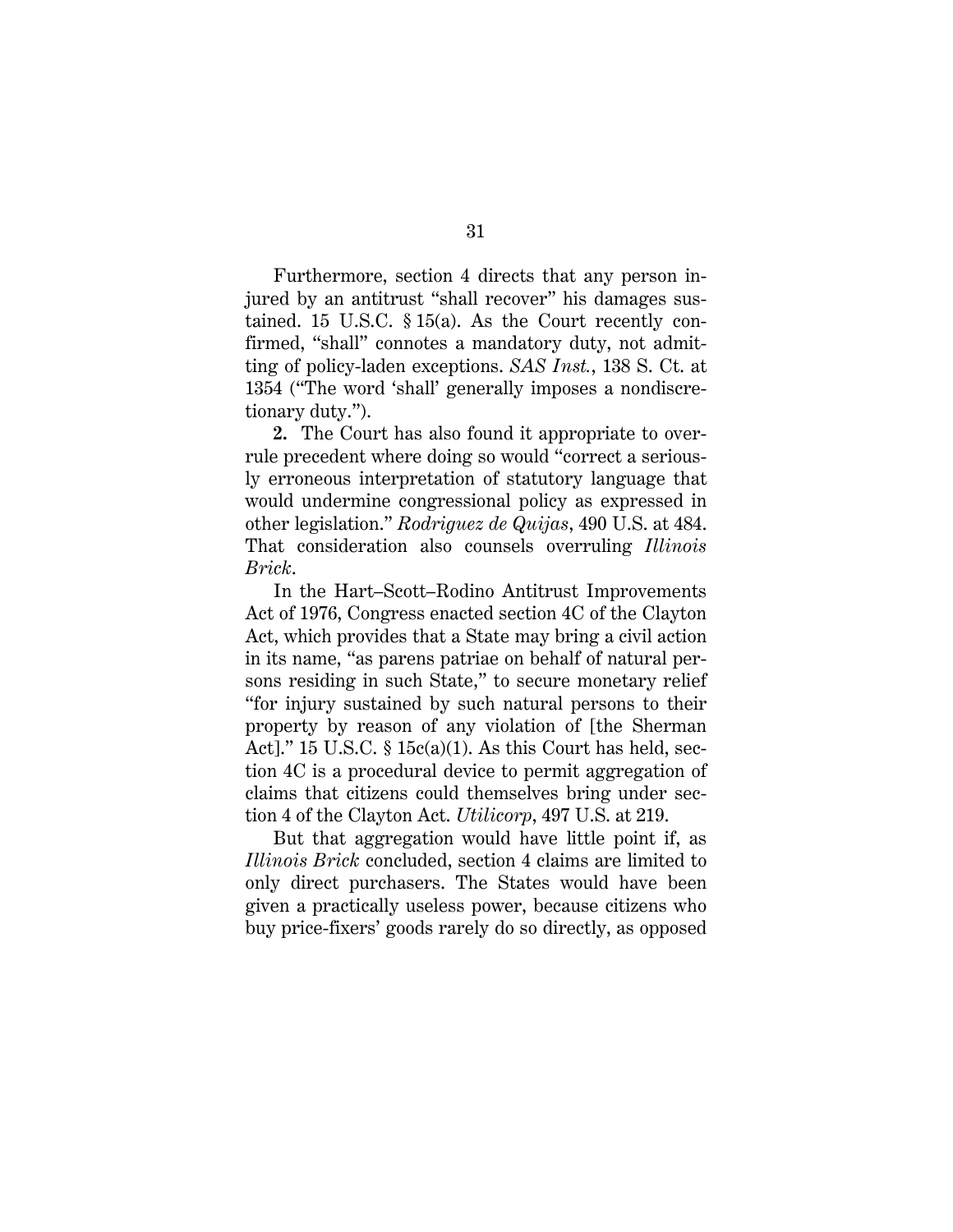Furthermore, section 4 directs that any person injured by an antitrust "shall recover" his damages sustained. 15 U.S.C. § 15(a). As the Court recently confirmed, "shall" connotes a mandatory duty, not admitting of policy-laden exceptions. *SAS Inst.*, 138 S. Ct. at 1354 ("The word 'shall' generally imposes a nondiscretionary duty.").

**2.** The Court has also found it appropriate to overrule precedent where doing so would "correct a seriously erroneous interpretation of statutory language that would undermine congressional policy as expressed in other legislation." *Rodriguez de Quijas*, 490 U.S. at 484. That consideration also counsels overruling *Illinois Brick*.

<span id="page-41-1"></span>In the Hart–Scott–Rodino Antitrust Improvements Act of 1976, Congress enacted section 4C of the Clayton Act, which provides that a State may bring a civil action in its name, "as parens patriae on behalf of natural persons residing in such State," to secure monetary relief "for injury sustained by such natural persons to their property by reason of any violation of [the Sherman Act]." 15 U.S.C.  $\S$  15 $c(a)(1)$ . As this Court has held, section 4C is a procedural device to permit aggregation of claims that citizens could themselves bring under section 4 of the Clayton Act. *Utilicorp*, 497 U.S. at 219.

<span id="page-41-2"></span><span id="page-41-0"></span>But that aggregation would have little point if, as *Illinois Brick* concluded, section 4 claims are limited to only direct purchasers. The States would have been given a practically useless power, because citizens who buy price-fixers' goods rarely do so directly, as opposed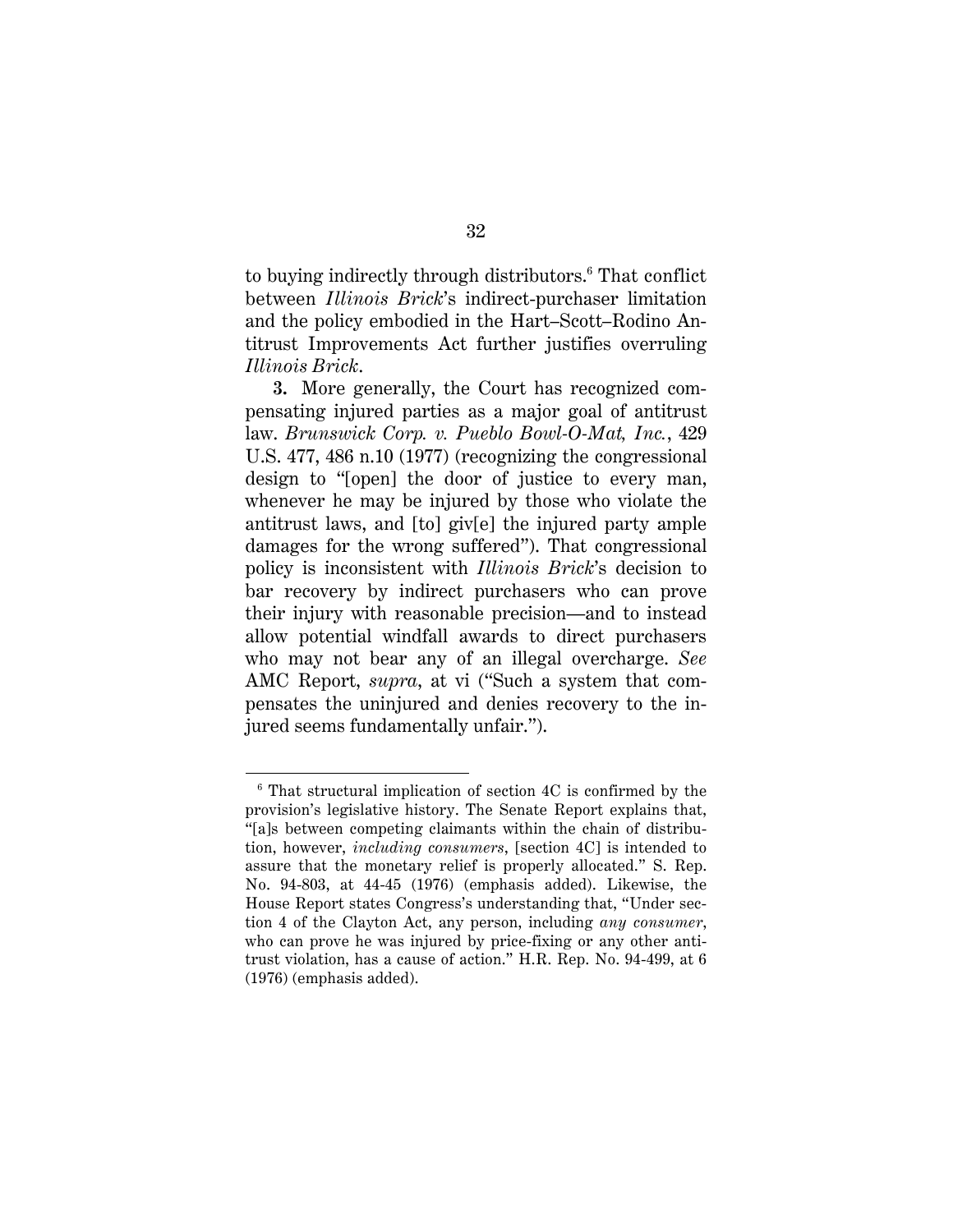to buying indirectly through distributors. <sup>6</sup> That conflict between *Illinois Brick*'s indirect-purchaser limitation and the policy embodied in the Hart–Scott–Rodino Antitrust Improvements Act further justifies overruling *Illinois Brick*.

<span id="page-42-0"></span>**3.** More generally, the Court has recognized compensating injured parties as a major goal of antitrust law. *Brunswick Corp. v. Pueblo Bowl-O-Mat, Inc.*, 429 U.S. 477, 486 n.10 (1977) (recognizing the congressional design to "[open] the door of justice to every man, whenever he may be injured by those who violate the antitrust laws, and [to] giv[e] the injured party ample damages for the wrong suffered"). That congressional policy is inconsistent with *Illinois Brick*'s decision to bar recovery by indirect purchasers who can prove their injury with reasonable precision—and to instead allow potential windfall awards to direct purchasers who may not bear any of an illegal overcharge. *See* AMC Report, *supra*, at vi ("Such a system that compensates the uninjured and denies recovery to the injured seems fundamentally unfair.").

 $\overline{a}$ 

<span id="page-42-2"></span><span id="page-42-1"></span><sup>6</sup> That structural implication of section 4C is confirmed by the provision's legislative history. The Senate Report explains that, "[a]s between competing claimants within the chain of distribution, however, *including consumers*, [section 4C] is intended to assure that the monetary relief is properly allocated." S. Rep. No. 94-803, at 44-45 (1976) (emphasis added). Likewise, the House Report states Congress's understanding that, "Under section 4 of the Clayton Act, any person, including *any consumer*, who can prove he was injured by price-fixing or any other antitrust violation, has a cause of action." H.R. Rep. No. 94-499, at 6 (1976) (emphasis added).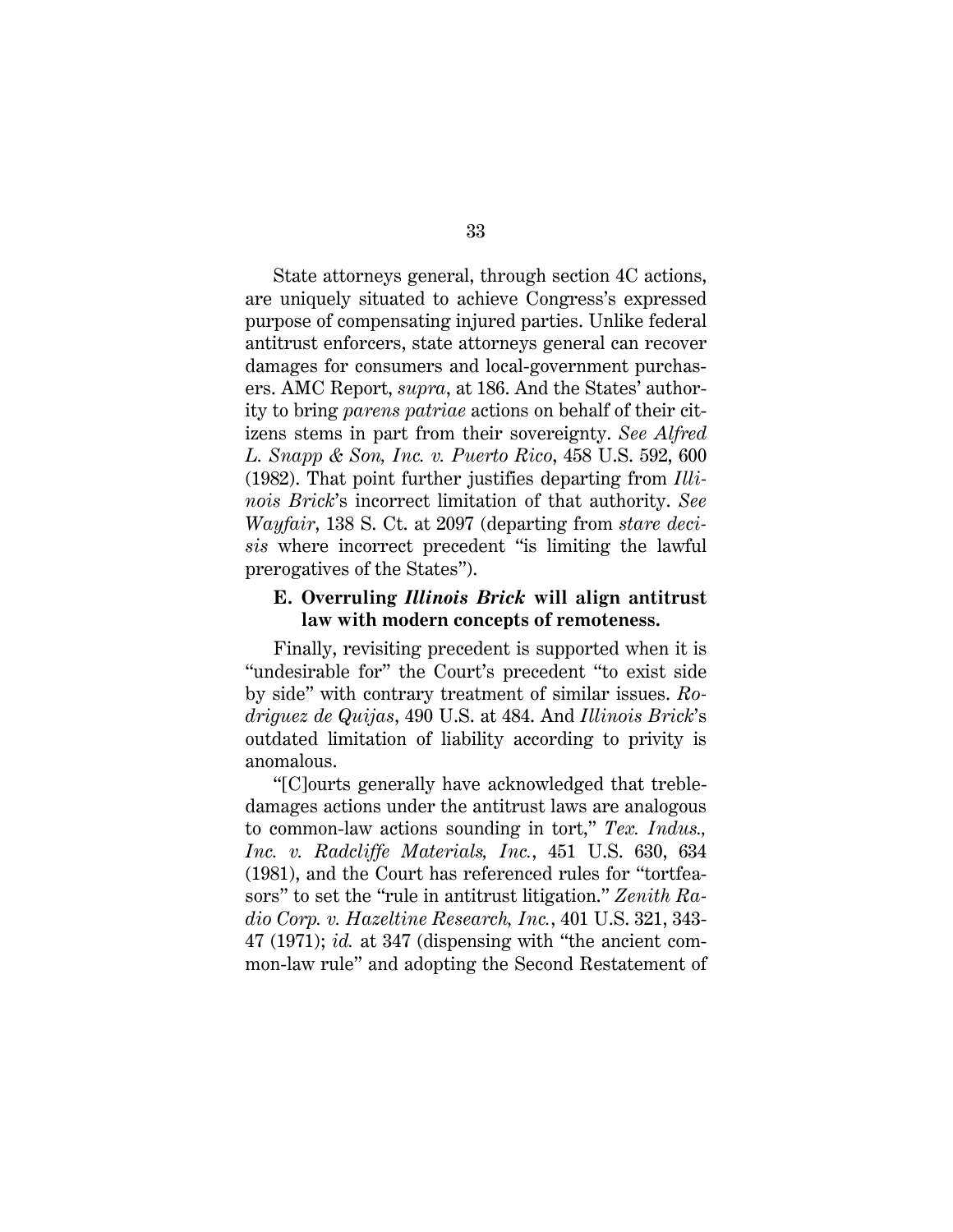State attorneys general, through section 4C actions, are uniquely situated to achieve Congress's expressed purpose of compensating injured parties. Unlike federal antitrust enforcers, state attorneys general can recover damages for consumers and local-government purchasers. AMC Report, *supra*, at 186. And the States' authority to bring *parens patriae* actions on behalf of their citizens stems in part from their sovereignty. *See Alfred L. Snapp & Son, Inc. v. Puerto Rico*, 458 U.S. 592, 600 (1982). That point further justifies departing from *Illinois Brick*'s incorrect limitation of that authority. *See Wayfair*, 138 S. Ct. at 2097 (departing from *stare decisis* where incorrect precedent "is limiting the lawful prerogatives of the States").

### <span id="page-43-0"></span>**E. Overruling** *Illinois Brick* **will align antitrust law with modern concepts of remoteness.**

Finally, revisiting precedent is supported when it is "undesirable for" the Court's precedent "to exist side by side" with contrary treatment of similar issues. *Rodriguez de Quijas*, 490 U.S. at 484. And *Illinois Brick*'s outdated limitation of liability according to privity is anomalous.

<span id="page-43-2"></span><span id="page-43-1"></span>"[C]ourts generally have acknowledged that trebledamages actions under the antitrust laws are analogous to common-law actions sounding in tort," *Tex. Indus., Inc. v. Radcliffe Materials, Inc.*, 451 U.S. 630, 634 (1981), and the Court has referenced rules for "tortfeasors" to set the "rule in antitrust litigation." *Zenith Radio Corp. v. Hazeltine Research, Inc.*, 401 U.S. 321, 343- 47 (1971); *id.* at 347 (dispensing with "the ancient common-law rule" and adopting the Second Restatement of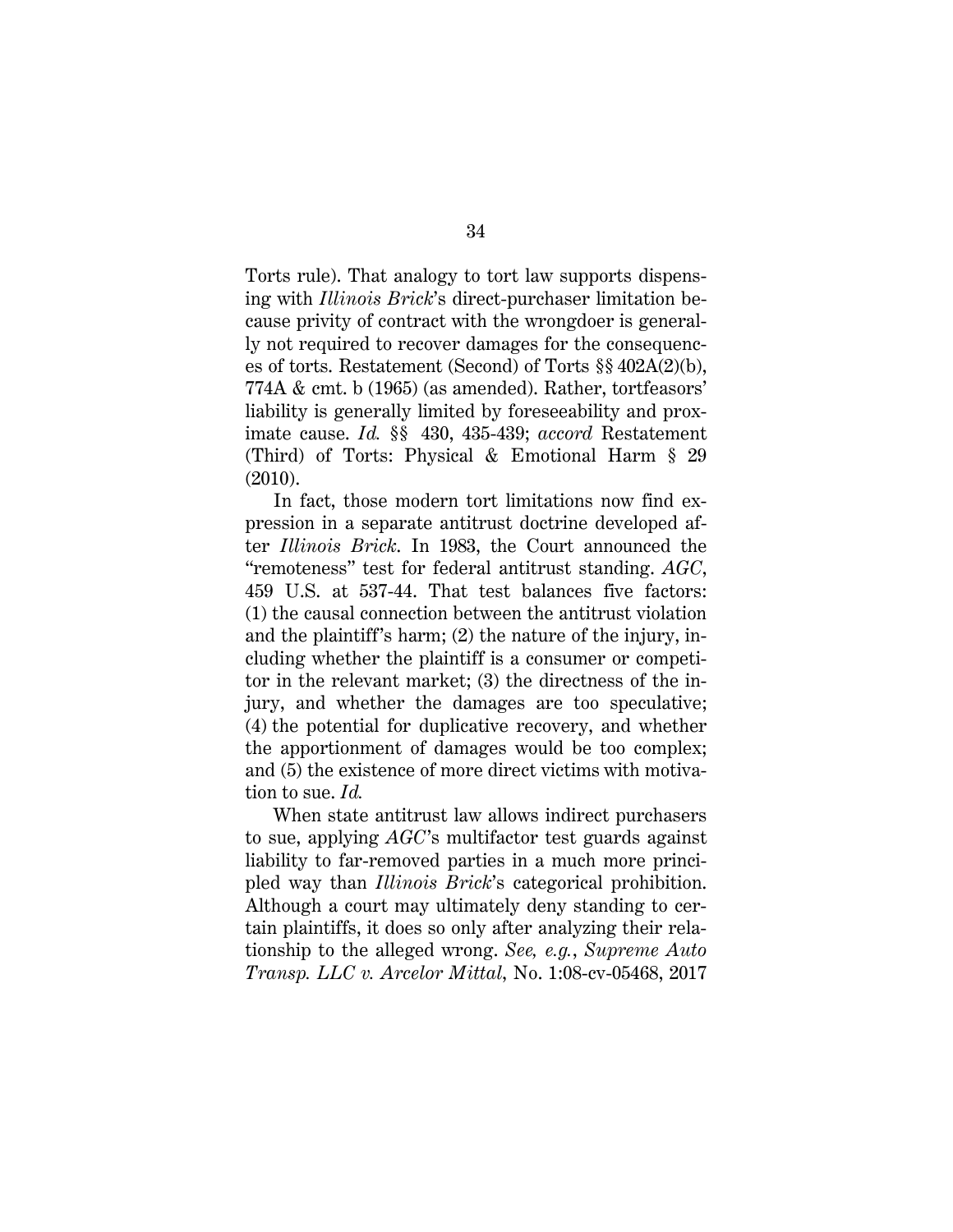<span id="page-44-1"></span>Torts rule). That analogy to tort law supports dispensing with *Illinois Brick*'s direct-purchaser limitation because privity of contract with the wrongdoer is generally not required to recover damages for the consequences of torts. Restatement (Second) of Torts §§ 402A(2)(b), 774A & cmt. b (1965) (as amended). Rather, tortfeasors' liability is generally limited by foreseeability and proximate cause. *Id.* §§ 430, 435-439; *accord* Restatement (Third) of Torts: Physical & Emotional Harm § 29 (2010).

<span id="page-44-2"></span>In fact, those modern tort limitations now find expression in a separate antitrust doctrine developed after *Illinois Brick*. In 1983, the Court announced the "remoteness" test for federal antitrust standing. *AGC*, 459 U.S. at 537-44. That test balances five factors: (1) the causal connection between the antitrust violation and the plaintiff's harm; (2) the nature of the injury, including whether the plaintiff is a consumer or competitor in the relevant market; (3) the directness of the injury, and whether the damages are too speculative; (4) the potential for duplicative recovery, and whether the apportionment of damages would be too complex; and (5) the existence of more direct victims with motivation to sue. *Id.*

<span id="page-44-0"></span>When state antitrust law allows indirect purchasers to sue, applying *AGC*'s multifactor test guards against liability to far-removed parties in a much more principled way than *Illinois Brick*'s categorical prohibition. Although a court may ultimately deny standing to certain plaintiffs, it does so only after analyzing their relationship to the alleged wrong. *See, e.g.*, *Supreme Auto Transp. LLC v. Arcelor Mittal*, No. 1:08-cv-05468, 2017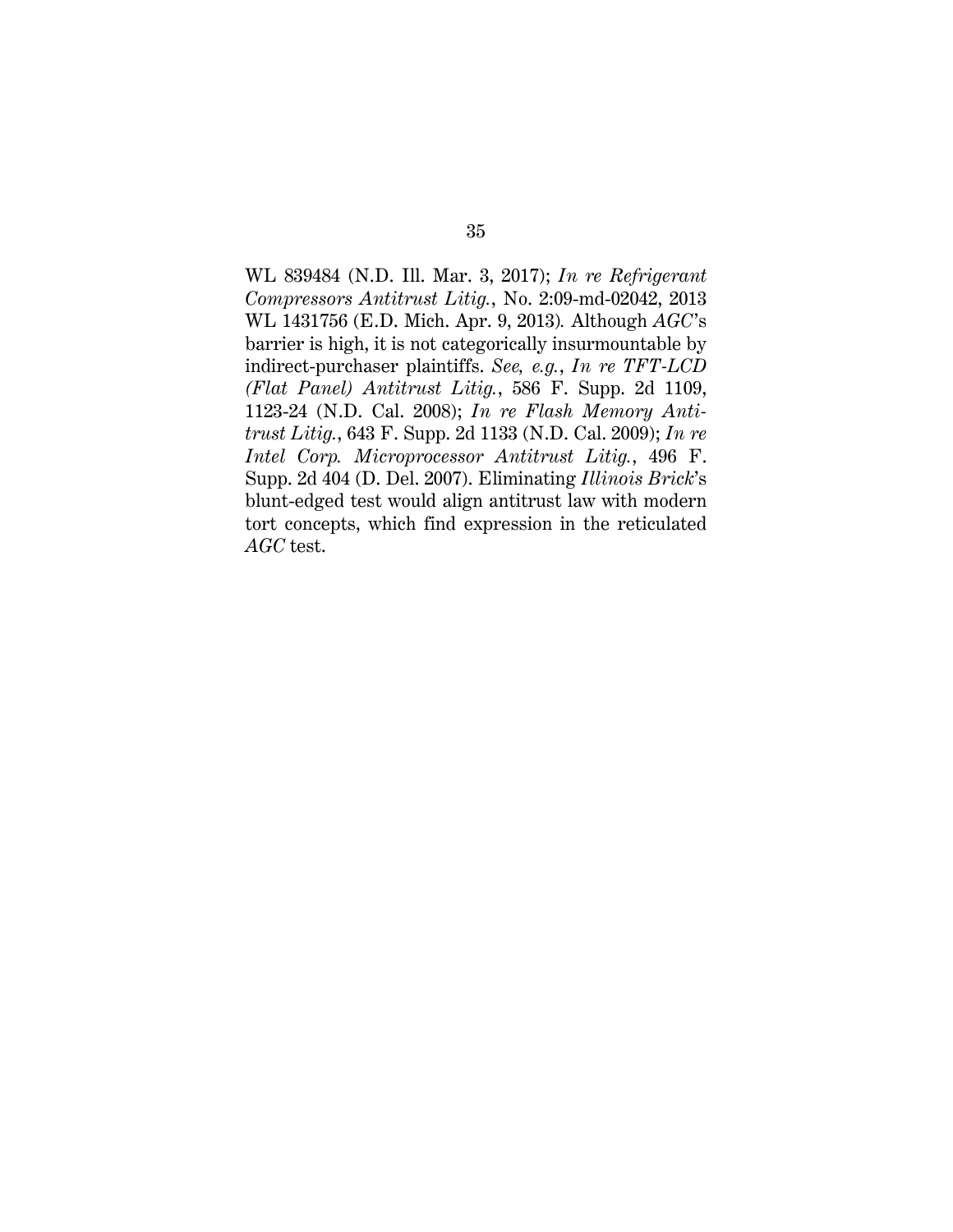<span id="page-45-2"></span><span id="page-45-1"></span><span id="page-45-0"></span>WL 839484 (N.D. Ill. Mar. 3, 2017); *In re Refrigerant Compressors Antitrust Litig.*, No. 2:09-md-02042, 2013 WL 1431756 (E.D. Mich. Apr. 9, 2013)*.* Although *AGC*'s barrier is high, it is not categorically insurmountable by indirect-purchaser plaintiffs. *See, e.g.*, *In re TFT-LCD (Flat Panel) Antitrust Litig.*, 586 F. Supp. 2d 1109, 1123-24 (N.D. Cal. 2008); *In re Flash Memory Antitrust Litig.*, 643 F. Supp. 2d 1133 (N.D. Cal. 2009); *In re Intel Corp. Microprocessor Antitrust Litig.*, 496 F. Supp. 2d 404 (D. Del. 2007). Eliminating *Illinois Brick*'s blunt-edged test would align antitrust law with modern tort concepts, which find expression in the reticulated *AGC* test.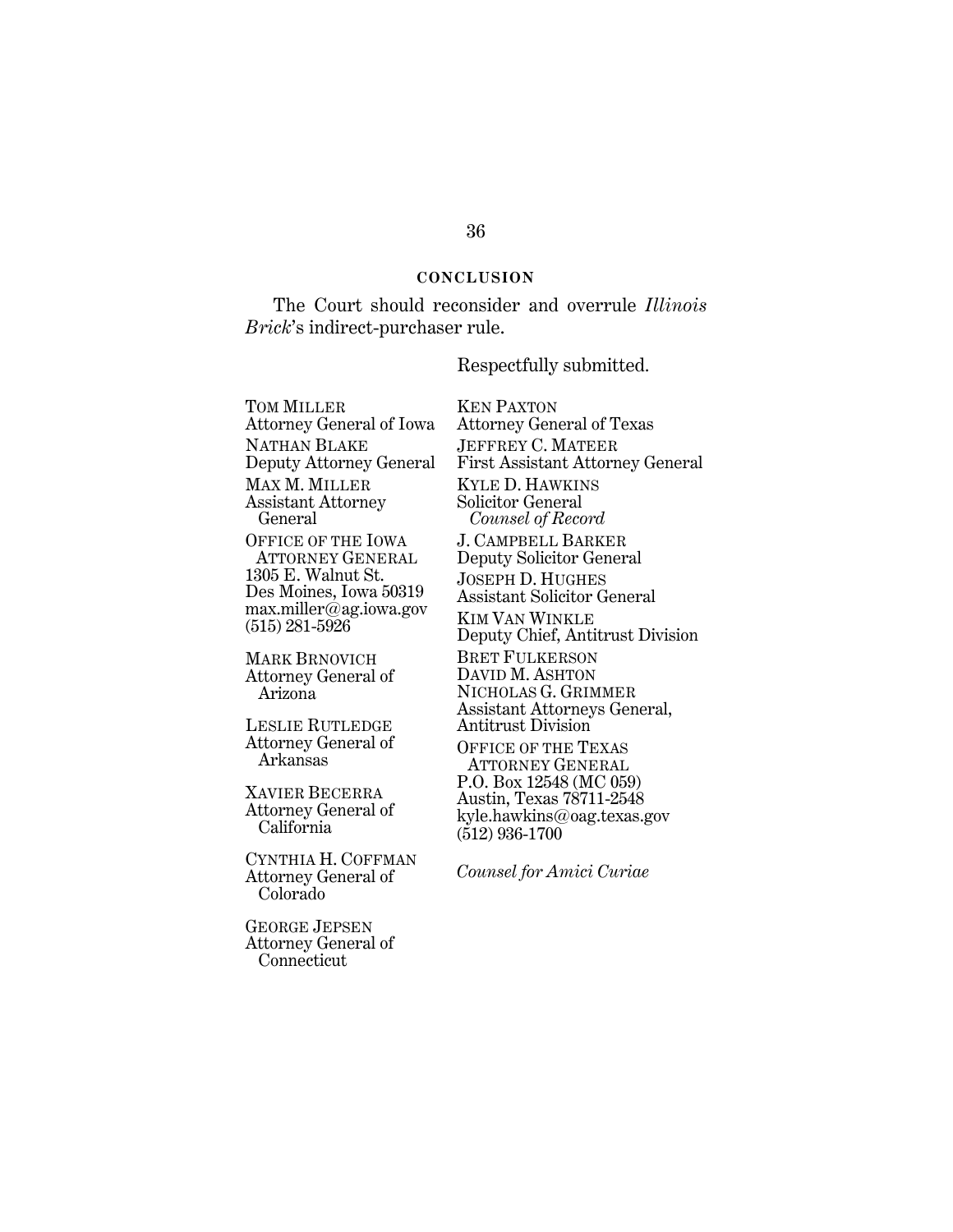#### **CONCLUSION**

The Court should reconsider and overrule *Illinois Brick*'s indirect-purchaser rule.

Respectfully submitted.

TOM MILLER Attorney General of Iowa NATHAN BLAKE Deputy Attorney General MAX M. MILLER Assistant Attorney General OFFICE OF THE IOWA ATTORNEY GENERAL 1305 E. Walnut St. Des Moines, Iowa 50319 max.miller@ag.iowa.gov (515) 281-5926

MARK BRNOVICH Attorney General of Arizona

LESLIE RUTLEDGE Attorney General of Arkansas

XAVIER BECERRA Attorney General of California

CYNTHIA H. COFFMAN Attorney General of Colorado

GEORGE JEPSEN Attorney General of Connecticut

KEN PAXTON Attorney General of Texas JEFFREY C. MATEER First Assistant Attorney General KYLE D. HAWKINS Solicitor General  *Counsel of Record* J. CAMPBELL BARKER Deputy Solicitor General JOSEPH D. HUGHES Assistant Solicitor General KIM VAN WINKLE Deputy Chief, Antitrust Division BRET FULKERSON DAVID M. ASHTON NICHOLAS G. GRIMMER Assistant Attorneys General, Antitrust Division OFFICE OF THE TEXAS ATTORNEY GENERAL P.O. Box 12548 (MC 059)

Austin, Texas 78711-2548 kyle.hawkins@oag.texas.gov (512) 936-1700

*Counsel for Amici Curiae*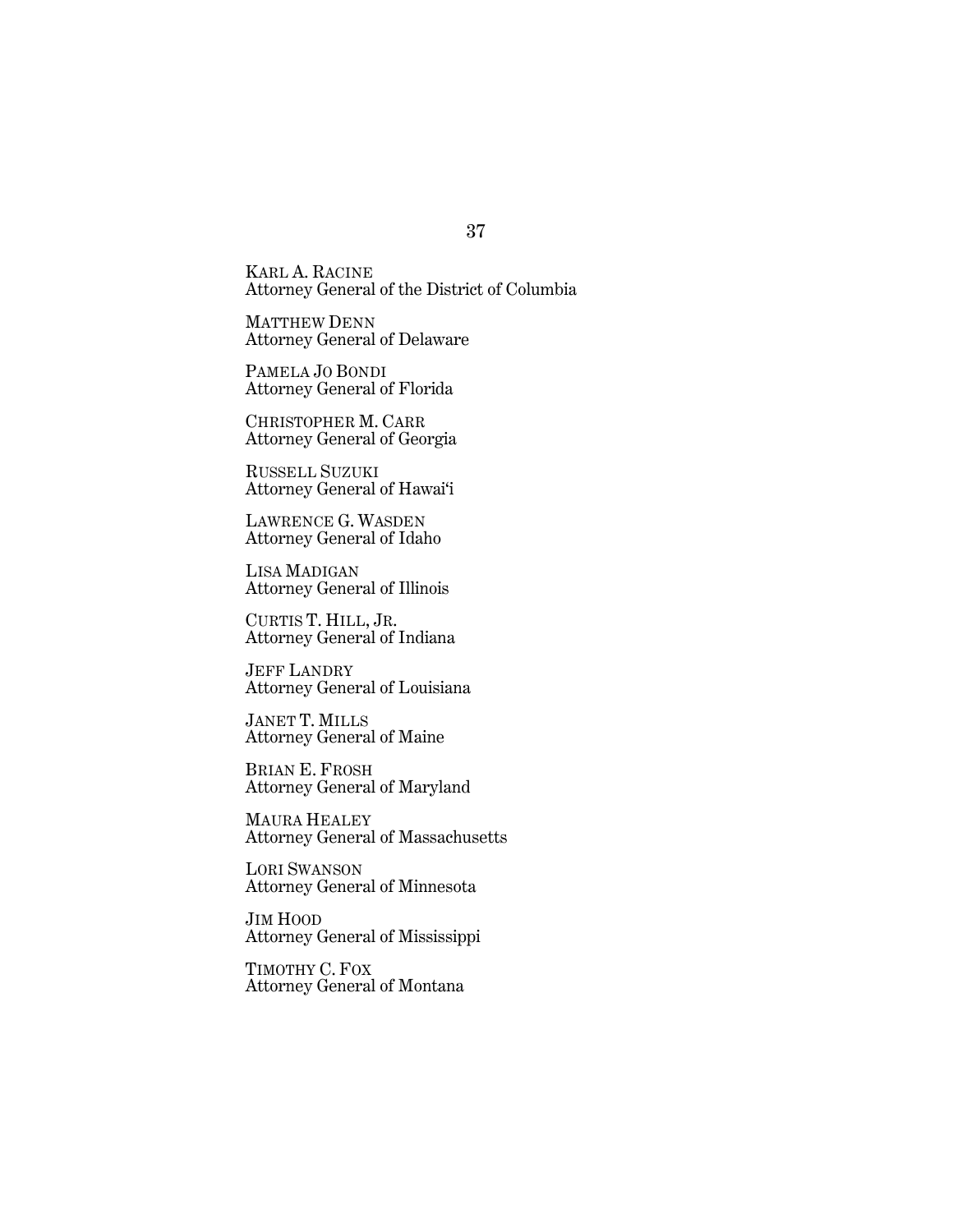KARL A. RACINE Attorney General of the District of Columbia

MATTHEW DENN Attorney General of Delaware

PAMELA JO BONDI Attorney General of Florida

CHRISTOPHER M. CARR Attorney General of Georgia

RUSSELL SUZUKI Attorney General of Hawai'i

LAWRENCE G. WASDEN Attorney General of Idaho

LISA MADIGAN Attorney General of Illinois

CURTIS T. HILL, JR. Attorney General of Indiana

JEFF LANDRY Attorney General of Louisiana

JANET T. MILLS Attorney General of Maine

BRIAN E. FROSH Attorney General of Maryland

MAURA HEALEY Attorney General of Massachusetts

LORI SWANSON Attorney General of Minnesota

JIM HOOD Attorney General of Mississippi

TIMOTHY C. FOX Attorney General of Montana